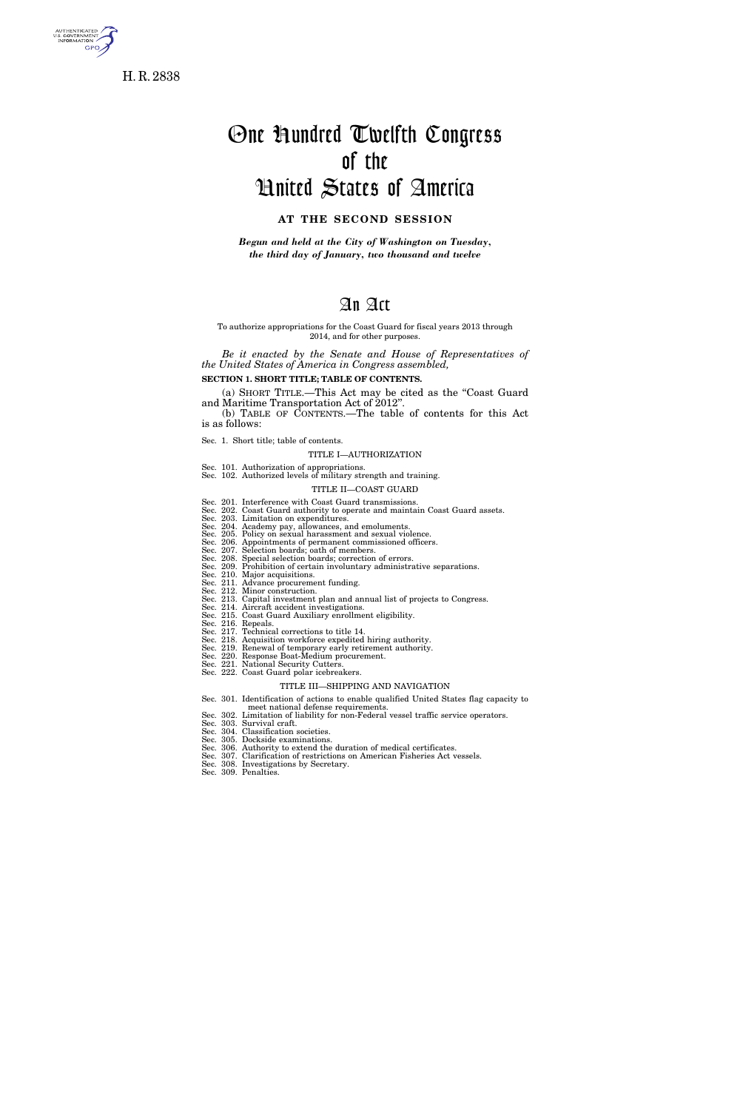

H. R. 2838

# One Hundred Twelfth Congress of the United States of America

# **AT THE SECOND SESSION**

*Begun and held at the City of Washington on Tuesday, the third day of January, two thousand and twelve* 

# An Act

#### To authorize appropriations for the Coast Guard for fiscal years 2013 through 2014, and for other purposes.

*Be it enacted by the Senate and House of Representatives of the United States of America in Congress assembled,* 

**SECTION 1. SHORT TITLE; TABLE OF CONTENTS.** 

(a) SHORT TITLE.—This Act may be cited as the ''Coast Guard and Maritime Transportation Act of 2012''.

(b) TABLE OF CONTENTS.—The table of contents for this Act is as follows:

Sec. 1. Short title; table of contents.

#### TITLE I—AUTHORIZATION

Sec. 101. Authorization of appropriations. Sec. 102. Authorized levels of military strength and training.

#### TITLE II—COAST GUARD

- Sec. 201. Interference with Coast Guard transmissions.<br>Sec. 202. Coast Guard authority to operate and maintain Coast Guard assets.<br>Sec. 203. Limitation on expenditures.<br>Sec. 204. Academy pay, allowances, and emoluments.<br>Se
- 
- 
- 
- 
- Sec. 207. Selection boards; oath of members. Sec. 208. Special selection boards; correction of errors. Sec. 209. Prohibition of certain involuntary administrative separations.
- 
- Sec. 210. Major acquisitions. Sec. 211. Advance procurement funding.
- 
- Sec. 212. Minor construction. Sec. 213. Capital investment plan and annual list of projects to Congress. Sec. 214. Aircraft accident investigations. Sec. 215. Coast Guard Auxiliary enrollment eligibility.
	-
	-
	- Sec. 216. Repeals. Sec. 217. Technical corrections to title 14.
	-
	- Sec. 218. Acquisition workforce expedited hiring authority. Sec. 219. Renewal of temporary early retirement authority. Sec. 220. Response Boat-Medium procurement. Sec. 221. National Security Cutters.
	-
- Sec. 222. Coast Guard polar icebreakers.

#### TITLE III—SHIPPING AND NAVIGATION

- Sec. 301. Identification of actions to enable qualified United States flag capacity to
- meet national defense requirements. Sec. 302. Limitation of liability for non-Federal vessel traffic service operators.
- 
- Sec. 303. Survival craft. Sec. 304. Classification societies. Sec. 305. Dockside examinations.
- 
- Sec. 306. Authority to extend the duration of medical certificates. Sec. 307. Clarification of restrictions on American Fisheries Act vessels.
	-
- Sec. 308. Investigations by Secretary. Sec. 309. Penalties.
	-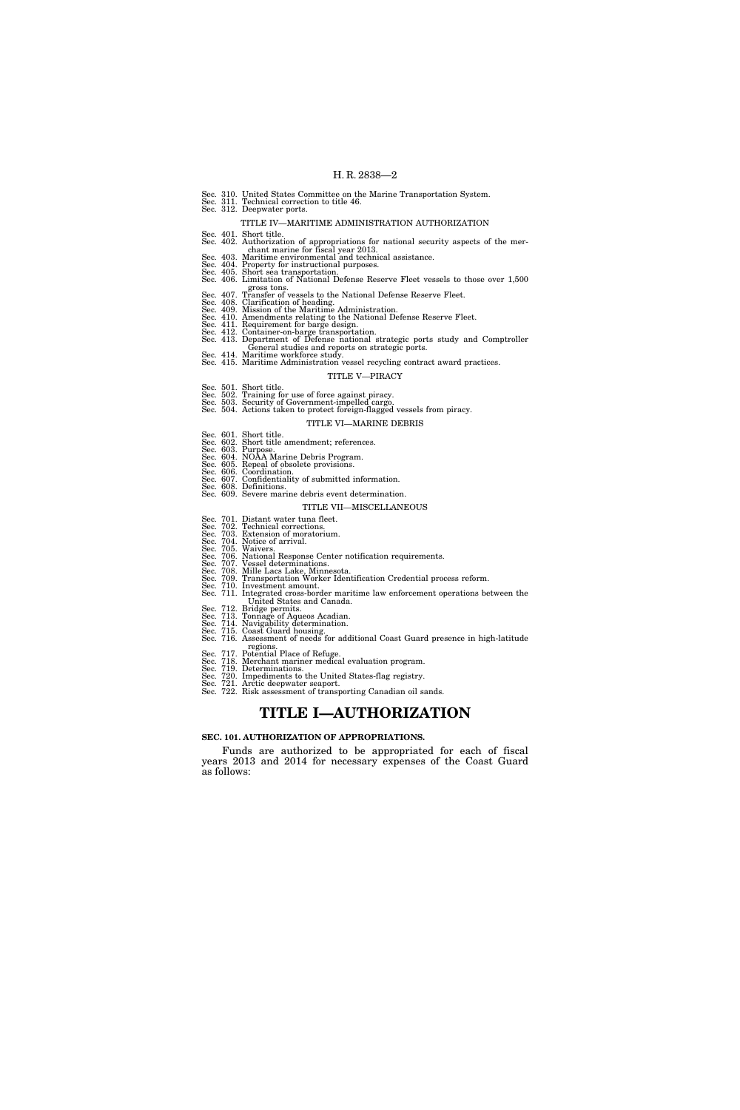|                       |  | Sec. 310. United States Committee on the Marine Transportation System.<br>Sec. 311. Technical correction to title 46.<br>Sec. 312. Deepwater ports.                                                                                                                     |
|-----------------------|--|-------------------------------------------------------------------------------------------------------------------------------------------------------------------------------------------------------------------------------------------------------------------------|
|                       |  | TITLE IV—MARITIME ADMINISTRATION AUTHORIZATION                                                                                                                                                                                                                          |
|                       |  | Sec. 401. Short title.                                                                                                                                                                                                                                                  |
|                       |  | Sec. 402. Authorization of appropriations for national security aspects of the mer-<br>chant marine for fiscal year 2013.                                                                                                                                               |
|                       |  | Sec. 403. Maritime environmental and technical assistance.                                                                                                                                                                                                              |
|                       |  | Sec. 404. Property for instructional purposes.                                                                                                                                                                                                                          |
|                       |  | Sec. 405. Short sea transportation.<br>Sec. 406. Limitation of National Defense Reserve Fleet vessels to those over 1,500                                                                                                                                               |
|                       |  | gross tons.<br>gross tons.<br>Sec. 407. Transfer of vessels to the National Defense Reserve Fleet.<br>Sec. 408. Clarification of heading.<br>Sec. 409. Mission of the Maritime Administration.<br>Sec. 410. Amendments relating to the N                                |
|                       |  |                                                                                                                                                                                                                                                                         |
|                       |  |                                                                                                                                                                                                                                                                         |
|                       |  |                                                                                                                                                                                                                                                                         |
|                       |  |                                                                                                                                                                                                                                                                         |
|                       |  | Sec. 413. Department of Defense national strategic ports study and Comptroller<br>General studies and reports on strategic ports.                                                                                                                                       |
|                       |  | Sec. 414. Maritime workforce study.<br>Sec. 415. Maritime Administration vessel recycling contract award practices.                                                                                                                                                     |
|                       |  | TITLE V—PIRACY                                                                                                                                                                                                                                                          |
|                       |  |                                                                                                                                                                                                                                                                         |
|                       |  |                                                                                                                                                                                                                                                                         |
|                       |  |                                                                                                                                                                                                                                                                         |
|                       |  | Sec. 501. Short title.<br>Sec. 502. Training for use of force against piracy.<br>Sec. 503. Security of Government-impelled cargo.<br>Sec. 504. Actions taken to protect foreign-flagged vessels from piracy.                                                            |
|                       |  | TITLE VI—MARINE DEBRIS                                                                                                                                                                                                                                                  |
|                       |  | Sec. 601. Short title.                                                                                                                                                                                                                                                  |
|                       |  | Sec. 602. Short title amendment; references.                                                                                                                                                                                                                            |
|                       |  | Sec. 603. Purpose.<br>Sec. 604. NOAA Marine Debris Program.                                                                                                                                                                                                             |
|                       |  |                                                                                                                                                                                                                                                                         |
|                       |  |                                                                                                                                                                                                                                                                         |
|                       |  | Sec. 605. Repeal of obsolete provisions.<br>Sec. 605. Repeal of obsolete provisions.<br>Sec. 606. Coordination.<br>Sec. 608. Definitions.<br>Sec. 608. Definitions.                                                                                                     |
|                       |  | Sec. 609. Severe marine debris event determination.                                                                                                                                                                                                                     |
|                       |  | TITLE VII—MISCELLANEOUS                                                                                                                                                                                                                                                 |
|                       |  |                                                                                                                                                                                                                                                                         |
|                       |  |                                                                                                                                                                                                                                                                         |
|                       |  | Sec. 701. Distant water tuna fleet.<br>Sec. 702. Technical corrections.<br>Sec. 703. Extension of moratorium.                                                                                                                                                           |
|                       |  | Sec. 704. Notice of arrival.                                                                                                                                                                                                                                            |
|                       |  | Sec. 705. Waivers.                                                                                                                                                                                                                                                      |
|                       |  |                                                                                                                                                                                                                                                                         |
|                       |  |                                                                                                                                                                                                                                                                         |
|                       |  |                                                                                                                                                                                                                                                                         |
|                       |  |                                                                                                                                                                                                                                                                         |
|                       |  | Sec. 706. Waivers.<br>Sec. 706. National Response Center notification requirements.<br>Sec. 707. Vessel determinations.<br>Sec. 708. Mille Lacs Lake, Minnesota.<br>Sec. 709. Transportation Worker Identification Credential process refo<br>United States and Canada. |
|                       |  | Sec. 712. Bridge permits.<br>Sec. 713. Tonnage of Aqueos Acadian.                                                                                                                                                                                                       |
|                       |  | Sec. 714. Navigability determination.                                                                                                                                                                                                                                   |
|                       |  |                                                                                                                                                                                                                                                                         |
|                       |  | Sec. 715. Coast Guard housing.<br>Sec. 716. Coast Guard housing.<br>Sec. 716. Assessment of needs for additional Coast Guard presence in high-latitude<br>regions.                                                                                                      |
|                       |  | Sec. 717. Potential Place of Refuge.                                                                                                                                                                                                                                    |
|                       |  | Sec. 718. Merchant mariner medical evaluation program.                                                                                                                                                                                                                  |
|                       |  | Sec. 719. Determinations.<br>Sec. 720. Impediments to the United States-flag registry.                                                                                                                                                                                  |
|                       |  |                                                                                                                                                                                                                                                                         |
|                       |  | Sec. 721. Arctic deepwater seaport.<br>Sec. 722. Risk assessment of transporting Canadian oil sands.                                                                                                                                                                    |
| TITLE I—AUTHORIZATION |  |                                                                                                                                                                                                                                                                         |

#### **SEC. 101. AUTHORIZATION OF APPROPRIATIONS.**

Funds are authorized to be appropriated for each of fiscal years 2013 and 2014 for necessary expenses of the Coast Guard as follows: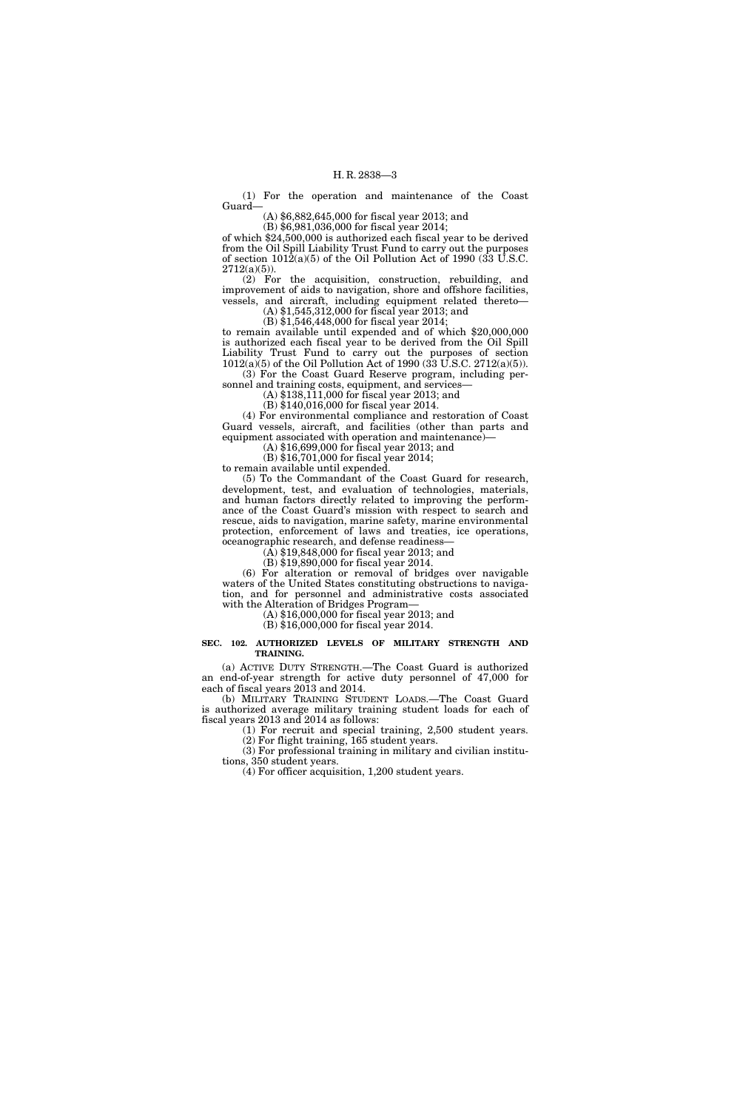(1) For the operation and maintenance of the Coast Guard—

(A) \$6,882,645,000 for fiscal year 2013; and

(B) \$6,981,036,000 for fiscal year 2014; of which \$24,500,000 is authorized each fiscal year to be derived from the Oil Spill Liability Trust Fund to carry out the purposes of section  $1012(a)(5)$  of the Oil Pollution Act of 1990 (33 U.S.C.  $2712(a)(5)$ ).

(2) For the acquisition, construction, rebuilding, and improvement of aids to navigation, shore and offshore facilities, vessels, and aircraft, including equipment related thereto— (A) \$1,545,312,000 for fiscal year 2013; and

(B) \$1,546,448,000 for fiscal year 2014;

to remain available until expended and of which \$20,000,000 is authorized each fiscal year to be derived from the Oil Spill Liability Trust Fund to carry out the purposes of section 1012(a)(5) of the Oil Pollution Act of 1990 (33 U.S.C. 2712(a)(5)). (3) For the Coast Guard Reserve program, including per-

sonnel and training costs, equipment, and services-

(A) \$138,111,000 for fiscal year 2013; and

(B) \$140,016,000 for fiscal year 2014. (4) For environmental compliance and restoration of Coast

Guard vessels, aircraft, and facilities (other than parts and equipment associated with operation and maintenance)— (A) \$16,699,000 for fiscal year 2013; and

(B) \$16,701,000 for fiscal year 2014;

to remain available until expended.

(5) To the Commandant of the Coast Guard for research, development, test, and evaluation of technologies, materials, and human factors directly related to improving the performance of the Coast Guard's mission with respect to search and rescue, aids to navigation, marine safety, marine environmental protection, enforcement of laws and treaties, ice operations, oceanographic research, and defense readiness—

(A) \$19,848,000 for fiscal year 2013; and

(B) \$19,890,000 for fiscal year 2014.

(6) For alteration or removal of bridges over navigable waters of the United States constituting obstructions to navigation, and for personnel and administrative costs associated with the Alteration of Bridges Program—

(A) \$16,000,000 for fiscal year 2013; and (B) \$16,000,000 for fiscal year 2014.

#### **SEC. 102. AUTHORIZED LEVELS OF MILITARY STRENGTH AND TRAINING.**

(a) ACTIVE DUTY STRENGTH.—The Coast Guard is authorized an end-of-year strength for active duty personnel of 47,000 for each of fiscal years 2013 and 2014.

(b) MILITARY TRAINING STUDENT LOADS.—The Coast Guard is authorized average military training student loads for each of fiscal years 2013 and 2014 as follows:

(1) For recruit and special training, 2,500 student years. (2) For flight training, 165 student years.

(3) For professional training in military and civilian institutions, 350 student years.

(4) For officer acquisition, 1,200 student years.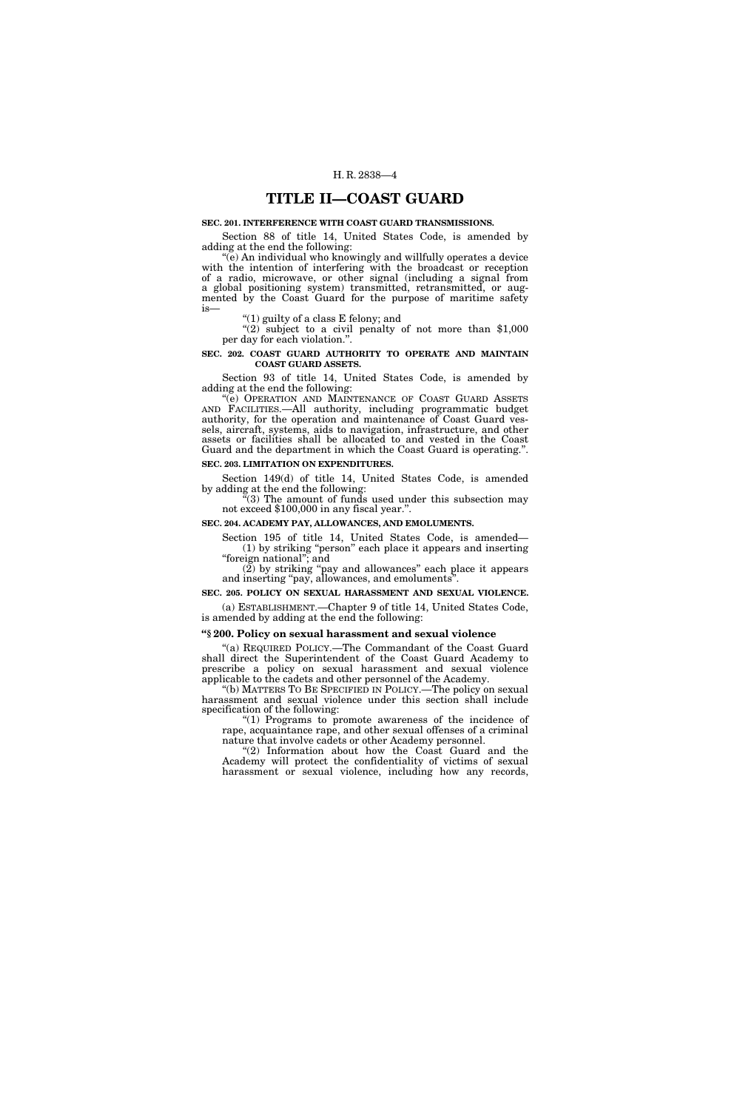# **TITLE II—COAST GUARD**

#### **SEC. 201. INTERFERENCE WITH COAST GUARD TRANSMISSIONS.**

Section 88 of title 14, United States Code, is amended by adding at the end the following:

''(e) An individual who knowingly and willfully operates a device with the intention of interfering with the broadcast or reception of a radio, microwave, or other signal (including a signal from a global positioning system) transmitted, retransmitted, or augmented by the Coast Guard for the purpose of maritime safety is—

''(1) guilty of a class E felony; and

 $(2)$  subject to a civil penalty of not more than \$1,000 per day for each violation.''.

#### **SEC. 202. COAST GUARD AUTHORITY TO OPERATE AND MAINTAIN COAST GUARD ASSETS.**

Section 93 of title 14, United States Code, is amended by adding at the end the following:

''(e) OPERATION AND MAINTENANCE OF COAST GUARD ASSETS AND FACILITIES.—All authority, including programmatic budget authority, for the operation and maintenance of Coast Guard vessels, aircraft, systems, aids to navigation, infrastructure, and other assets or facilities shall be allocated to and vested in the Coast Guard and the department in which the Coast Guard is operating.''. **SEC. 203. LIMITATION ON EXPENDITURES.** 

# Section 149(d) of title 14, United States Code, is amended

by adding at the end the following:

 $\degree$ (3) The amount of funds used under this subsection may not exceed \$100,000 in any fiscal year.".

#### **SEC. 204. ACADEMY PAY, ALLOWANCES, AND EMOLUMENTS.**

Section 195 of title 14, United States Code, is amended— (1) by striking ''person'' each place it appears and inserting ''foreign national''; and

 $(2)$  by striking "pay and allowances" each place it appears and inserting "pay, allowances, and emoluments

**SEC. 205. POLICY ON SEXUAL HARASSMENT AND SEXUAL VIOLENCE.**  (a) ESTABLISHMENT.—Chapter 9 of title 14, United States Code, is amended by adding at the end the following:

# **''§ 200. Policy on sexual harassment and sexual violence**

''(a) REQUIRED POLICY.—The Commandant of the Coast Guard shall direct the Superintendent of the Coast Guard Academy to prescribe a policy on sexual harassment and sexual violence applicable to the cadets and other personnel of the Academy.

''(b) MATTERS TO BE SPECIFIED IN POLICY.—The policy on sexual harassment and sexual violence under this section shall include specification of the following:

"(1) Programs to promote awareness of the incidence of rape, acquaintance rape, and other sexual offenses of a criminal nature that involve cadets or other Academy personnel.

''(2) Information about how the Coast Guard and the Academy will protect the confidentiality of victims of sexual harassment or sexual violence, including how any records,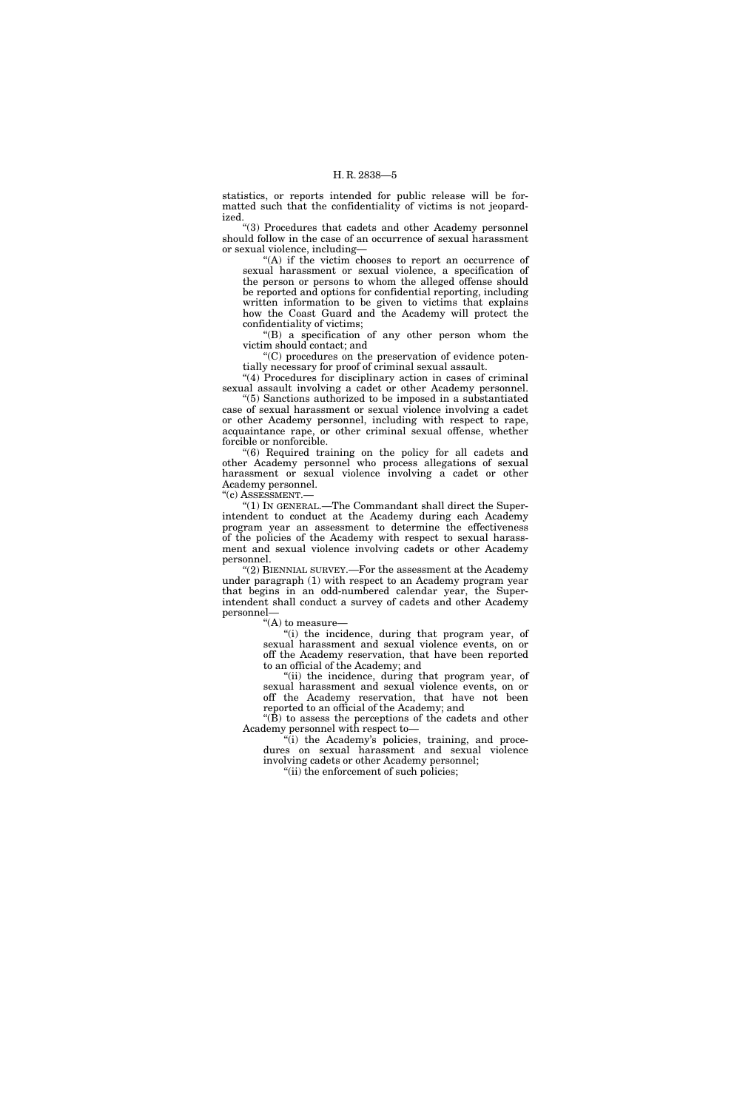statistics, or reports intended for public release will be formatted such that the confidentiality of victims is not jeopardized.

''(3) Procedures that cadets and other Academy personnel should follow in the case of an occurrence of sexual harassment or sexual violence, including—

"(A) if the victim chooses to report an occurrence of sexual harassment or sexual violence, a specification of the person or persons to whom the alleged offense should be reported and options for confidential reporting, including written information to be given to victims that explains how the Coast Guard and the Academy will protect the confidentiality of victims;

''(B) a specification of any other person whom the victim should contact; and

''(C) procedures on the preservation of evidence potentially necessary for proof of criminal sexual assault.

"(4) Procedures for disciplinary action in cases of criminal sexual assault involving a cadet or other Academy personnel.

''(5) Sanctions authorized to be imposed in a substantiated case of sexual harassment or sexual violence involving a cadet or other Academy personnel, including with respect to rape, acquaintance rape, or other criminal sexual offense, whether forcible or nonforcible.

''(6) Required training on the policy for all cadets and other Academy personnel who process allegations of sexual harassment or sexual violence involving a cadet or other Academy personnel.

"(c) ASSESSMENT.-

"(1) IN GENERAL.—The Commandant shall direct the Superintendent to conduct at the Academy during each Academy program year an assessment to determine the effectiveness of the policies of the Academy with respect to sexual harassment and sexual violence involving cadets or other Academy personnel.

''(2) BIENNIAL SURVEY.—For the assessment at the Academy under paragraph (1) with respect to an Academy program year that begins in an odd-numbered calendar year, the Superintendent shall conduct a survey of cadets and other Academy personnel—

''(A) to measure—

"(i) the incidence, during that program year, of sexual harassment and sexual violence events, on or off the Academy reservation, that have been reported to an official of the Academy; and

"(ii) the incidence, during that program year, of sexual harassment and sexual violence events, on or off the Academy reservation, that have not been reported to an official of the Academy; and

''(B) to assess the perceptions of the cadets and other Academy personnel with respect to—

"(i) the Academy's policies, training, and procedures on sexual harassment and sexual violence involving cadets or other Academy personnel;

''(ii) the enforcement of such policies;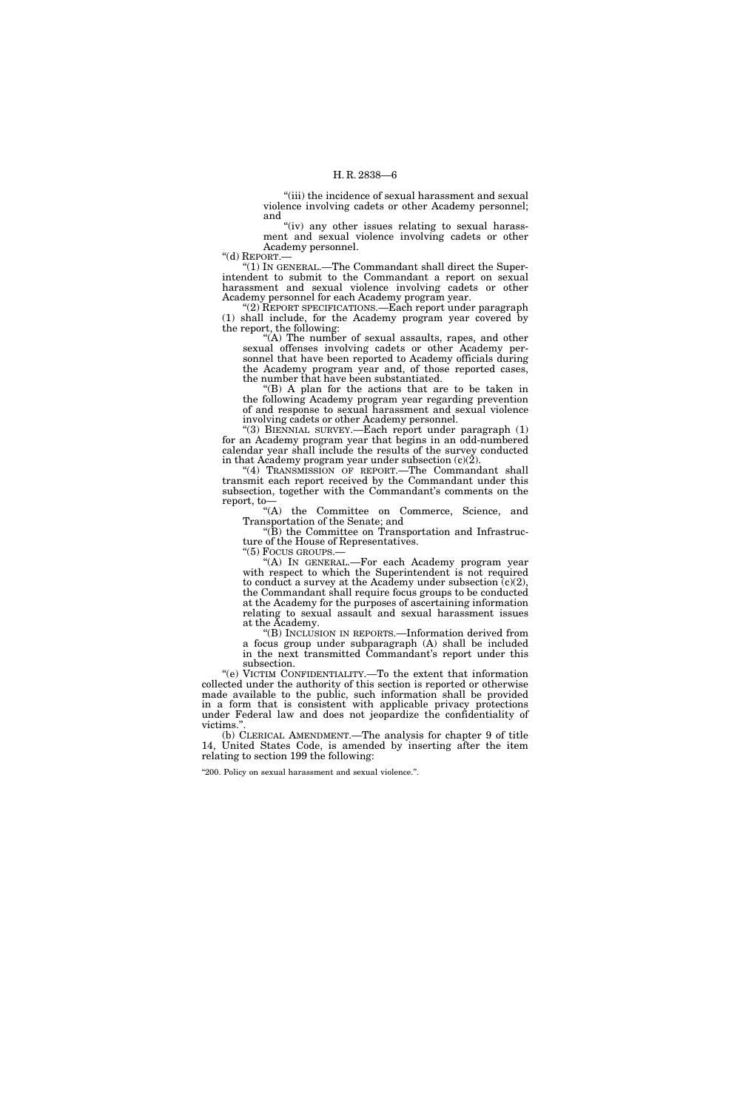"(iii) the incidence of sexual harassment and sexual violence involving cadets or other Academy personnel; and

"(iv) any other issues relating to sexual harassment and sexual violence involving cadets or other Academy personnel.<br>"(d) REPORT.—

'(1) IN GENERAL.—The Commandant shall direct the Superintendent to submit to the Commandant a report on sexual harassment and sexual violence involving cadets or other Academy personnel for each Academy program year.

''(2) REPORT SPECIFICATIONS.—Each report under paragraph (1) shall include, for the Academy program year covered by the report, the following:

 $(A)$  The number of sexual assaults, rapes, and other sexual offenses involving cadets or other Academy personnel that have been reported to Academy officials during the Academy program year and, of those reported cases, the number that have been substantiated.

 $(B)$  A plan for the actions that are to be taken in the following Academy program year regarding prevention of and response to sexual harassment and sexual violence involving cadets or other Academy personnel.

''(3) BIENNIAL SURVEY.—Each report under paragraph (1) for an Academy program year that begins in an odd-numbered calendar year shall include the results of the survey conducted in that Academy program year under subsection  $(c)(\check{2})$ .

"(4) TRANSMISSION OF REPORT.—The Commandant shall transmit each report received by the Commandant under this subsection, together with the Commandant's comments on the report, to—

''(A) the Committee on Commerce, Science, and Transportation of the Senate; and

''(B) the Committee on Transportation and Infrastructure of the House of Representatives.<br>"(5) Focus GROUPS.—

"(A) IN GENERAL.—For each Academy program year with respect to which the Superintendent is not required to conduct a survey at the Academy under subsection  $(c)(2)$ , the Commandant shall require focus groups to be conducted at the Academy for the purposes of ascertaining information relating to sexual assault and sexual harassment issues at the Academy.

''(B) INCLUSION IN REPORTS.—Information derived from a focus group under subparagraph (A) shall be included in the next transmitted Commandant's report under this subsection.

''(e) VICTIM CONFIDENTIALITY.—To the extent that information collected under the authority of this section is reported or otherwise made available to the public, such information shall be provided in a form that is consistent with applicable privacy protections under Federal law and does not jeopardize the confidentiality of victims."

(b) CLERICAL AMENDMENT.—The analysis for chapter 9 of title 14, United States Code, is amended by inserting after the item relating to section 199 the following:

''200. Policy on sexual harassment and sexual violence.''.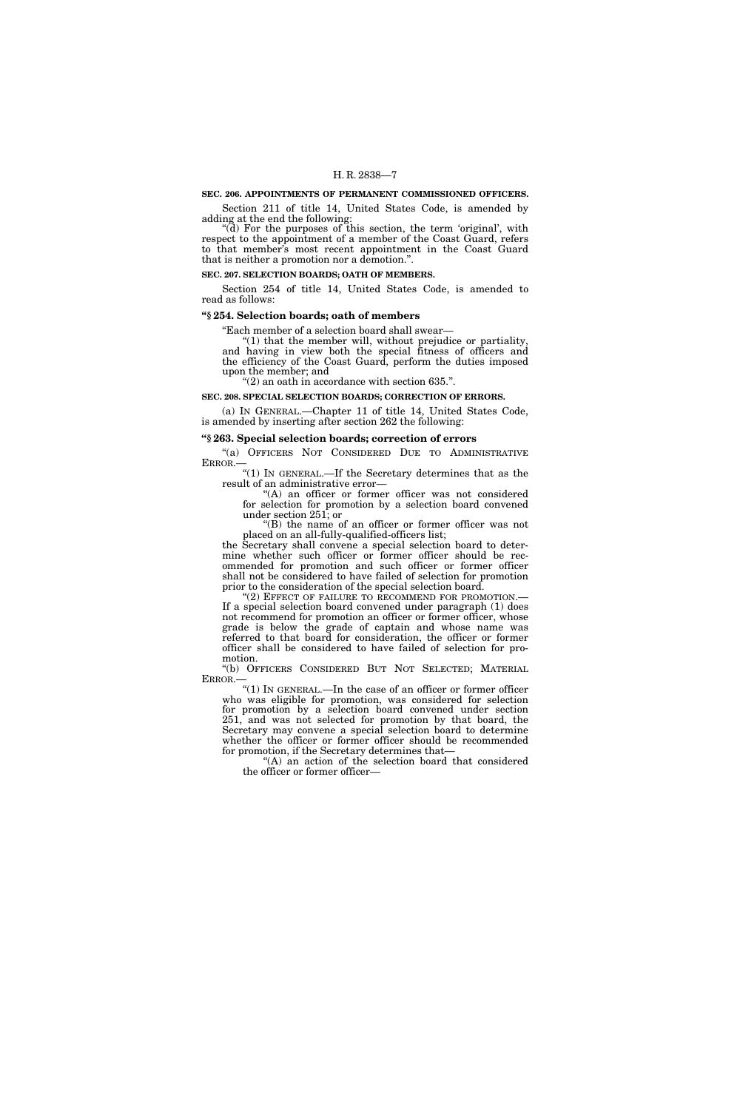# **SEC. 206. APPOINTMENTS OF PERMANENT COMMISSIONED OFFICERS.**

Section 211 of title 14, United States Code, is amended by adding at the end the following:

"(d) For the purposes of this section, the term 'original', with respect to the appointment of a member of the Coast Guard, refers to that member's most recent appointment in the Coast Guard that is neither a promotion nor a demotion.''.

**SEC. 207. SELECTION BOARDS; OATH OF MEMBERS.** 

Section 254 of title 14, United States Code, is amended to read as follows:

#### **''§ 254. Selection boards; oath of members**

''Each member of a selection board shall swear—

"(1) that the member will, without prejudice or partiality, and having in view both the special fitness of officers and the efficiency of the Coast Guard, perform the duties imposed upon the member; and

" $(2)$  an oath in accordance with section 635.".

#### **SEC. 208. SPECIAL SELECTION BOARDS; CORRECTION OF ERRORS.**

(a) IN GENERAL.—Chapter 11 of title 14, United States Code, is amended by inserting after section 262 the following:

#### **''§ 263. Special selection boards; correction of errors**

"(a) OFFICERS NOT CONSIDERED DUE TO ADMINISTRATIVE ERROR.—

 $\mathrm{``(1)}$  In GENERAL.—If the Secretary determines that as the result of an administrative error—

''(A) an officer or former officer was not considered for selection for promotion by a selection board convened under section 251; or

''(B) the name of an officer or former officer was not placed on an all-fully-qualified-officers list;

the Secretary shall convene a special selection board to determine whether such officer or former officer should be recommended for promotion and such officer or former officer shall not be considered to have failed of selection for promotion prior to the consideration of the special selection board.

"(2) EFFECT OF FAILURE TO RECOMMEND FOR PROMOTION.— If a special selection board convened under paragraph (1) does not recommend for promotion an officer or former officer, whose grade is below the grade of captain and whose name was referred to that board for consideration, the officer or former officer shall be considered to have failed of selection for promotion.

''(b) OFFICERS CONSIDERED BUT NOT SELECTED; MATERIAL ERROR.—

 $\mathrm{``(1)}$  In GENERAL.—In the case of an officer or former officer who was eligible for promotion, was considered for selection for promotion by a selection board convened under section 251, and was not selected for promotion by that board, the Secretary may convene a special selection board to determine whether the officer or former officer should be recommended for promotion, if the Secretary determines that—

''(A) an action of the selection board that considered the officer or former officer—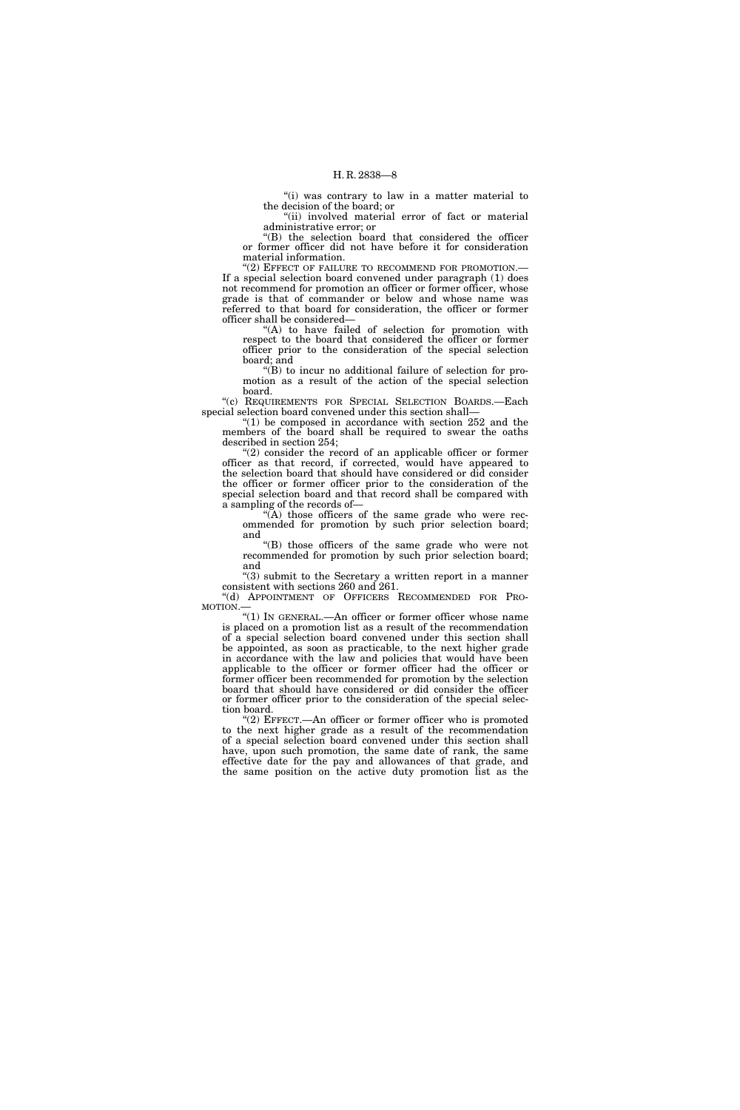"(i) was contrary to law in a matter material to the decision of the board; or ''(ii) involved material error of fact or material

administrative error; or

''(B) the selection board that considered the officer or former officer did not have before it for consideration material information.

"(2) EFFECT OF FAILURE TO RECOMMEND FOR PROMOTION.-If a special selection board convened under paragraph (1) does not recommend for promotion an officer or former officer, whose grade is that of commander or below and whose name was referred to that board for consideration, the officer or former officer shall be considered—

"(A) to have failed of selection for promotion with respect to the board that considered the officer or former officer prior to the consideration of the special selection board; and

''(B) to incur no additional failure of selection for promotion as a result of the action of the special selection board.

''(c) REQUIREMENTS FOR SPECIAL SELECTION BOARDS.—Each special selection board convened under this section shall—

" $(1)$  be composed in accordance with section 252 and the members of the board shall be required to swear the oaths described in section 254;

"(2) consider the record of an applicable officer or former officer as that record, if corrected, would have appeared to the selection board that should have considered or did consider the officer or former officer prior to the consideration of the special selection board and that record shall be compared with a sampling of the records of—

 $\widetilde{H}(A)$  those officers of the same grade who were recommended for promotion by such prior selection board; and

''(B) those officers of the same grade who were not recommended for promotion by such prior selection board; and

 $(3)$  submit to the Secretary a written report in a manner consistent with sections 260 and 261.

''(d) APPOINTMENT OF OFFICERS RECOMMENDED FOR PRO-MOTION.—

''(1) IN GENERAL.—An officer or former officer whose name is placed on a promotion list as a result of the recommendation of a special selection board convened under this section shall be appointed, as soon as practicable, to the next higher grade in accordance with the law and policies that would have been applicable to the officer or former officer had the officer or former officer been recommended for promotion by the selection board that should have considered or did consider the officer or former officer prior to the consideration of the special selection board.

 $(2)$  EFFECT.—An officer or former officer who is promoted to the next higher grade as a result of the recommendation of a special selection board convened under this section shall have, upon such promotion, the same date of rank, the same effective date for the pay and allowances of that grade, and the same position on the active duty promotion list as the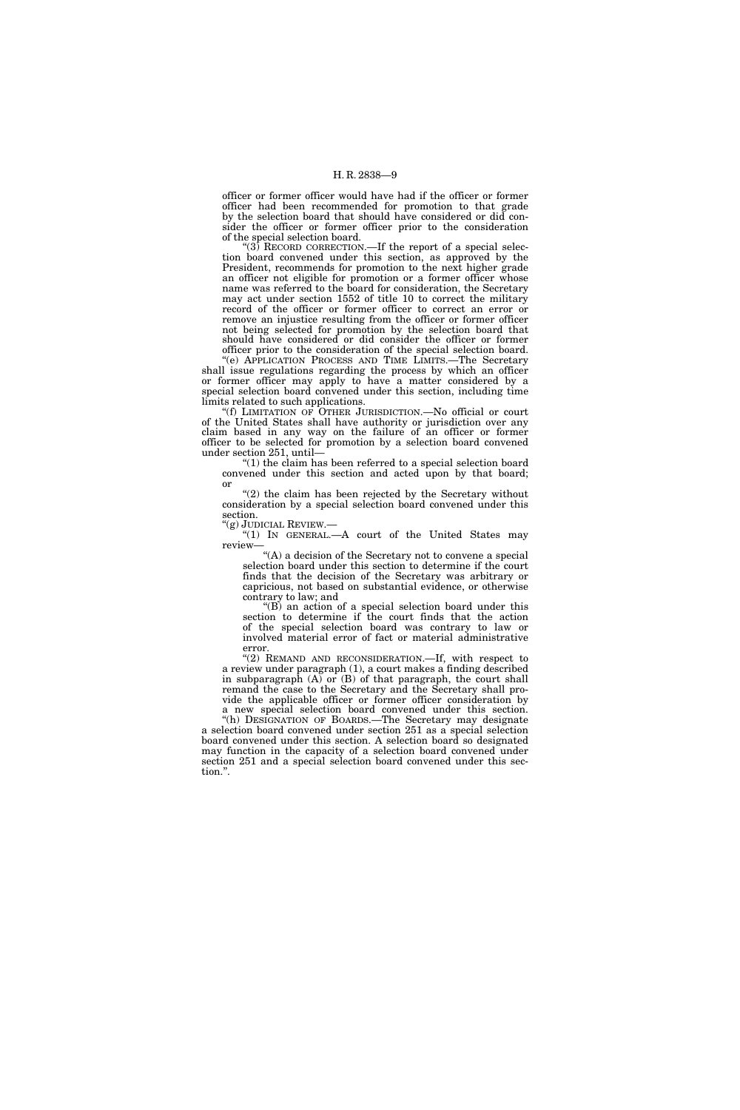officer or former officer would have had if the officer or former officer had been recommended for promotion to that grade by the selection board that should have considered or did consider the officer or former officer prior to the consideration of the special selection board.

 $(3)$  RECORD CORRECTION.—If the report of a special selection board convened under this section, as approved by the President, recommends for promotion to the next higher grade an officer not eligible for promotion or a former officer whose name was referred to the board for consideration, the Secretary may act under section 1552 of title 10 to correct the military record of the officer or former officer to correct an error or remove an injustice resulting from the officer or former officer not being selected for promotion by the selection board that should have considered or did consider the officer or former officer prior to the consideration of the special selection board.

''(e) APPLICATION PROCESS AND TIME LIMITS.—The Secretary shall issue regulations regarding the process by which an officer or former officer may apply to have a matter considered by a special selection board convened under this section, including time limits related to such applications.

''(f) LIMITATION OF OTHER JURISDICTION.—No official or court of the United States shall have authority or jurisdiction over any claim based in any way on the failure of an officer or former officer to be selected for promotion by a selection board convened under section 251, until—

''(1) the claim has been referred to a special selection board convened under this section and acted upon by that board; or

''(2) the claim has been rejected by the Secretary without consideration by a special selection board convened under this section.<br>"(g) JUDICIAL REVIEW.—

"(1) IN GENERAL  $-A$  court of the United States may review—

''(A) a decision of the Secretary not to convene a special selection board under this section to determine if the court finds that the decision of the Secretary was arbitrary or capricious, not based on substantial evidence, or otherwise contrary to law; and

''(B) an action of a special selection board under this section to determine if the court finds that the action of the special selection board was contrary to law or involved material error of fact or material administrative error.

''(2) REMAND AND RECONSIDERATION.—If, with respect to a review under paragraph (1), a court makes a finding described in subparagraph (A) or (B) of that paragraph, the court shall remand the case to the Secretary and the Secretary shall provide the applicable officer or former officer consideration by a new special selection board convened under this section.

''(h) DESIGNATION OF BOARDS.—The Secretary may designate a selection board convened under section 251 as a special selection board convened under this section. A selection board so designated may function in the capacity of a selection board convened under section 251 and a special selection board convened under this section.''.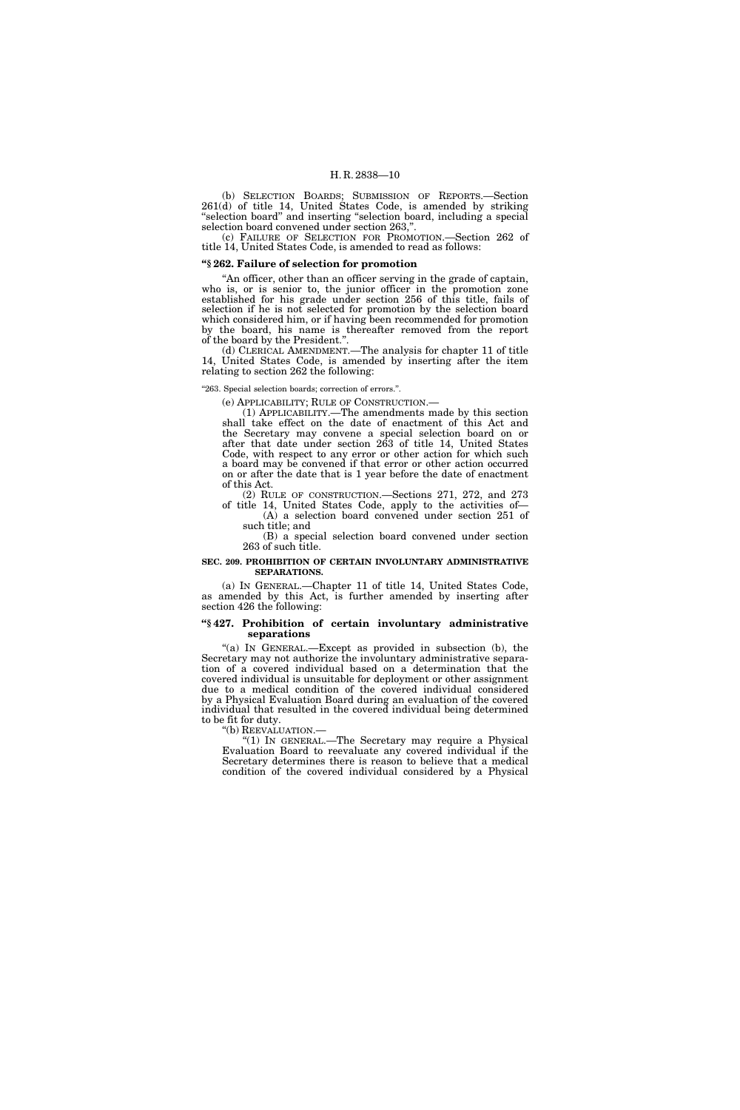(b) SELECTION BOARDS; SUBMISSION OF REPORTS.—Section 261(d) of title 14, United States Code, is amended by striking ''selection board'' and inserting ''selection board, including a special selection board convened under section 263,''.

(c) FAILURE OF SELECTION FOR PROMOTION.—Section 262 of title 14, United States Code, is amended to read as follows:

# **''§ 262. Failure of selection for promotion**

"An officer, other than an officer serving in the grade of captain, who is, or is senior to, the junior officer in the promotion zone established for his grade under section 256 of this title, fails of selection if he is not selected for promotion by the selection board which considered him, or if having been recommended for promotion by the board, his name is thereafter removed from the report of the board by the President.''.

(d) CLERICAL AMENDMENT.—The analysis for chapter 11 of title 14, United States Code, is amended by inserting after the item relating to section 262 the following:

"263. Special selection boards; correction of errors.".

(e) APPLICABILITY; RULE OF CONSTRUCTION.—

(1) APPLICABILITY.—The amendments made by this section shall take effect on the date of enactment of this Act and the Secretary may convene a special selection board on or after that date under section 263 of title 14, United States Code, with respect to any error or other action for which such a board may be convened if that error or other action occurred on or after the date that is 1 year before the date of enactment of this Act.

(2) RULE OF CONSTRUCTION.—Sections 271, 272, and 273 of title 14, United States Code, apply to the activities of—

(A) a selection board convened under section 251 of such title; and

(B) a special selection board convened under section 263 of such title.

#### **SEC. 209. PROHIBITION OF CERTAIN INVOLUNTARY ADMINISTRATIVE SEPARATIONS.**

(a) IN GENERAL.—Chapter 11 of title 14, United States Code, as amended by this Act, is further amended by inserting after section 426 the following:

#### **''§ 427. Prohibition of certain involuntary administrative separations**

"(a) IN GENERAL.—Except as provided in subsection (b), the Secretary may not authorize the involuntary administrative separation of a covered individual based on a determination that the covered individual is unsuitable for deployment or other assignment due to a medical condition of the covered individual considered by a Physical Evaluation Board during an evaluation of the covered individual that resulted in the covered individual being determined to be fit for duty.

''(b) REEVALUATION.—

"(1) IN GENERAL.—The Secretary may require a Physical Evaluation Board to reevaluate any covered individual if the Secretary determines there is reason to believe that a medical condition of the covered individual considered by a Physical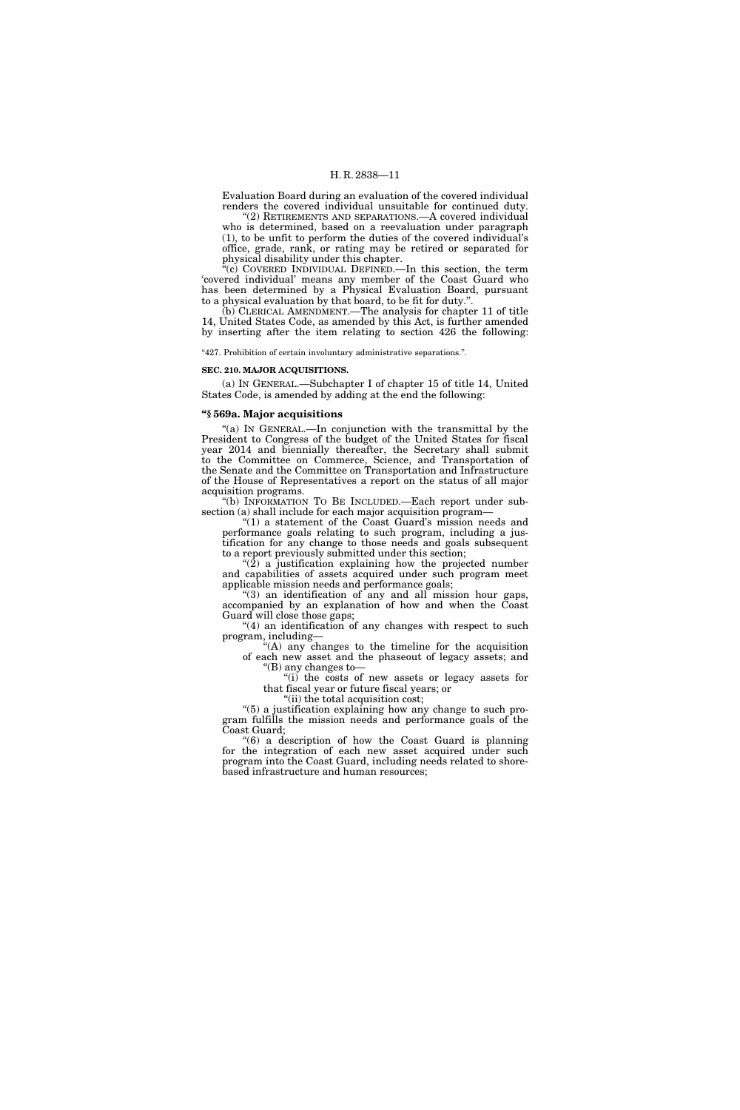Evaluation Board during an evaluation of the covered individual renders the covered individual unsuitable for continued duty.

'(2) RETIREMENTS AND SEPARATIONS.—A covered individual who is determined, based on a reevaluation under paragraph (1), to be unfit to perform the duties of the covered individual's office, grade, rank, or rating may be retired or separated for physical disability under this chapter.

 $\mathbf{F}^{\mathbf{r}}(\mathbf{c})$  COVERED INDIVIDUAL DEFINED.—In this section, the term 'covered individual' means any member of the Coast Guard who has been determined by a Physical Evaluation Board, pursuant to a physical evaluation by that board, to be fit for duty."

(b) CLERICAL AMENDMENT.—The analysis for chapter 11 of title 14, United States Code, as amended by this Act, is further amended by inserting after the item relating to section 426 the following:

''427. Prohibition of certain involuntary administrative separations.''.

#### **SEC. 210. MAJOR ACQUISITIONS.**

(a) IN GENERAL.—Subchapter I of chapter 15 of title 14, United States Code, is amended by adding at the end the following:

#### **''§ 569a. Major acquisitions**

''(a) IN GENERAL.—In conjunction with the transmittal by the President to Congress of the budget of the United States for fiscal year 2014 and biennially thereafter, the Secretary shall submit to the Committee on Commerce, Science, and Transportation of the Senate and the Committee on Transportation and Infrastructure of the House of Representatives a report on the status of all major acquisition programs.

''(b) INFORMATION TO BE INCLUDED.—Each report under subsection (a) shall include for each major acquisition program—

"(1) a statement of the Coast Guard's mission needs and performance goals relating to such program, including a justification for any change to those needs and goals subsequent to a report previously submitted under this section;

" $(2)$  a justification explaining how the projected number and capabilities of assets acquired under such program meet applicable mission needs and performance goals;

" $(3)$  an identification of any and all mission hour gaps, accompanied by an explanation of how and when the Coast Guard will close those gaps;

"(4) an identification of any changes with respect to such program, including—

''(A) any changes to the timeline for the acquisition of each new asset and the phaseout of legacy assets; and ''(B) any changes to—

"(i) the costs of new assets or legacy assets for that fiscal year or future fiscal years; or

"(ii) the total acquisition cost;

''(5) a justification explaining how any change to such program fulfills the mission needs and performance goals of the Coast Guard;

''(6) a description of how the Coast Guard is planning for the integration of each new asset acquired under such program into the Coast Guard, including needs related to shorebased infrastructure and human resources;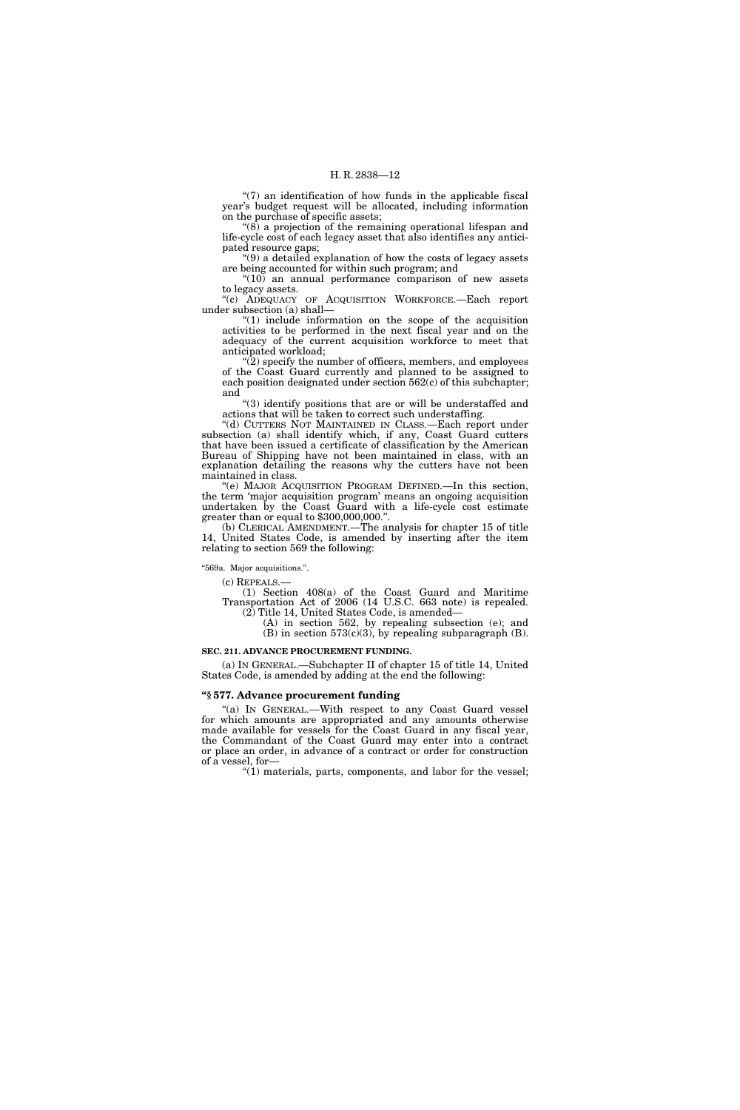" $(7)$  an identification of how funds in the applicable fiscal year's budget request will be allocated, including information on the purchase of specific assets;

''(8) a projection of the remaining operational lifespan and life-cycle cost of each legacy asset that also identifies any anticipated resource gaps;

''(9) a detailed explanation of how the costs of legacy assets are being accounted for within such program; and

 $\degree(10)$  an annual performance comparison of new assets to legacy assets.

''(c) ADEQUACY OF ACQUISITION WORKFORCE.—Each report under subsection (a) shall—

 $''(1)$  include information on the scope of the acquisition activities to be performed in the next fiscal year and on the adequacy of the current acquisition workforce to meet that anticipated workload;

"(2) specify the number of officers, members, and employees of the Coast Guard currently and planned to be assigned to each position designated under section 562(c) of this subchapter; and

''(3) identify positions that are or will be understaffed and actions that will be taken to correct such understaffing.

"(d) CUTTERS NOT MAINTAINED IN CLASS.-Each report under subsection (a) shall identify which, if any, Coast Guard cutters that have been issued a certificate of classification by the American Bureau of Shipping have not been maintained in class, with an explanation detailing the reasons why the cutters have not been maintained in class.

(e) MAJOR ACQUISITION PROGRAM DEFINED.—In this section, the term 'major acquisition program' means an ongoing acquisition undertaken by the Coast Guard with a life-cycle cost estimate greater than or equal to \$300,000,000.''.

(b) CLERICAL AMENDMENT.—The analysis for chapter 15 of title 14, United States Code, is amended by inserting after the item relating to section 569 the following:

''569a. Major acquisitions.''.

(c) REPEALS.—

(1) Section 408(a) of the Coast Guard and Maritime Transportation Act of 2006 (14 U.S.C. 663 note) is repealed. (2) Title 14, United States Code, is amended—

(A) in section 562, by repealing subsection (e); and  $(B)$  in section 573 $(c)(3)$ , by repealing subparagraph  $(B)$ .

#### **SEC. 211. ADVANCE PROCUREMENT FUNDING.**

(a) IN GENERAL.—Subchapter II of chapter 15 of title 14, United States Code, is amended by adding at the end the following:

#### **''§ 577. Advance procurement funding**

''(a) IN GENERAL.—With respect to any Coast Guard vessel for which amounts are appropriated and any amounts otherwise made available for vessels for the Coast Guard in any fiscal year, the Commandant of the Coast Guard may enter into a contract or place an order, in advance of a contract or order for construction of a vessel, for—

 $''(1)$  materials, parts, components, and labor for the vessel;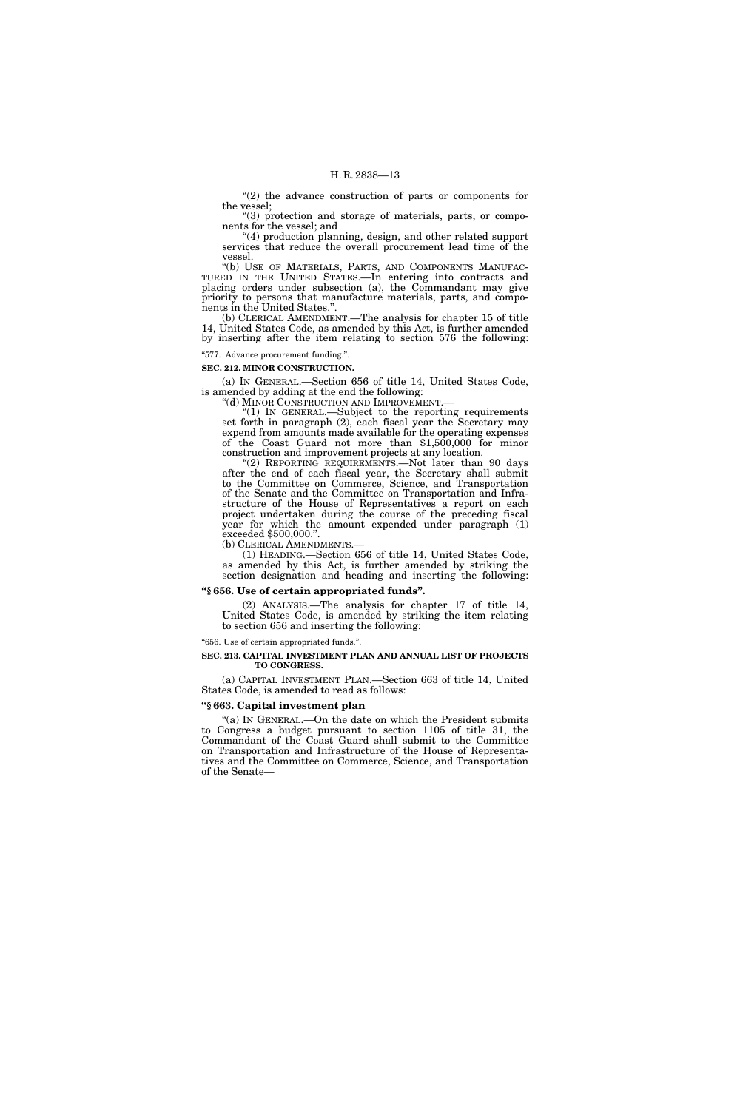"(2) the advance construction of parts or components for the vessel;

''(3) protection and storage of materials, parts, or components for the vessel; and

''(4) production planning, design, and other related support services that reduce the overall procurement lead time of the vessel.

"(b) USE OF MATERIALS, PARTS, AND COMPONENTS MANUFAC-TURED IN THE UNITED STATES.—In entering into contracts and placing orders under subsection (a), the Commandant may give priority to persons that manufacture materials, parts, and components in the United States.''.

(b) CLERICAL AMENDMENT.—The analysis for chapter 15 of title 14, United States Code, as amended by this Act, is further amended by inserting after the item relating to section 576 the following:

''577. Advance procurement funding.''.

**SEC. 212. MINOR CONSTRUCTION.** 

(a) IN GENERAL.—Section 656 of title 14, United States Code, is amended by adding at the end the following:<br>"(d) MINOR CONSTRUCTION AND IMPROVEMENT.

" $(1)$  In GENERAL.—Subject to the reporting requirements. set forth in paragraph (2), each fiscal year the Secretary may expend from amounts made available for the operating expenses of the Coast Guard not more than \$1,500,000 for minor construction and improvement projects at any location.

''(2) REPORTING REQUIREMENTS.—Not later than 90 days after the end of each fiscal year, the Secretary shall submit to the Committee on Commerce, Science, and Transportation of the Senate and the Committee on Transportation and Infrastructure of the House of Representatives a report on each project undertaken during the course of the preceding fiscal year for which the amount expended under paragraph (1) exceeded \$500,000.''.

(b) CLERICAL AMENDMENTS.— (1) HEADING.—Section 656 of title 14, United States Code, as amended by this Act, is further amended by striking the section designation and heading and inserting the following:

#### **''§ 656. Use of certain appropriated funds''.**

(2) ANALYSIS.—The analysis for chapter 17 of title 14, United States Code, is amended by striking the item relating to section 656 and inserting the following:

''656. Use of certain appropriated funds.''.

#### **SEC. 213. CAPITAL INVESTMENT PLAN AND ANNUAL LIST OF PROJECTS TO CONGRESS.**

(a) CAPITAL INVESTMENT PLAN.—Section 663 of title 14, United States Code, is amended to read as follows:

#### **''§ 663. Capital investment plan**

''(a) IN GENERAL.—On the date on which the President submits to Congress a budget pursuant to section 1105 of title 31, the Commandant of the Coast Guard shall submit to the Committee on Transportation and Infrastructure of the House of Representatives and the Committee on Commerce, Science, and Transportation of the Senate—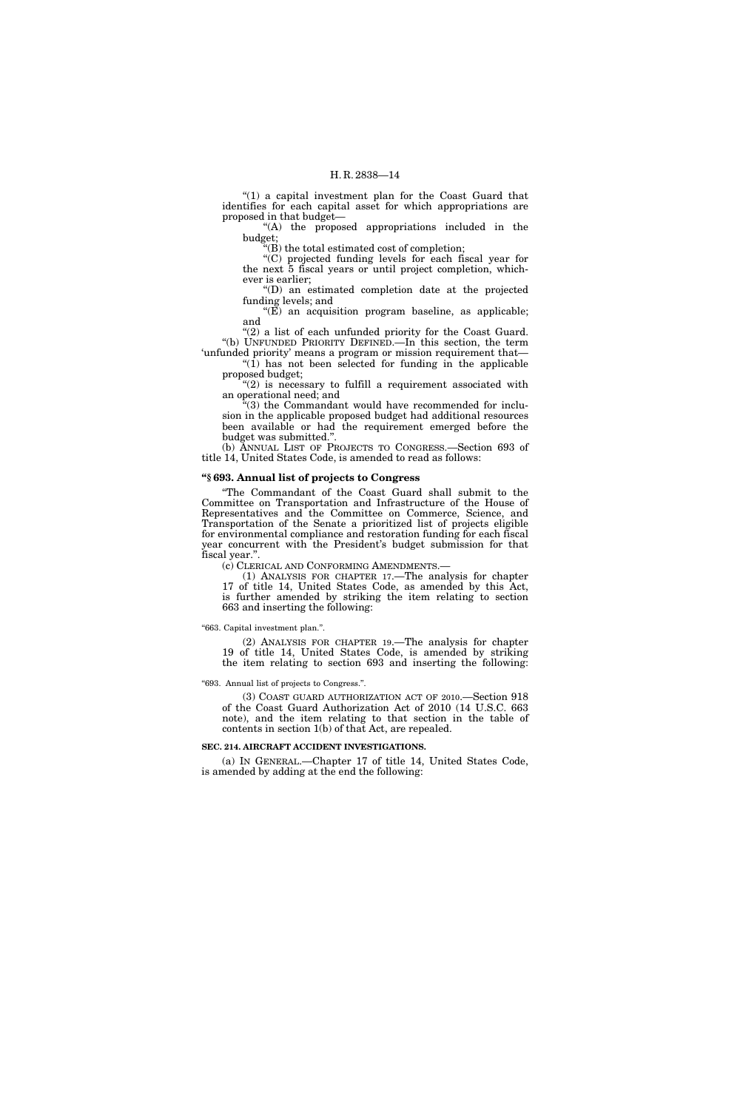" $(1)$  a capital investment plan for the Coast Guard that identifies for each capital asset for which appropriations are proposed in that budget—

''(A) the proposed appropriations included in the budget;

''(B) the total estimated cost of completion;

''(C) projected funding levels for each fiscal year for the next 5 fiscal years or until project completion, whichever is earlier;

''(D) an estimated completion date at the projected funding levels; and

 $E$ ) an acquisition program baseline, as applicable; and

"(2) a list of each unfunded priority for the Coast Guard. ''(b) UNFUNDED PRIORITY DEFINED.—In this section, the term 'unfunded priority' means a program or mission requirement that—

 $(1)$  has not been selected for funding in the applicable proposed budget;

" $(2)$  is necessary to fulfill a requirement associated with an operational need; and

''(3) the Commandant would have recommended for inclusion in the applicable proposed budget had additional resources been available or had the requirement emerged before the budget was submitted.

(b) ANNUAL LIST OF PROJECTS TO CONGRESS.—Section 693 of title 14, United States Code, is amended to read as follows:

#### **''§ 693. Annual list of projects to Congress**

''The Commandant of the Coast Guard shall submit to the Committee on Transportation and Infrastructure of the House of Representatives and the Committee on Commerce, Science, and Transportation of the Senate a prioritized list of projects eligible for environmental compliance and restoration funding for each fiscal year concurrent with the President's budget submission for that fiscal year.''.

(c) CLERICAL AND CONFORMING AMENDMENTS.—

(1) ANALYSIS FOR CHAPTER 17.—The analysis for chapter 17 of title 14, United States Code, as amended by this Act, is further amended by striking the item relating to section 663 and inserting the following:

#### ''663. Capital investment plan.''.

(2) ANALYSIS FOR CHAPTER 19.—The analysis for chapter 19 of title 14, United States Code, is amended by striking the item relating to section 693 and inserting the following:

#### ''693. Annual list of projects to Congress.''.

(3) COAST GUARD AUTHORIZATION ACT OF 2010.—Section 918 of the Coast Guard Authorization Act of 2010 (14 U.S.C. 663 note), and the item relating to that section in the table of contents in section 1(b) of that Act, are repealed.

#### **SEC. 214. AIRCRAFT ACCIDENT INVESTIGATIONS.**

(a) IN GENERAL.—Chapter 17 of title 14, United States Code, is amended by adding at the end the following: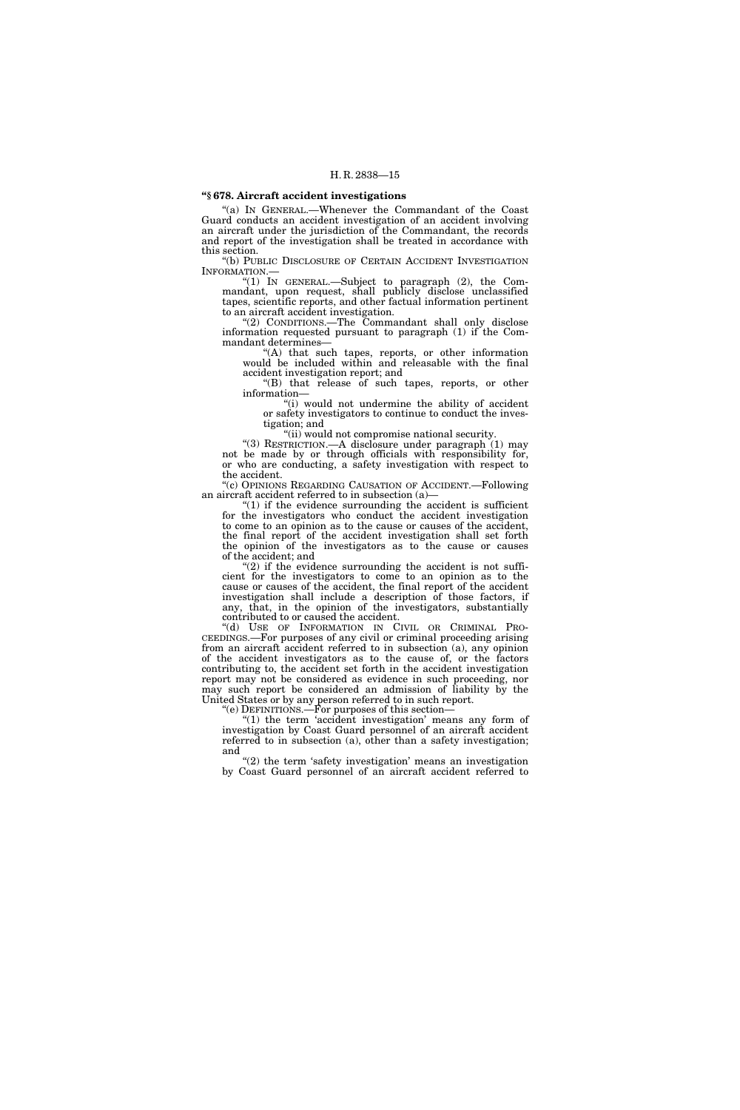# **''§ 678. Aircraft accident investigations**

''(a) IN GENERAL.—Whenever the Commandant of the Coast Guard conducts an accident investigation of an accident involving an aircraft under the jurisdiction of the Commandant, the records and report of the investigation shall be treated in accordance with this section.

"(b) PUBLIC DISCLOSURE OF CERTAIN ACCIDENT INVESTIGATION INFORMATION.—

"(1) IN GENERAL.—Subject to paragraph (2), the Commandant, upon request, shall publicly disclose unclassified tapes, scientific reports, and other factual information pertinent to an aircraft accident investigation.

''(2) CONDITIONS.—The Commandant shall only disclose information requested pursuant to paragraph (1) if the Commandant determines—

''(A) that such tapes, reports, or other information would be included within and releasable with the final accident investigation report; and

"(B) that release of such tapes, reports, or other information—

''(i) would not undermine the ability of accident or safety investigators to continue to conduct the investigation; and

''(ii) would not compromise national security.

''(3) RESTRICTION.—A disclosure under paragraph (1) may not be made by or through officials with responsibility for, or who are conducting, a safety investigation with respect to the accident.

''(c) OPINIONS REGARDING CAUSATION OF ACCIDENT.—Following an aircraft accident referred to in subsection (a)—

" $(1)$  if the evidence surrounding the accident is sufficient for the investigators who conduct the accident investigation to come to an opinion as to the cause or causes of the accident, the final report of the accident investigation shall set forth the opinion of the investigators as to the cause or causes of the accident; and

 $(2)$  if the evidence surrounding the accident is not sufficient for the investigators to come to an opinion as to the cause or causes of the accident, the final report of the accident investigation shall include a description of those factors, if any, that, in the opinion of the investigators, substantially contributed to or caused the accident.

''(d) USE OF INFORMATION IN CIVIL OR CRIMINAL PRO-CEEDINGS.—For purposes of any civil or criminal proceeding arising from an aircraft accident referred to in subsection (a), any opinion of the accident investigators as to the cause of, or the factors contributing to, the accident set forth in the accident investigation report may not be considered as evidence in such proceeding, nor may such report be considered an admission of liability by the United States or by any person referred to in such report.

''(e) DEFINITIONS.—For purposes of this section—

"(1) the term 'accident investigation' means any form of investigation by Coast Guard personnel of an aircraft accident referred to in subsection (a), other than a safety investigation; and

" $(2)$  the term 'safety investigation' means an investigation by Coast Guard personnel of an aircraft accident referred to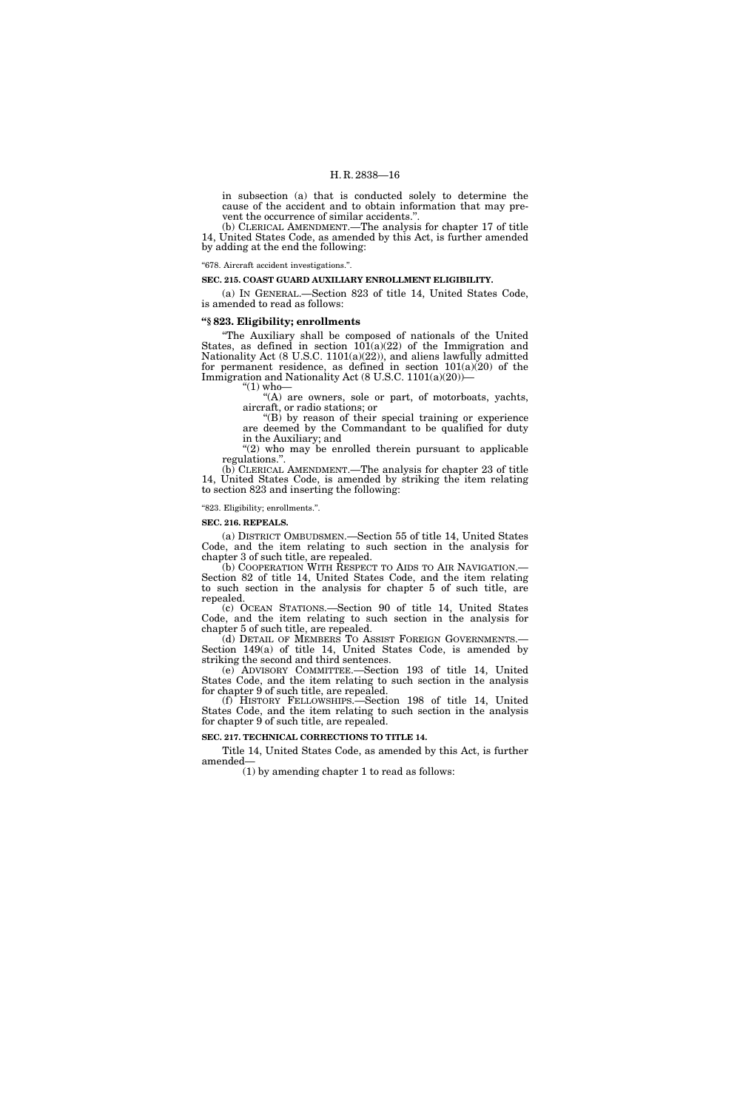in subsection (a) that is conducted solely to determine the cause of the accident and to obtain information that may prevent the occurrence of similar accidents.''.

(b) CLERICAL AMENDMENT.—The analysis for chapter 17 of title 14, United States Code, as amended by this Act, is further amended by adding at the end the following:

#### ''678. Aircraft accident investigations.''.

#### **SEC. 215. COAST GUARD AUXILIARY ENROLLMENT ELIGIBILITY.**

(a) IN GENERAL.—Section 823 of title 14, United States Code, is amended to read as follows:

#### **''§ 823. Eligibility; enrollments**

''The Auxiliary shall be composed of nationals of the United States, as defined in section  $10(1a)(22)$  of the Immigration and Nationality Act (8 U.S.C. 1101(a)(22)), and aliens lawfully admitted for permanent residence, as defined in section  $101(a)(20)$  of the Immigration and Nationality Act (8 U.S.C. 1101(a)(20))—

 $\degree$ (1) who $-$ 

''(A) are owners, sole or part, of motorboats, yachts, aircraft, or radio stations; or

" $(B)$  by reason of their special training or experience are deemed by the Commandant to be qualified for duty in the Auxiliary; and

"(2) who may be enrolled therein pursuant to applicable regulations.''.

(b) CLERICAL AMENDMENT.—The analysis for chapter 23 of title 14, United States Code, is amended by striking the item relating to section 823 and inserting the following:

#### ''823. Eligibility; enrollments.''.

**SEC. 216. REPEALS.** 

(a) DISTRICT OMBUDSMEN.—Section 55 of title 14, United States Code, and the item relating to such section in the analysis for chapter 3 of such title, are repealed.

(b) COOPERATION WITH RESPECT TO AIDS TO AIR NAVIGATION.— Section 82 of title 14, United States Code, and the item relating to such section in the analysis for chapter 5 of such title, are repealed.

(c) OCEAN STATIONS.—Section 90 of title 14, United States Code, and the item relating to such section in the analysis for chapter 5 of such title, are repealed.<br>(d) DETAIL OF MEMBERS TO ASSIST FOREIGN GOVERNMENTS.

Section  $149(a)$  of title 14, United States Code, is amended by striking the second and third sentences.

(e) ADVISORY COMMITTEE.—Section 193 of title 14, United States Code, and the item relating to such section in the analysis for chapter 9 of such title, are repealed.

(f) HISTORY FELLOWSHIPS.—Section 198 of title 14, United States Code, and the item relating to such section in the analysis for chapter 9 of such title, are repealed.

**SEC. 217. TECHNICAL CORRECTIONS TO TITLE 14.** 

Title 14, United States Code, as amended by this Act, is further amended—

(1) by amending chapter 1 to read as follows: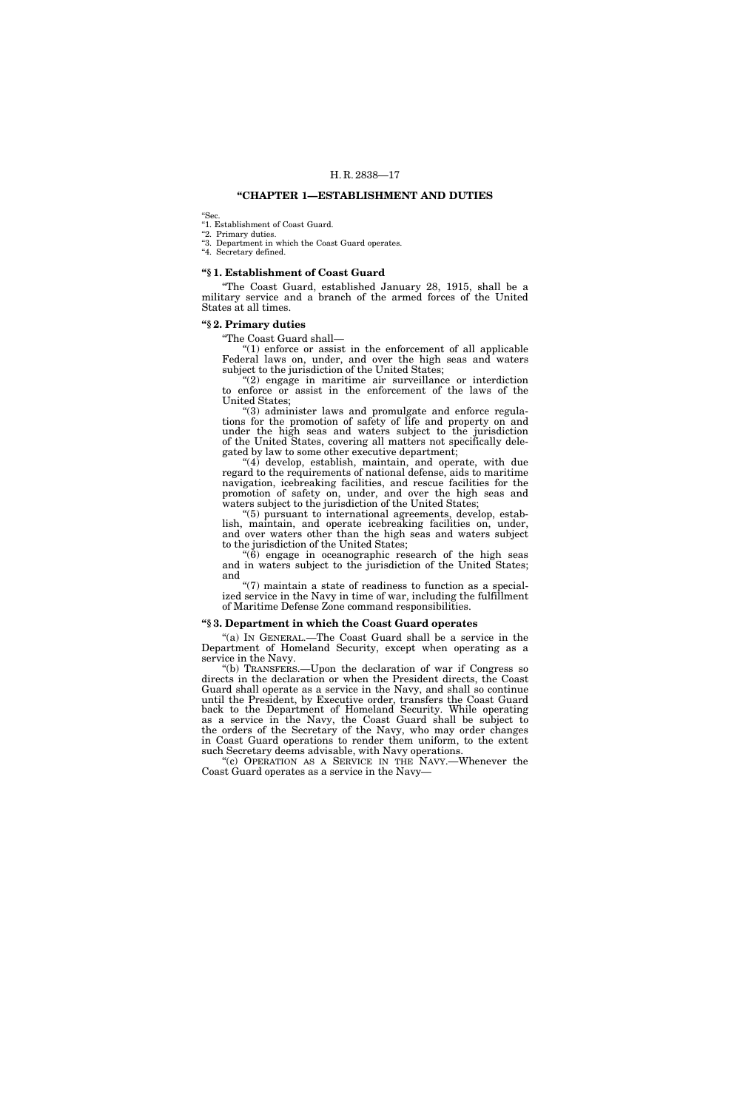#### **''CHAPTER 1—ESTABLISHMENT AND DUTIES**

''Sec.

''1. Establishment of Coast Guard.

"2. Primary duties.

''3. Department in which the Coast Guard operates.

"4. Secretary defined.

### **''§ 1. Establishment of Coast Guard**

''The Coast Guard, established January 28, 1915, shall be a military service and a branch of the armed forces of the United States at all times.

# **''§ 2. Primary duties**

''The Coast Guard shall—

" $(1)$  enforce or assist in the enforcement of all applicable Federal laws on, under, and over the high seas and waters subject to the jurisdiction of the United States;

"(2) engage in maritime air surveillance or interdiction to enforce or assist in the enforcement of the laws of the United States;

''(3) administer laws and promulgate and enforce regulations for the promotion of safety of life and property on and under the high seas and waters subject to the jurisdiction of the United States, covering all matters not specifically delegated by law to some other executive department;

"(4) develop, establish, maintain, and operate, with due regard to the requirements of national defense, aids to maritime navigation, icebreaking facilities, and rescue facilities for the promotion of safety on, under, and over the high seas and waters subject to the jurisdiction of the United States;

''(5) pursuant to international agreements, develop, establish, maintain, and operate icebreaking facilities on, under, and over waters other than the high seas and waters subject to the jurisdiction of the United States;

 $\ddot{6}$ ) engage in oceanographic research of the high seas and in waters subject to the jurisdiction of the United States; and

" $(7)$  maintain a state of readiness to function as a specialized service in the Navy in time of war, including the fulfillment of Maritime Defense Zone command responsibilities.

#### **''§ 3. Department in which the Coast Guard operates**

''(a) IN GENERAL.—The Coast Guard shall be a service in the Department of Homeland Security, except when operating as a service in the Navy.

''(b) TRANSFERS.—Upon the declaration of war if Congress so directs in the declaration or when the President directs, the Coast Guard shall operate as a service in the Navy, and shall so continue until the President, by Executive order, transfers the Coast Guard back to the Department of Homeland Security. While operating as a service in the Navy, the Coast Guard shall be subject to the orders of the Secretary of the Navy, who may order changes in Coast Guard operations to render them uniform, to the extent such Secretary deems advisable, with Navy operations.

"(c) OPERATION AS A SERVICE IN THE NAVY.—Whenever the Coast Guard operates as a service in the Navy—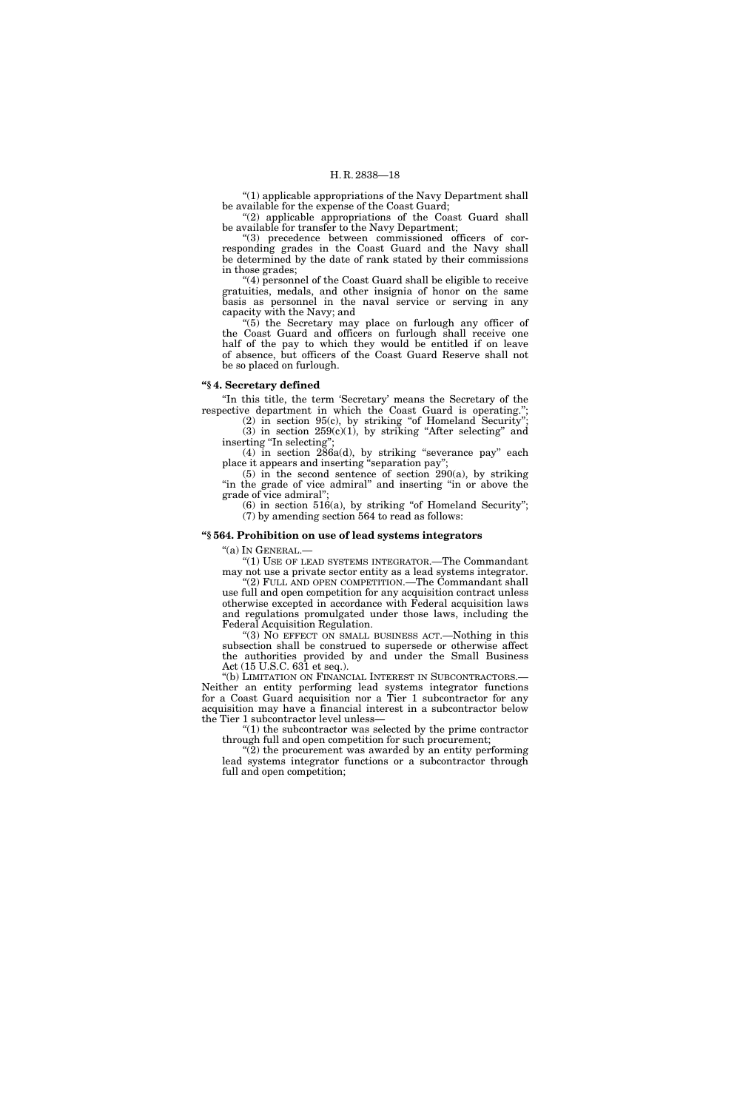''(1) applicable appropriations of the Navy Department shall be available for the expense of the Coast Guard;

"(2) applicable appropriations of the Coast Guard shall be available for transfer to the Navy Department;

''(3) precedence between commissioned officers of corresponding grades in the Coast Guard and the Navy shall be determined by the date of rank stated by their commissions in those grades;

''(4) personnel of the Coast Guard shall be eligible to receive gratuities, medals, and other insignia of honor on the same basis as personnel in the naval service or serving in any capacity with the Navy; and

''(5) the Secretary may place on furlough any officer of the Coast Guard and officers on furlough shall receive one half of the pay to which they would be entitled if on leave of absence, but officers of the Coast Guard Reserve shall not be so placed on furlough.

#### **''§ 4. Secretary defined**

''In this title, the term 'Secretary' means the Secretary of the respective department in which the Coast Guard is operating.'';

 $(2)$  in section 95 $(c)$ , by striking "of Homeland Security"; (3) in section  $259(c)(1)$ , by striking "After selecting" and inserting "In selecting";

(4) in section 286a(d), by striking ''severance pay'' each place it appears and inserting ''separation pay'';

(5) in the second sentence of section  $290(a)$ , by striking "in the grade of vice admiral" and inserting "in or above the grade of vice admiral'';

 $(6)$  in section 516(a), by striking "of Homeland Security"; (7) by amending section 564 to read as follows:

#### **''§ 564. Prohibition on use of lead systems integrators**

''(a) IN GENERAL.—

''(1) USE OF LEAD SYSTEMS INTEGRATOR.—The Commandant may not use a private sector entity as a lead systems integrator.

''(2) FULL AND OPEN COMPETITION.—The Commandant shall use full and open competition for any acquisition contract unless otherwise excepted in accordance with Federal acquisition laws and regulations promulgated under those laws, including the Federal Acquisition Regulation.

''(3) NO EFFECT ON SMALL BUSINESS ACT.—Nothing in this subsection shall be construed to supersede or otherwise affect the authorities provided by and under the Small Business Act  $(15 \text{ U.S.C. } 63\overline{1} \text{ et seq.}).$ 

''(b) LIMITATION ON FINANCIAL INTEREST IN SUBCONTRACTORS.— Neither an entity performing lead systems integrator functions for a Coast Guard acquisition nor a Tier 1 subcontractor for any acquisition may have a financial interest in a subcontractor below the Tier 1 subcontractor level unless—

 $(1)$  the subcontractor was selected by the prime contractor through full and open competition for such procurement;

 $\tilde{P}(2)$  the procurement was awarded by an entity performing lead systems integrator functions or a subcontractor through full and open competition;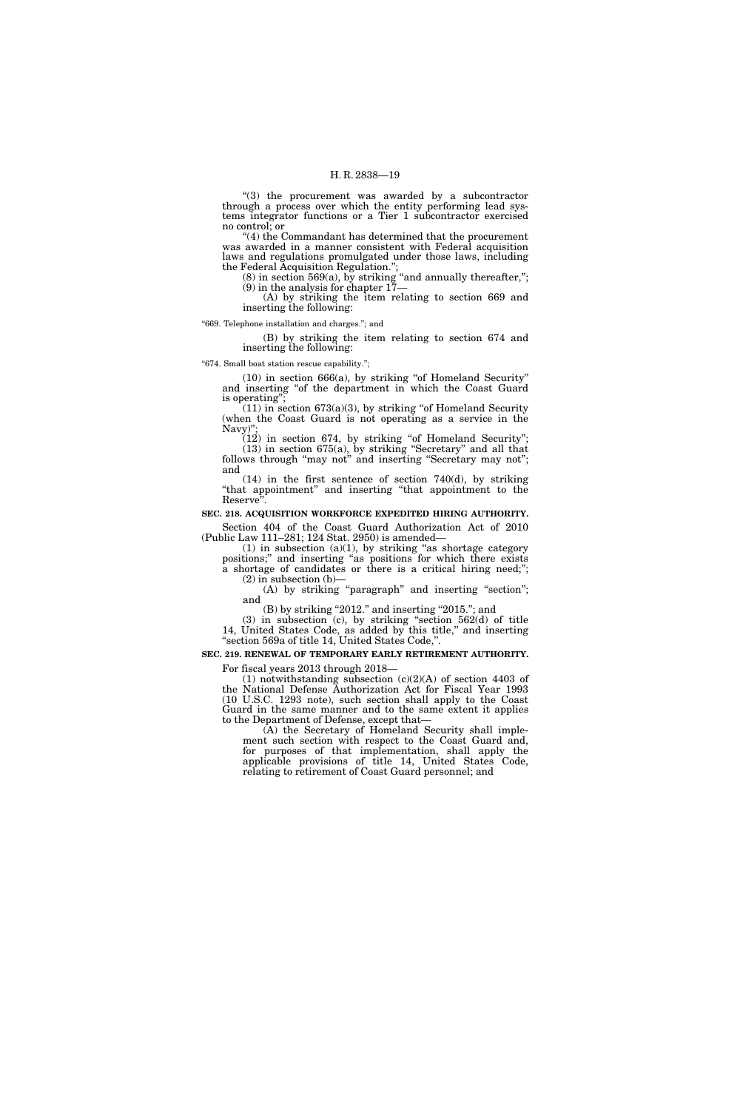"(3) the procurement was awarded by a subcontractor through a process over which the entity performing lead systems integrator functions or a Tier 1 subcontractor exercised no control; or

''(4) the Commandant has determined that the procurement was awarded in a manner consistent with Federal acquisition laws and regulations promulgated under those laws, including the Federal Acquisition Regulation.'';

 $(8)$  in section 569 $(a)$ , by striking "and annually thereafter,"; (9) in the analysis for chapter 17—

(A) by striking the item relating to section 669 and inserting the following:

''669. Telephone installation and charges.''; and

(B) by striking the item relating to section 674 and inserting the following:

''674. Small boat station rescue capability.'';

 $(10)$  in section 666 $(a)$ , by striking "of Homeland Security" and inserting ''of the department in which the Coast Guard is operating'';

 $(11)$  in section 673(a)(3), by striking "of Homeland Security (when the Coast Guard is not operating as a service in the Navy)"

(12) in section 674, by striking ''of Homeland Security''; (13) in section 675(a), by striking ''Secretary'' and all that follows through "may not" and inserting "Secretary may not"; and

 $(14)$  in the first sentence of section 740 $(d)$ , by striking ''that appointment'' and inserting ''that appointment to the Reserve<sup>"</sup>.

### **SEC. 218. ACQUISITION WORKFORCE EXPEDITED HIRING AUTHORITY.**

Section 404 of the Coast Guard Authorization Act of 2010 (Public Law 111–281; 124 Stat. 2950) is amended—

 $(1)$  in subsection  $(a)(1)$ , by striking "as shortage category positions;'' and inserting ''as positions for which there exists a shortage of candidates or there is a critical hiring need;'';  $(2)$  in subsection  $(b)$ —

(A) by striking "paragraph" and inserting "section"; and

(B) by striking "2012." and inserting "2015."; and

(3) in subsection (c), by striking "section  $562(d)$  of title 14, United States Code, as added by this title,'' and inserting ''section 569a of title 14, United States Code,''.

# **SEC. 219. RENEWAL OF TEMPORARY EARLY RETIREMENT AUTHORITY.**

For fiscal years 2013 through 2018—

(1) notwithstanding subsection  $(c)(2)(A)$  of section 4403 of the National Defense Authorization Act for Fiscal Year 1993 (10 U.S.C. 1293 note), such section shall apply to the Coast Guard in the same manner and to the same extent it applies to the Department of Defense, except that—

(A) the Secretary of Homeland Security shall implement such section with respect to the Coast Guard and, for purposes of that implementation, shall apply the applicable provisions of title 14, United States Code, relating to retirement of Coast Guard personnel; and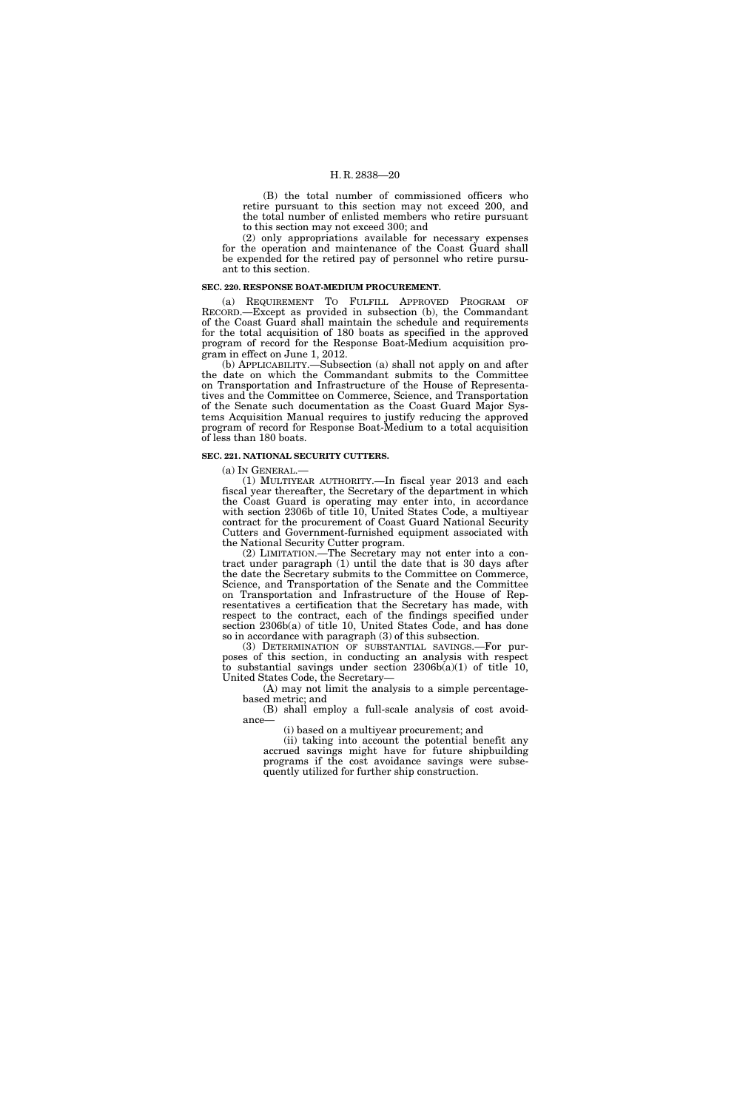(B) the total number of commissioned officers who retire pursuant to this section may not exceed 200, and the total number of enlisted members who retire pursuant to this section may not exceed 300; and

(2) only appropriations available for necessary expenses for the operation and maintenance of the Coast Guard shall be expended for the retired pay of personnel who retire pursuant to this section.

#### **SEC. 220. RESPONSE BOAT-MEDIUM PROCUREMENT.**

(a) REQUIREMENT TO FULFILL APPROVED PROGRAM OF RECORD.—Except as provided in subsection (b), the Commandant of the Coast Guard shall maintain the schedule and requirements for the total acquisition of 180 boats as specified in the approved program of record for the Response Boat-Medium acquisition program in effect on June 1, 2012.

(b) APPLICABILITY.—Subsection (a) shall not apply on and after the date on which the Commandant submits to the Committee on Transportation and Infrastructure of the House of Representatives and the Committee on Commerce, Science, and Transportation of the Senate such documentation as the Coast Guard Major Systems Acquisition Manual requires to justify reducing the approved program of record for Response Boat-Medium to a total acquisition of less than 180 boats.

#### **SEC. 221. NATIONAL SECURITY CUTTERS.**

(a) IN GENERAL.—

(1) MULTIYEAR AUTHORITY.—In fiscal year 2013 and each fiscal year thereafter, the Secretary of the department in which the Coast Guard is operating may enter into, in accordance with section 2306b of title 10, United States Code, a multiyear contract for the procurement of Coast Guard National Security Cutters and Government-furnished equipment associated with the National Security Cutter program.

(2) LIMITATION.—The Secretary may not enter into a contract under paragraph (1) until the date that is 30 days after the date the Secretary submits to the Committee on Commerce, Science, and Transportation of the Senate and the Committee on Transportation and Infrastructure of the House of Representatives a certification that the Secretary has made, with respect to the contract, each of the findings specified under section 2306b(a) of title 10, United States Code, and has done so in accordance with paragraph (3) of this subsection.

(3) DETERMINATION OF SUBSTANTIAL SAVINGS.—For purposes of this section, in conducting an analysis with respect to substantial savings under section  $2306b(a)(1)$  of title 10, United States Code, the Secretary—

(A) may not limit the analysis to a simple percentagebased metric; and

(B) shall employ a full-scale analysis of cost avoidance—

(i) based on a multiyear procurement; and

(ii) taking into account the potential benefit any accrued savings might have for future shipbuilding programs if the cost avoidance savings were subsequently utilized for further ship construction.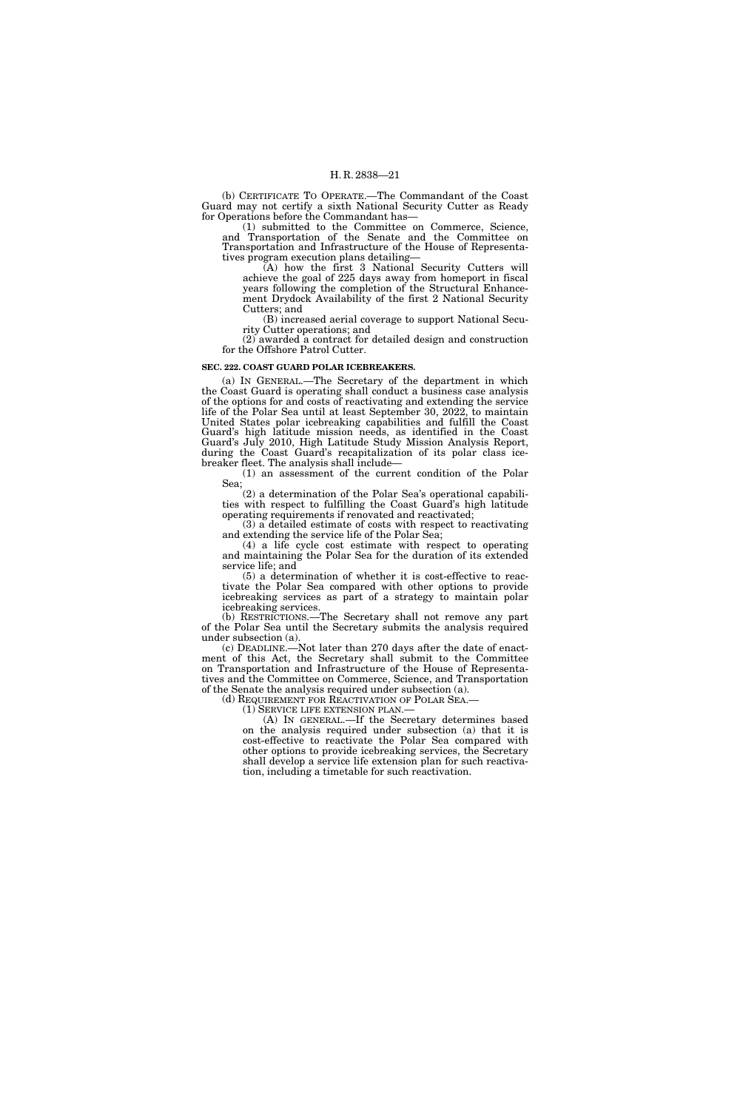(b) CERTIFICATE TO OPERATE.—The Commandant of the Coast Guard may not certify a sixth National Security Cutter as Ready for Operations before the Commandant has—

(1) submitted to the Committee on Commerce, Science, and Transportation of the Senate and the Committee on Transportation and Infrastructure of the House of Representatives program execution plans detailing—

(A) how the first 3 National Security Cutters will achieve the goal of 225 days away from homeport in fiscal years following the completion of the Structural Enhancement Drydock Availability of the first 2 National Security Cutters; and

(B) increased aerial coverage to support National Security Cutter operations; and

(2) awarded a contract for detailed design and construction for the Offshore Patrol Cutter.

#### **SEC. 222. COAST GUARD POLAR ICEBREAKERS.**

(a) IN GENERAL.—The Secretary of the department in which the Coast Guard is operating shall conduct a business case analysis of the options for and costs of reactivating and extending the service life of the Polar Sea until at least September 30, 2022, to maintain United States polar icebreaking capabilities and fulfill the Coast Guard's high latitude mission needs, as identified in the Coast Guard's July 2010, High Latitude Study Mission Analysis Report, during the Coast Guard's recapitalization of its polar class icebreaker fleet. The analysis shall include—

(1) an assessment of the current condition of the Polar Sea;

 $(2)$  a determination of the Polar Sea's operational capabilities with respect to fulfilling the Coast Guard's high latitude operating requirements if renovated and reactivated;

 $(3)$  a detailed estimate of costs with respect to reactivating and extending the service life of the Polar Sea;

(4) a life cycle cost estimate with respect to operating and maintaining the Polar Sea for the duration of its extended service life; and

(5) a determination of whether it is cost-effective to reactivate the Polar Sea compared with other options to provide icebreaking services as part of a strategy to maintain polar icebreaking services.

(b) RESTRICTIONS.—The Secretary shall not remove any part of the Polar Sea until the Secretary submits the analysis required under subsection (a).

(c) DEADLINE.—Not later than 270 days after the date of enactment of this Act, the Secretary shall submit to the Committee on Transportation and Infrastructure of the House of Representatives and the Committee on Commerce, Science, and Transportation of the Senate the analysis required under subsection (a).

(d) REQUIREMENT FOR REACTIVATION OF POLAR SEA.<br>(1) SERVICE LIFE EXTENSION PLAN.—

(A) IN GENERAL.—If the Secretary determines based on the analysis required under subsection (a) that it is cost-effective to reactivate the Polar Sea compared with other options to provide icebreaking services, the Secretary shall develop a service life extension plan for such reactivation, including a timetable for such reactivation.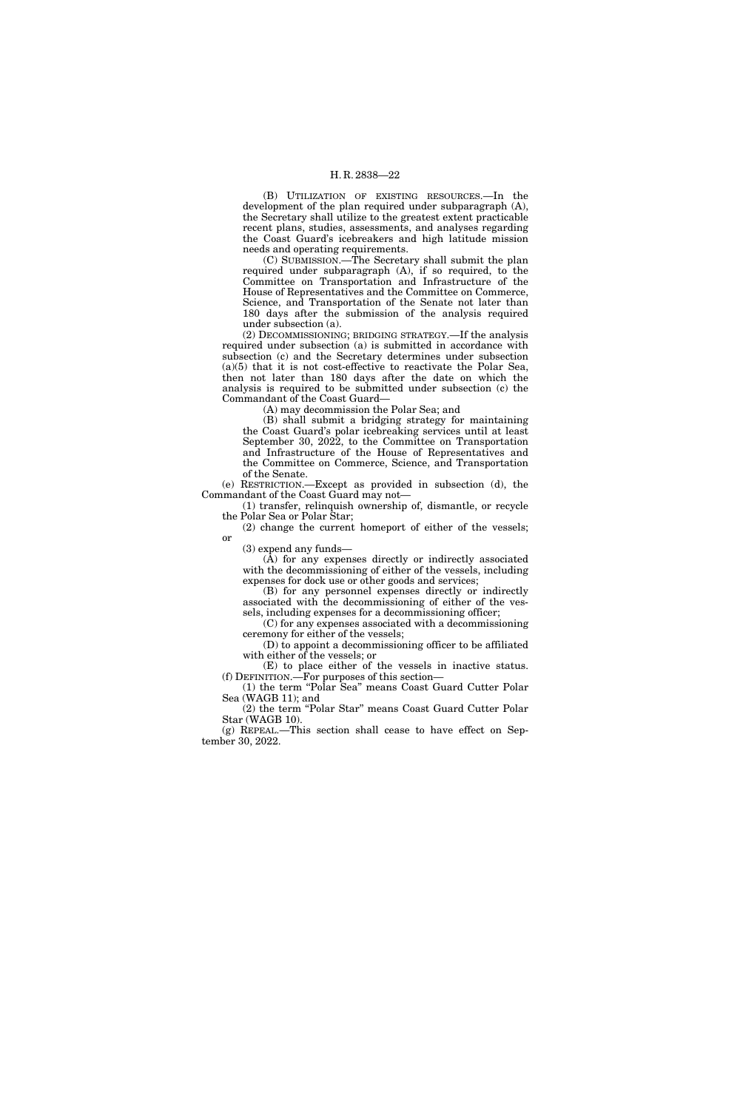(B) UTILIZATION OF EXISTING RESOURCES.—In the development of the plan required under subparagraph (A), the Secretary shall utilize to the greatest extent practicable recent plans, studies, assessments, and analyses regarding the Coast Guard's icebreakers and high latitude mission needs and operating requirements.

(C) SUBMISSION.—The Secretary shall submit the plan required under subparagraph (A), if so required, to the Committee on Transportation and Infrastructure of the House of Representatives and the Committee on Commerce, Science, and Transportation of the Senate not later than 180 days after the submission of the analysis required under subsection (a).

(2) DECOMMISSIONING; BRIDGING STRATEGY.—If the analysis required under subsection (a) is submitted in accordance with subsection (c) and the Secretary determines under subsection (a)(5) that it is not cost-effective to reactivate the Polar Sea, then not later than 180 days after the date on which the analysis is required to be submitted under subsection (c) the Commandant of the Coast Guard—

(A) may decommission the Polar Sea; and

(B) shall submit a bridging strategy for maintaining the Coast Guard's polar icebreaking services until at least September 30, 2022, to the Committee on Transportation and Infrastructure of the House of Representatives and the Committee on Commerce, Science, and Transportation of the Senate.

(e) RESTRICTION.—Except as provided in subsection (d), the Commandant of the Coast Guard may not—

(1) transfer, relinquish ownership of, dismantle, or recycle the Polar Sea or Polar Star;

(2) change the current homeport of either of the vessels; or

(3) expend any funds—

(A) for any expenses directly or indirectly associated with the decommissioning of either of the vessels, including expenses for dock use or other goods and services;

(B) for any personnel expenses directly or indirectly associated with the decommissioning of either of the vessels, including expenses for a decommissioning officer;

(C) for any expenses associated with a decommissioning ceremony for either of the vessels;

(D) to appoint a decommissioning officer to be affiliated with either of the vessels; or (E) to place either of the vessels in inactive status.

(f) DEFINITION.—For purposes of this section— (1) the term ''Polar Sea'' means Coast Guard Cutter Polar

Sea (WAGB 11); and (2) the term ''Polar Star'' means Coast Guard Cutter Polar Star (WAGB 10).

(g) REPEAL.—This section shall cease to have effect on September 30, 2022.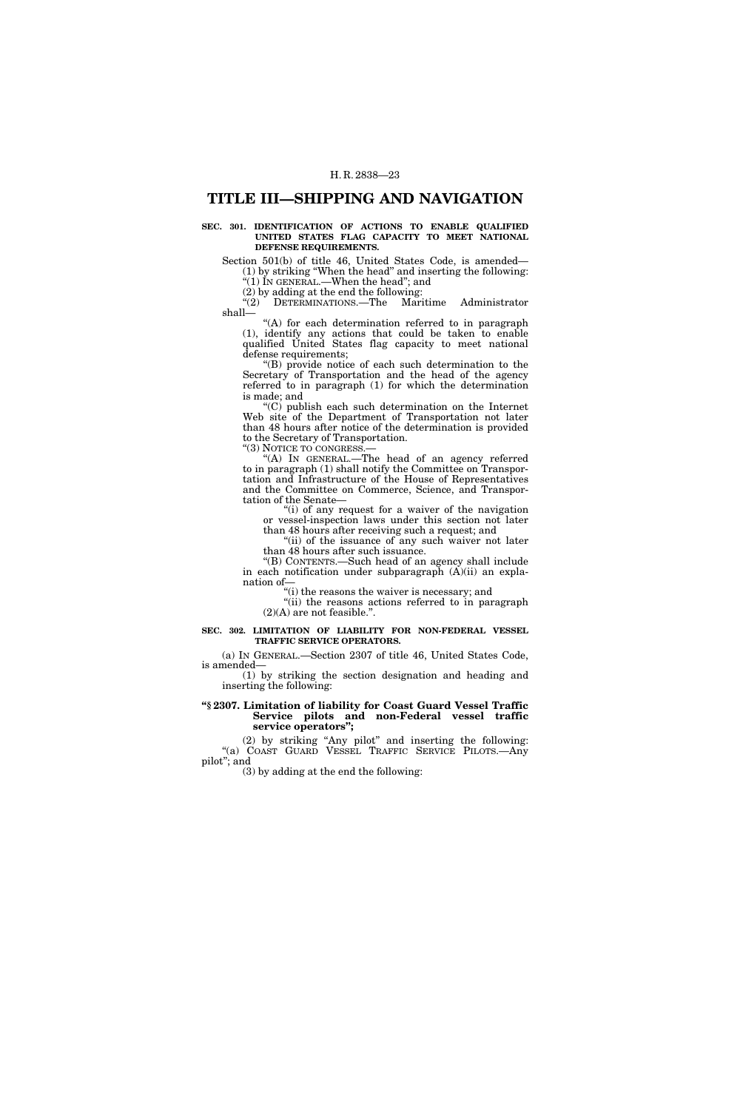# **TITLE III—SHIPPING AND NAVIGATION**

#### **SEC. 301. IDENTIFICATION OF ACTIONS TO ENABLE QUALIFIED UNITED STATES FLAG CAPACITY TO MEET NATIONAL DEFENSE REQUIREMENTS.**

Section 501(b) of title 46, United States Code, is amended— (1) by striking ''When the head'' and inserting the following: ''(1) IN GENERAL.—When the head''; and

(2) by adding at the end the following:<br>" $(2)$  DETERMINATIONS.—The Mari

DETERMINATIONS.—The Maritime Administrator shall—

"(A) for each determination referred to in paragraph (1), identify any actions that could be taken to enable qualified United States flag capacity to meet national defense requirements;

''(B) provide notice of each such determination to the Secretary of Transportation and the head of the agency referred to in paragraph (1) for which the determination is made; and

''(C) publish each such determination on the Internet Web site of the Department of Transportation not later than 48 hours after notice of the determination is provided to the Secretary of Transportation.

"(3) NOTICE TO CONGRESS.-

"(A) IN GENERAL.-The head of an agency referred to in paragraph (1) shall notify the Committee on Transportation and Infrastructure of the House of Representatives and the Committee on Commerce, Science, and Transportation of the Senate—

''(i) of any request for a waiver of the navigation or vessel-inspection laws under this section not later

than 48 hours after receiving such a request; and "(ii) of the issuance of any such waiver not later than 48 hours after such issuance.

''(B) CONTENTS.—Such head of an agency shall include in each notification under subparagraph (A)(ii) an explanation of—

''(i) the reasons the waiver is necessary; and

''(ii) the reasons actions referred to in paragraph  $(2)(A)$  are not feasible.".

#### **SEC. 302. LIMITATION OF LIABILITY FOR NON-FEDERAL VESSEL TRAFFIC SERVICE OPERATORS.**

(a) IN GENERAL.—Section 2307 of title 46, United States Code, is amended—

(1) by striking the section designation and heading and inserting the following:

#### **''§ 2307. Limitation of liability for Coast Guard Vessel Traffic Service pilots and non-Federal vessel traffic service operators'';**

(2) by striking ''Any pilot'' and inserting the following: ''(a) COAST GUARD VESSEL TRAFFIC SERVICE PILOTS.—Any pilot''; and

(3) by adding at the end the following: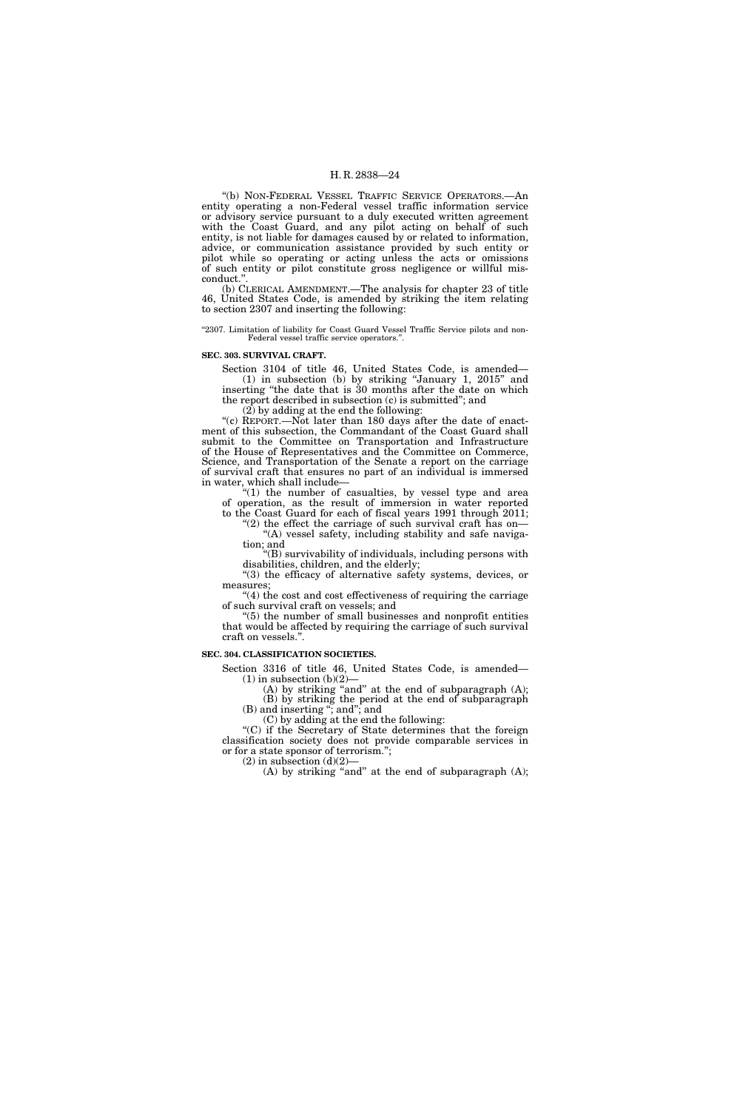''(b) NON-FEDERAL VESSEL TRAFFIC SERVICE OPERATORS.—An entity operating a non-Federal vessel traffic information service or advisory service pursuant to a duly executed written agreement with the Coast Guard, and any pilot acting on behalf of such entity, is not liable for damages caused by or related to information, advice, or communication assistance provided by such entity or pilot while so operating or acting unless the acts or omissions of such entity or pilot constitute gross negligence or willful misconduct."

(b) CLERICAL AMENDMENT.—The analysis for chapter 23 of title 46, United States Code, is amended by striking the item relating to section 2307 and inserting the following:

"2307. Limitation of liability for Coast Guard Vessel Traffic Service pilots and non-Federal vessel traffic service operators.''.

#### **SEC. 303. SURVIVAL CRAFT.**

Section 3104 of title 46, United States Code, is amended— (1) in subsection (b) by striking ''January 1, 2015'' and inserting ''the date that is 30 months after the date on which the report described in subsection (c) is submitted''; and

(2) by adding at the end the following:

"(c) REPORT.—Not later than 180 days after the date of enactment of this subsection, the Commandant of the Coast Guard shall submit to the Committee on Transportation and Infrastructure of the House of Representatives and the Committee on Commerce, Science, and Transportation of the Senate a report on the carriage of survival craft that ensures no part of an individual is immersed in water, which shall include—

"(1) the number of casualties, by vessel type and area of operation, as the result of immersion in water reported to the Coast Guard for each of fiscal years 1991 through 2011;

"(2) the effect the carriage of such survival craft has on— "(A) vessel safety, including stability and safe naviga-

tion; and ''(B) survivability of individuals, including persons with

disabilities, children, and the elderly; ''(3) the efficacy of alternative safety systems, devices, or

measures; "(4) the cost and cost effectiveness of requiring the carriage

of such survival craft on vessels; and ''(5) the number of small businesses and nonprofit entities that would be affected by requiring the carriage of such survival

craft on vessels.''.

### **SEC. 304. CLASSIFICATION SOCIETIES.**

Section 3316 of title 46, United States Code, is amended—  $(1)$  in subsection  $(b)(2)$ —

(A) by striking "and" at the end of subparagraph  $(A)$ ; (B) by striking the period at the end of subparagraph (B) and inserting ''; and''; and

(C) by adding at the end the following:

''(C) if the Secretary of State determines that the foreign classification society does not provide comparable services in or for a state sponsor of terrorism.'';  $(2)$  in subsection  $(d)(2)$ –

(A) by striking "and" at the end of subparagraph  $(A)$ ;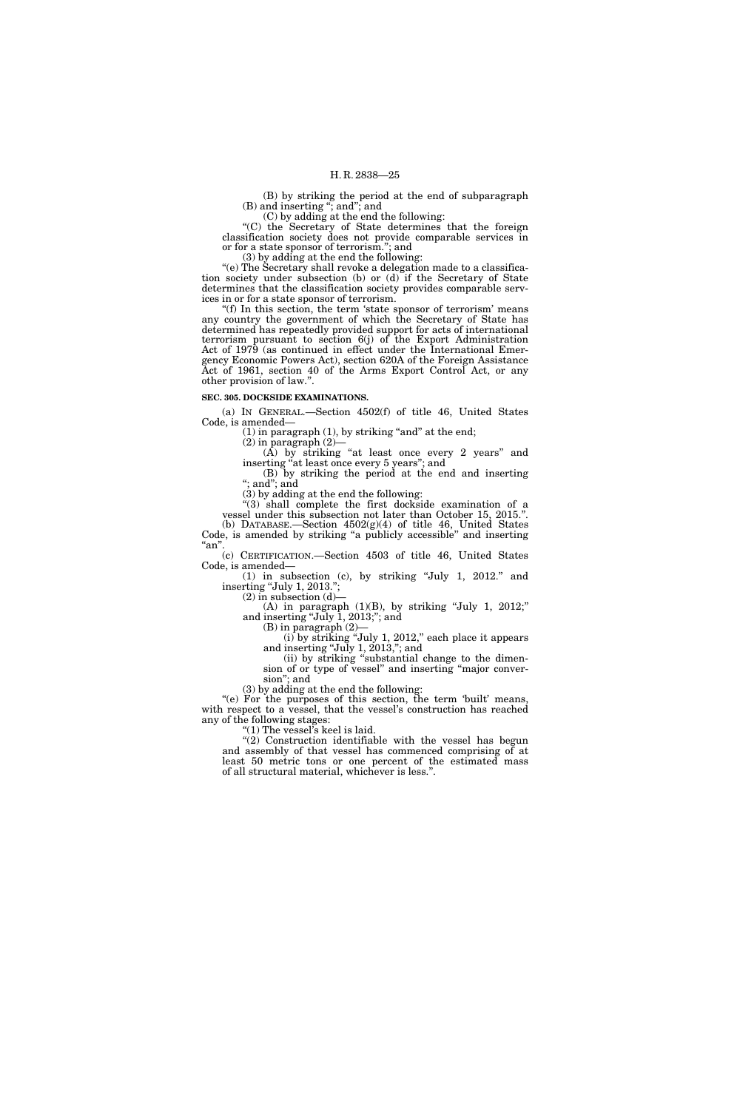(B) by striking the period at the end of subparagraph (B) and inserting ''; and''; and

(C) by adding at the end the following:

''(C) the Secretary of State determines that the foreign classification society does not provide comparable services in or for a state sponsor of terrorism.''; and

(3) by adding at the end the following:

''(e) The Secretary shall revoke a delegation made to a classification society under subsection (b) or (d) if the Secretary of State determines that the classification society provides comparable services in or for a state sponsor of terrorism.

"(f) In this section, the term 'state sponsor of terrorism' means any country the government of which the Secretary of State has determined has repeatedly provided support for acts of international terrorism pursuant to section 6(j) of the Export Administration Act of 1979 (as continued in effect under the International Emergency Economic Powers Act), section 620A of the Foreign Assistance Act of 1961, section 40 of the Arms Export Control Act, or any other provision of law.''.

#### **SEC. 305. DOCKSIDE EXAMINATIONS.**

(a) IN GENERAL.—Section 4502(f) of title 46, United States Code, is amended—

 $(1)$  in paragraph  $(1)$ , by striking "and" at the end;

 $(2)$  in paragraph  $(2)$ -

 $(A)$  by striking "at least once every 2 years" and inserting "at least once every 5 years"; and

(B) by striking the period at the end and inserting ''; and''; and

(3) by adding at the end the following:

 $(3)$  shall complete the first dockside examination of a vessel under this subsection not later than October 15, 2015.''. (b) DATABASE.—Section  $4502(g)(4)$  of title 46, United States Code, is amended by striking ''a publicly accessible'' and inserting  $\lq$ an".

(c) CERTIFICATION.—Section 4503 of title 46, United States Code, is amended—

(1) in subsection (c), by striking ''July 1, 2012.'' and inserting ''July 1, 2013.'';

 $(2)$  in subsection  $(d)$ (A) in paragraph  $(1)(B)$ , by striking "July 1, 2012;"

and inserting ''July 1, 2013;''; and  $(B)$  in paragraph  $(2)$ -

(i) by striking ''July 1, 2012,'' each place it appears

and inserting ''July 1, 2013,''; and

(ii) by striking ''substantial change to the dimension of or type of vessel'' and inserting ''major conversion''; and

(3) by adding at the end the following:

"(e) For the purposes of this section, the term 'built' means, with respect to a vessel, that the vessel's construction has reached any of the following stages:

''(1) The vessel's keel is laid.

"(2) Construction identifiable with the vessel has begun and assembly of that vessel has commenced comprising of at least 50 metric tons or one percent of the estimated mass of all structural material, whichever is less.''.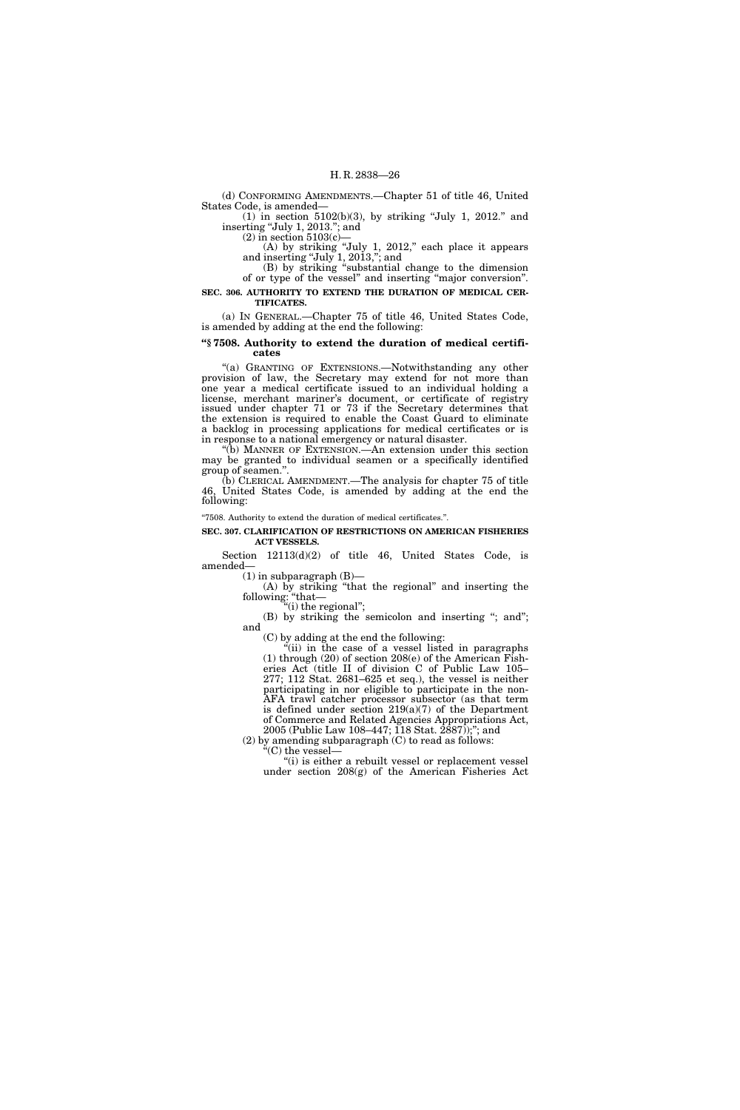(d) CONFORMING AMENDMENTS.—Chapter 51 of title 46, United States Code, is amended—

 $(1)$  in section 5102(b)(3), by striking "July 1, 2012." and inserting "July 1, 2013."; and

 $(2)$  in section 5103 $(c)$ 

(A) by striking ''July 1, 2012,'' each place it appears and inserting ''July 1, 2013,''; and

(B) by striking ''substantial change to the dimension of or type of the vessel'' and inserting ''major conversion''. **SEC. 306. AUTHORITY TO EXTEND THE DURATION OF MEDICAL CER-**

**TIFICATES.** 

(a) IN GENERAL.—Chapter 75 of title 46, United States Code, is amended by adding at the end the following:

#### **''§ 7508. Authority to extend the duration of medical certificates**

"(a) GRANTING OF EXTENSIONS.—Notwithstanding any other provision of law, the Secretary may extend for not more than one year a medical certificate issued to an individual holding a license, merchant mariner's document, or certificate of registry issued under chapter 71 or 73 if the Secretary determines that the extension is required to enable the Coast Guard to eliminate a backlog in processing applications for medical certificates or is in response to a national emergency or natural disaster.

''(b) MANNER OF EXTENSION.—An extension under this section may be granted to individual seamen or a specifically identified group of seamen.''.

(b) CLERICAL AMENDMENT.—The analysis for chapter 75 of title 46, United States Code, is amended by adding at the end the following:

''7508. Authority to extend the duration of medical certificates.''.

#### **SEC. 307. CLARIFICATION OF RESTRICTIONS ON AMERICAN FISHERIES ACT VESSELS.**

Section 12113(d)(2) of title 46, United States Code, is amended—

 $(1)$  in subparagraph  $(B)$ —

(A) by striking ''that the regional'' and inserting the following: ''that—

"(i) the regional";

(B) by striking the semicolon and inserting "; and"; and

(C) by adding at the end the following:

''(ii) in the case of a vessel listed in paragraphs (1) through (20) of section 208(e) of the American Fisheries Act (title II of division C of Public Law 105– 277; 112 Stat. 2681–625 et seq.), the vessel is neither participating in nor eligible to participate in the non-AFA trawl catcher processor subsector (as that term is defined under section 219(a)(7) of the Department of Commerce and Related Agencies Appropriations Act, 2005 (Public Law 108–447; 118 Stat. 2887));''; and

(2) by amending subparagraph (C) to read as follows:

" $(C)$  the vessel—

"(i) is either a rebuilt vessel or replacement vessel under section 208(g) of the American Fisheries Act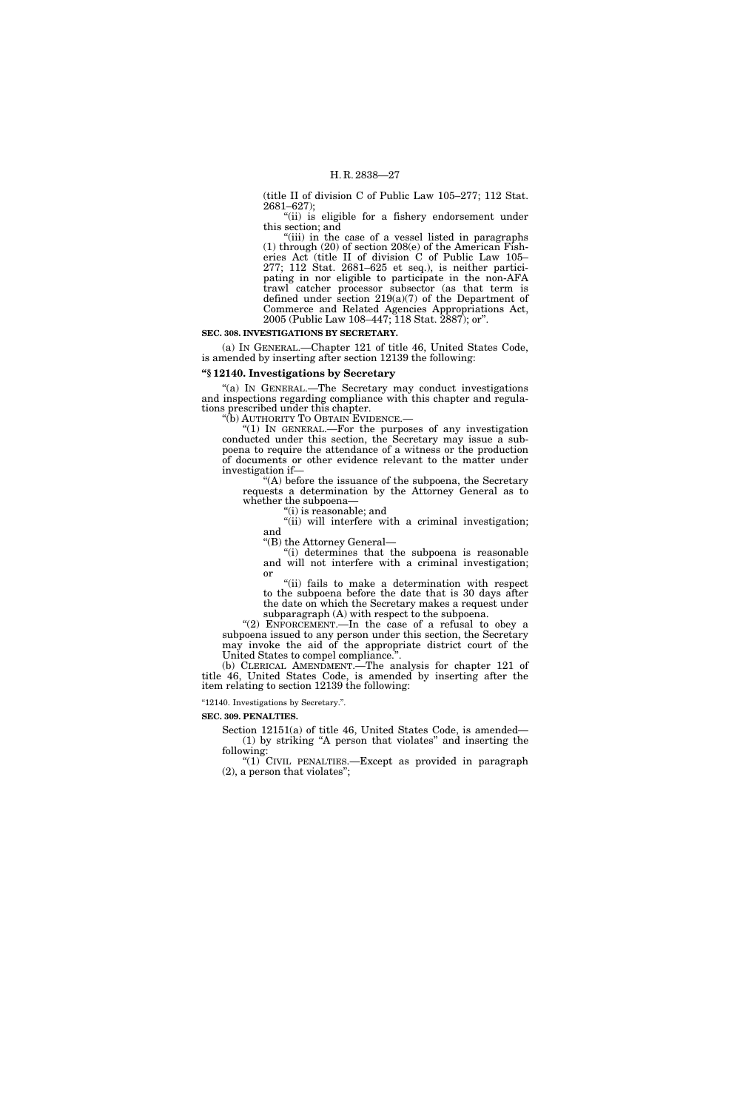(title II of division C of Public Law 105–277; 112 Stat. 2681–627);

"(ii) is eligible for a fishery endorsement under this section; and

"(iii) in the case of a vessel listed in paragraphs (1) through (20) of section 208(e) of the American Fisheries Act (title II of division C of Public Law 105– 277; 112 Stat. 2681–625 et seq.), is neither participating in nor eligible to participate in the non-AFA trawl catcher processor subsector (as that term is defined under section 219(a)(7) of the Department of Commerce and Related Agencies Appropriations Act, 2005 (Public Law 108–447; 118 Stat. 2887); or''.

#### **SEC. 308. INVESTIGATIONS BY SECRETARY.**

(a) IN GENERAL.—Chapter 121 of title 46, United States Code, is amended by inserting after section 12139 the following:

#### **''§ 12140. Investigations by Secretary**

''(a) IN GENERAL.—The Secretary may conduct investigations and inspections regarding compliance with this chapter and regulations prescribed under this chapter.<br>"(b) AUTHORITY TO OBTAIN EVIDENCE.—

"(1) IN GENERAL.—For the purposes of any investigation conducted under this section, the Secretary may issue a subpoena to require the attendance of a witness or the production of documents or other evidence relevant to the matter under investigation if—

''(A) before the issuance of the subpoena, the Secretary requests a determination by the Attorney General as to whether the subpoena—

''(i) is reasonable; and

"(ii) will interfere with a criminal investigation; and

''(B) the Attorney General—

''(i) determines that the subpoena is reasonable and will not interfere with a criminal investigation; or

"(ii) fails to make a determination with respect to the subpoena before the date that is 30 days after the date on which the Secretary makes a request under subparagraph (A) with respect to the subpoena.

"(2) ENFORCEMENT.—In the case of a refusal to obey a subpoena issued to any person under this section, the Secretary may invoke the aid of the appropriate district court of the United States to compel compliance.''.

(b) CLERICAL AMENDMENT.—The analysis for chapter 121 of title 46, United States Code, is amended by inserting after the item relating to section 12139 the following:

''12140. Investigations by Secretary.''.

#### **SEC. 309. PENALTIES.**

Section 12151(a) of title 46, United States Code, is amended— (1) by striking ''A person that violates'' and inserting the following:

"(1) CIVIL PENALTIES.—Except as provided in paragraph (2), a person that violates'';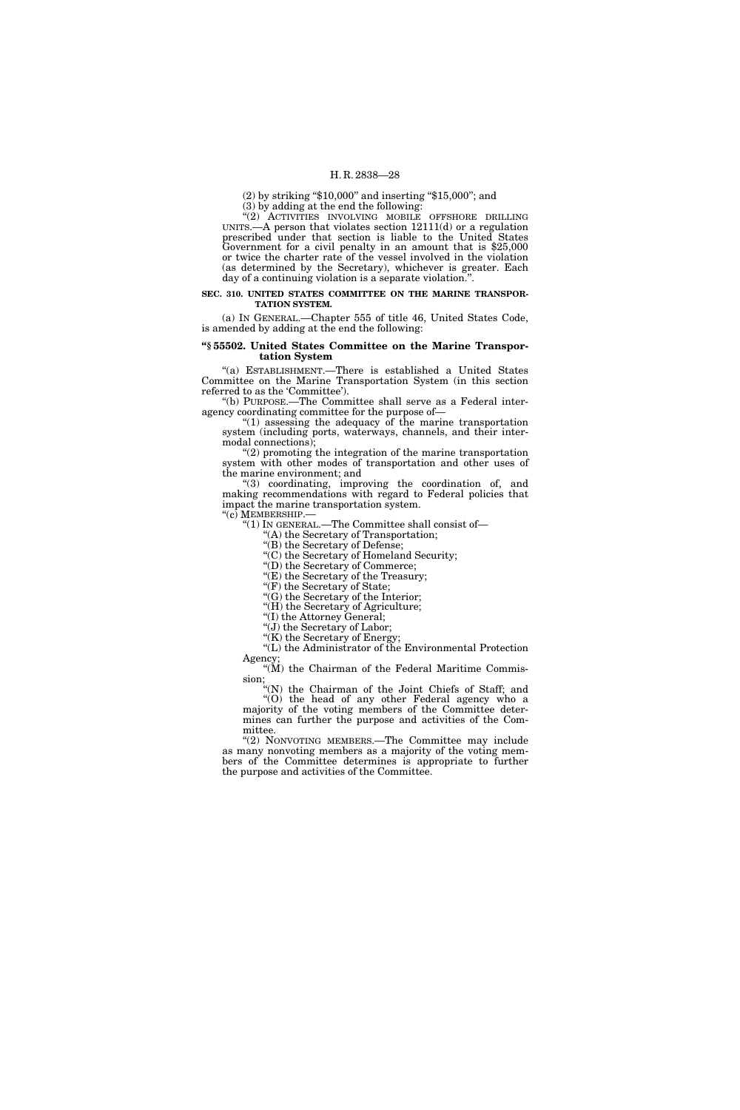(2) by striking ''\$10,000'' and inserting ''\$15,000''; and (3) by adding at the end the following:

"(2) ACTIVITIES INVOLVING MOBILE OFFSHORE DRILLING UNITS.—A person that violates section 12111(d) or a regulation prescribed under that section is liable to the United States Government for a civil penalty in an amount that is \$25,000 or twice the charter rate of the vessel involved in the violation (as determined by the Secretary), whichever is greater. Each day of a continuing violation is a separate violation.''.

**SEC. 310. UNITED STATES COMMITTEE ON THE MARINE TRANSPOR-TATION SYSTEM.** 

(a) IN GENERAL.—Chapter 555 of title 46, United States Code, is amended by adding at the end the following:

#### **''§ 55502. United States Committee on the Marine Transportation System**

''(a) ESTABLISHMENT.—There is established a United States Committee on the Marine Transportation System (in this section referred to as the 'Committee').

''(b) PURPOSE.—The Committee shall serve as a Federal interagency coordinating committee for the purpose of—

 $''(1)$  assessing the adequacy of the marine transportation system (including ports, waterways, channels, and their intermodal connections);

''(2) promoting the integration of the marine transportation system with other modes of transportation and other uses of the marine environment; and

''(3) coordinating, improving the coordination of, and making recommendations with regard to Federal policies that impact the marine transportation system.<br>"(c) MEMBERSHIP.—

" $(1)$  In GENERAL.—The Committee shall consist of—

'(A) the Secretary of Transportation;

''(B) the Secretary of Defense;

''(C) the Secretary of Homeland Security;

''(D) the Secretary of Commerce;

''(E) the Secretary of the Treasury; "(F) the Secretary of State;

''(G) the Secretary of the Interior;

"(H) the Secretary of Agriculture;

''(I) the Attorney General;

"(J) the Secretary of Labor;

"(K) the Secretary of Energy

''(L) the Administrator of the Environmental Protection Agency

"(M) the Chairman of the Federal Maritime Commission;

''(N) the Chairman of the Joint Chiefs of Staff; and ''(O) the head of any other Federal agency who a majority of the voting members of the Committee determines can further the purpose and activities of the Committee.

"(2) NONVOTING MEMBERS.—The Committee may include as many nonvoting members as a majority of the voting members of the Committee determines is appropriate to further the purpose and activities of the Committee.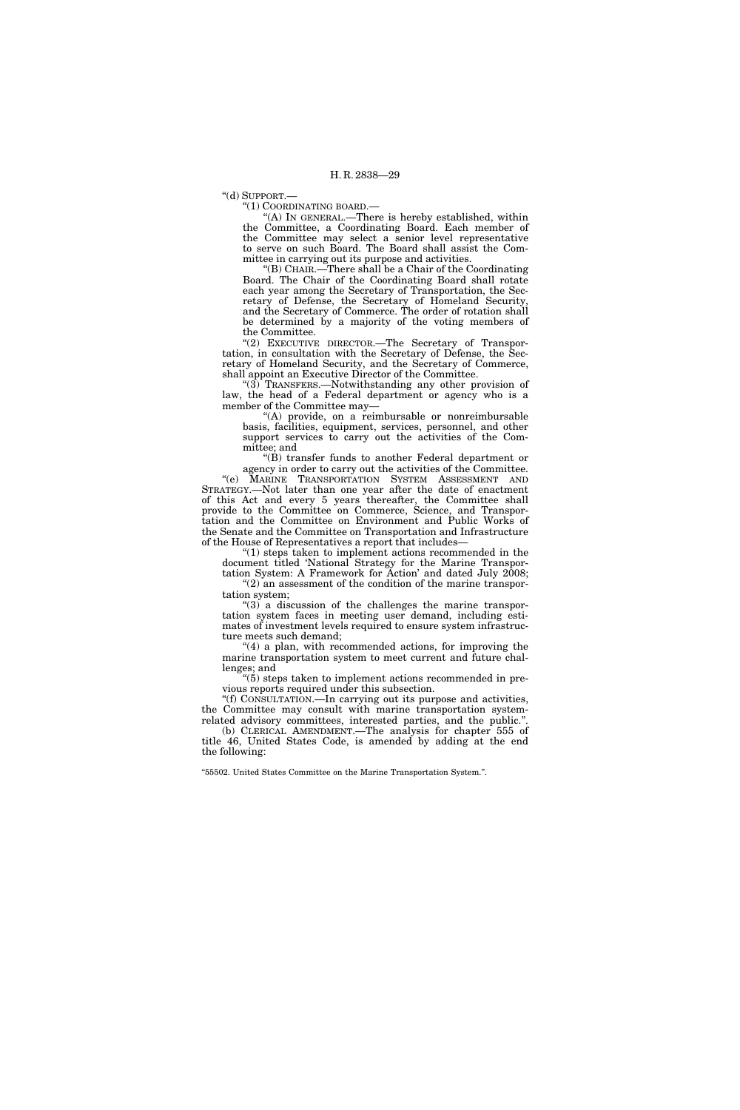''(d) SUPPORT.—

''(1) COORDINATING BOARD.—

''(A) IN GENERAL.—There is hereby established, within the Committee, a Coordinating Board. Each member of the Committee may select a senior level representative to serve on such Board. The Board shall assist the Committee in carrying out its purpose and activities.

''(B) CHAIR.—There shall be a Chair of the Coordinating Board. The Chair of the Coordinating Board shall rotate each year among the Secretary of Transportation, the Secretary of Defense, the Secretary of Homeland Security, and the Secretary of Commerce. The order of rotation shall be determined by a majority of the voting members of the Committee.

''(2) EXECUTIVE DIRECTOR.—The Secretary of Transportation, in consultation with the Secretary of Defense, the Secretary of Homeland Security, and the Secretary of Commerce, shall appoint an Executive Director of the Committee.

''(3) TRANSFERS.—Notwithstanding any other provision of law, the head of a Federal department or agency who is a member of the Committee may—

"(A) provide, on a reimbursable or nonreimbursable basis, facilities, equipment, services, personnel, and other support services to carry out the activities of the Committee; and

 $\mathrm{H}(B)$  transfer funds to another Federal department or agency in order to carry out the activities of the Committee. ''(e) MARINE TRANSPORTATION SYSTEM ASSESSMENT AND STRATEGY.—Not later than one year after the date of enactment of this Act and every 5 years thereafter, the Committee shall provide to the Committee on Commerce, Science, and Transportation and the Committee on Environment and Public Works of the Senate and the Committee on Transportation and Infrastructure of the House of Representatives a report that includes—

 $''(1)$  steps taken to implement actions recommended in the document titled 'National Strategy for the Marine Transportation System: A Framework for Action' and dated July 2008; "(2) an assessment of the condition of the marine transpor-

tation system;

 $\degree$ (3) a discussion of the challenges the marine transportation system faces in meeting user demand, including estimates of investment levels required to ensure system infrastructure meets such demand;

 $(4)$  a plan, with recommended actions, for improving the marine transportation system to meet current and future challenges; and

''(5) steps taken to implement actions recommended in previous reports required under this subsection.

''(f) CONSULTATION.—In carrying out its purpose and activities, the Committee may consult with marine transportation systemrelated advisory committees, interested parties, and the public.''. (b) CLERICAL AMENDMENT.—The analysis for chapter 555 of

title 46, United States Code, is amended by adding at the end the following:

''55502. United States Committee on the Marine Transportation System.''.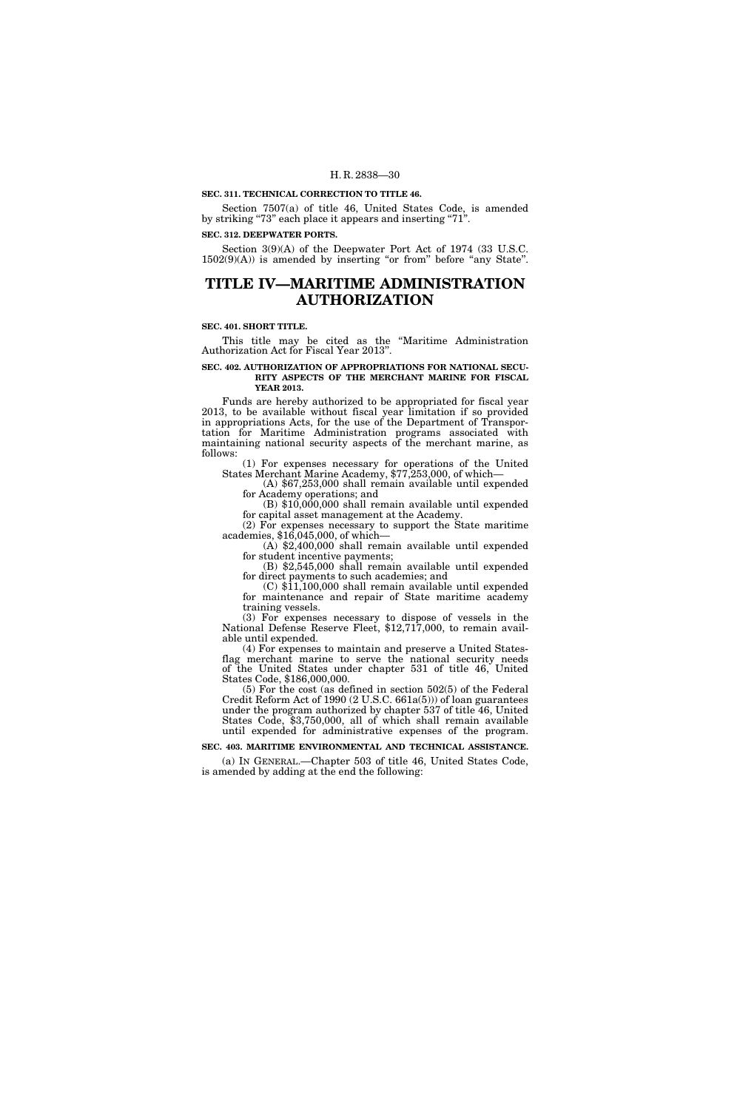#### **SEC. 311. TECHNICAL CORRECTION TO TITLE 46.**

Section 7507(a) of title 46, United States Code, is amended by striking "73" each place it appears and inserting "71".

#### **SEC. 312. DEEPWATER PORTS.**

Section 3(9)(A) of the Deepwater Port Act of 1974 (33 U.S.C.  $1502(9)(A)$ ) is amended by inserting "or from" before "any State".

# **TITLE IV—MARITIME ADMINISTRATION AUTHORIZATION**

#### **SEC. 401. SHORT TITLE.**

This title may be cited as the ''Maritime Administration Authorization Act for Fiscal Year 2013''.

#### **SEC. 402. AUTHORIZATION OF APPROPRIATIONS FOR NATIONAL SECU-RITY ASPECTS OF THE MERCHANT MARINE FOR FISCAL YEAR 2013.**

Funds are hereby authorized to be appropriated for fiscal year 2013, to be available without fiscal year limitation if so provided in appropriations Acts, for the use of the Department of Transportation for Maritime Administration programs associated with maintaining national security aspects of the merchant marine, as follows:

(1) For expenses necessary for operations of the United States Merchant Marine Academy, \$77,253,000, of which—

(A) \$67,253,000 shall remain available until expended for Academy operations; and

(B) \$10,000,000 shall remain available until expended for capital asset management at the Academy. (2) For expenses necessary to support the State maritime

academies, \$16,045,000, of which— (A) \$2,400,000 shall remain available until expended

for student incentive payments;

(B) \$2,545,000 shall remain available until expended for direct payments to such academies; and

(C) \$11,100,000 shall remain available until expended for maintenance and repair of State maritime academy training vessels.

(3) For expenses necessary to dispose of vessels in the National Defense Reserve Fleet, \$12,717,000, to remain available until expended.

(4) For expenses to maintain and preserve a United Statesflag merchant marine to serve the national security needs of the United States under chapter 531 of title 46, United States Code, \$186,000,000.

(5) For the cost (as defined in section 502(5) of the Federal Credit Reform Act of 1990 (2 U.S.C. 661a(5))) of loan guarantees under the program authorized by chapter 537 of title 46, United States Code, \$3,750,000, all of which shall remain available until expended for administrative expenses of the program.

**SEC. 403. MARITIME ENVIRONMENTAL AND TECHNICAL ASSISTANCE.** 

(a) IN GENERAL.—Chapter 503 of title 46, United States Code, is amended by adding at the end the following: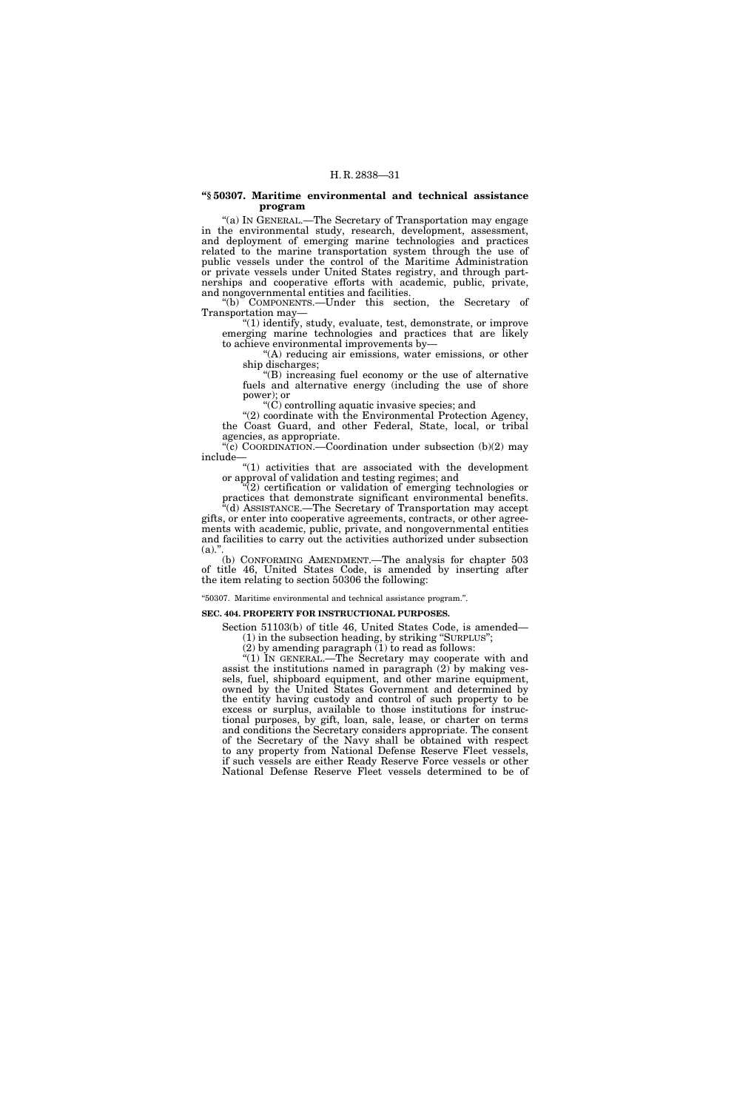#### **''§ 50307. Maritime environmental and technical assistance program**

''(a) IN GENERAL.—The Secretary of Transportation may engage in the environmental study, research, development, assessment, and deployment of emerging marine technologies and practices related to the marine transportation system through the use of public vessels under the control of the Maritime Administration or private vessels under United States registry, and through partnerships and cooperative efforts with academic, public, private, and nongovernmental entities and facilities.

''(b) COMPONENTS.—Under this section, the Secretary of Transportation may—

''(1) identify, study, evaluate, test, demonstrate, or improve emerging marine technologies and practices that are likely to achieve environmental improvements by—

"(A) reducing air emissions, water emissions, or other ship discharges;

''(B) increasing fuel economy or the use of alternative fuels and alternative energy (including the use of shore power); or

 $C'(\tilde{C})$  controlling aquatic invasive species; and

''(2) coordinate with the Environmental Protection Agency, the Coast Guard, and other Federal, State, local, or tribal agencies, as appropriate.

" $(c)$  COORDINATION.—Coordination under subsection  $(b)(2)$  may include—

" $(1)$  activities that are associated with the development or approval of validation and testing regimes; and

 $(2)$  certification or validation of emerging technologies or practices that demonstrate significant environmental benefits. (d) ASSISTANCE.—The Secretary of Transportation may accept gifts, or enter into cooperative agreements, contracts, or other agreements with academic, public, private, and nongovernmental entities

and facilities to carry out the activities authorized under subsection  $(a)$ ." (b) CONFORMING AMENDMENT.—The analysis for chapter 503

of title 46, United States Code, is amended by inserting after the item relating to section 50306 the following:

#### ''50307. Maritime environmental and technical assistance program.''.

#### **SEC. 404. PROPERTY FOR INSTRUCTIONAL PURPOSES.**

Section 51103(b) of title 46, United States Code, is amended— (1) in the subsection heading, by striking ''SURPLUS'';

(2) by amending paragraph  $(1)$  to read as follows:

''(1) IN GENERAL.—The Secretary may cooperate with and assist the institutions named in paragraph  $(2)$  by making vessels, fuel, shipboard equipment, and other marine equipment, owned by the United States Government and determined by the entity having custody and control of such property to be excess or surplus, available to those institutions for instructional purposes, by gift, loan, sale, lease, or charter on terms and conditions the Secretary considers appropriate. The consent of the Secretary of the Navy shall be obtained with respect to any property from National Defense Reserve Fleet vessels, if such vessels are either Ready Reserve Force vessels or other National Defense Reserve Fleet vessels determined to be of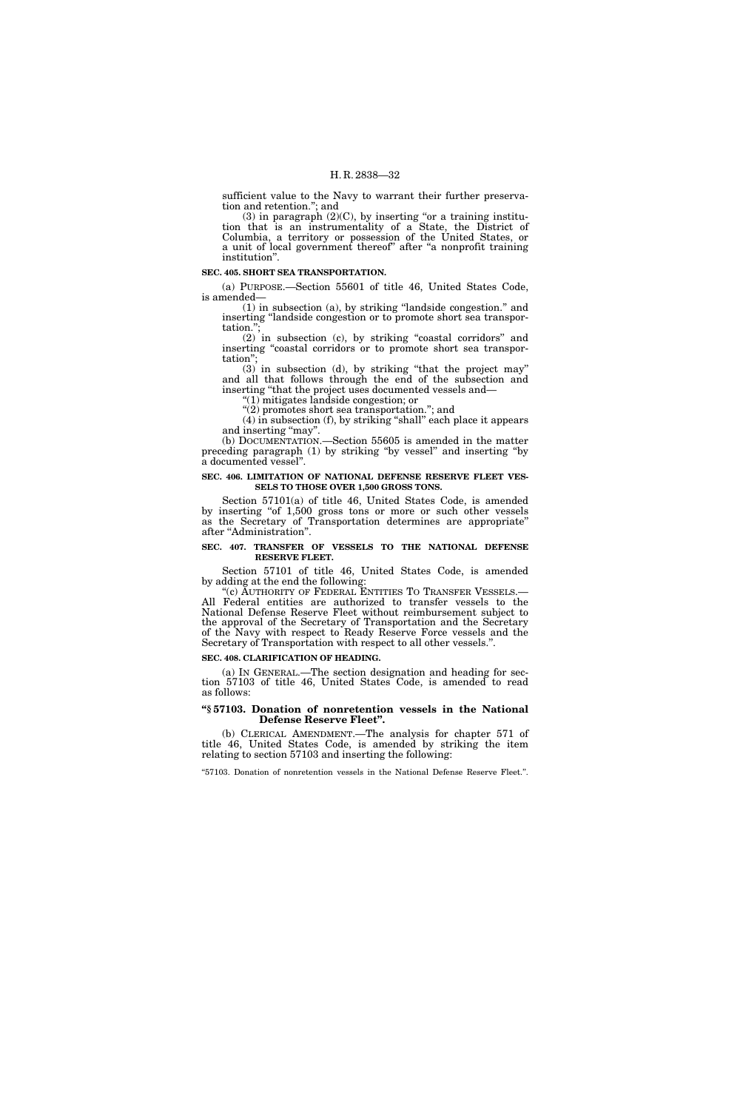sufficient value to the Navy to warrant their further preservation and retention.''; and

 $(3)$  in paragraph  $(2)(C)$ , by inserting "or a training institution that is an instrumentality of a State, the District of Columbia, a territory or possession of the United States, or a unit of local government thereof" after "a nonprofit training institution''.

#### **SEC. 405. SHORT SEA TRANSPORTATION.**

(a) PURPOSE.—Section 55601 of title 46, United States Code, is amended—

(1) in subsection (a), by striking ''landside congestion.'' and inserting ''landside congestion or to promote short sea transportation."

(2) in subsection (c), by striking ''coastal corridors'' and inserting "coastal corridors or to promote short sea transportation'';

 $(3)$  in subsection (d), by striking "that the project may" and all that follows through the end of the subsection and inserting ''that the project uses documented vessels and—

''(1) mitigates landside congestion; or

''(2) promotes short sea transportation.''; and (4) in subsection (f), by striking ''shall'' each place it appears and inserting "may".

(b) DOCUMENTATION.—Section 55605 is amended in the matter preceding paragraph (1) by striking ''by vessel'' and inserting ''by a documented vessel''.

#### **SEC. 406. LIMITATION OF NATIONAL DEFENSE RESERVE FLEET VES-SELS TO THOSE OVER 1,500 GROSS TONS.**

Section 57101(a) of title 46, United States Code, is amended by inserting "of 1,500 gross tons or more or such other vessels as the Secretary of Transportation determines are appropriate'' after ''Administration''.

#### **SEC. 407. TRANSFER OF VESSELS TO THE NATIONAL DEFENSE RESERVE FLEET.**

Section 57101 of title 46, United States Code, is amended by adding at the end the following:

''(c) AUTHORITY OF FEDERAL ENTITIES TO TRANSFER VESSELS.— All Federal entities are authorized to transfer vessels to the National Defense Reserve Fleet without reimbursement subject to the approval of the Secretary of Transportation and the Secretary of the Navy with respect to Ready Reserve Force vessels and the Secretary of Transportation with respect to all other vessels.''.

#### **SEC. 408. CLARIFICATION OF HEADING.**

(a) IN GENERAL.—The section designation and heading for section 57103 of title 46, United States Code, is amended to read as follows:

#### **''§ 57103. Donation of nonretention vessels in the National Defense Reserve Fleet''.**

(b) CLERICAL AMENDMENT.—The analysis for chapter 571 of title 46, United States Code, is amended by striking the item relating to section 57103 and inserting the following:

''57103. Donation of nonretention vessels in the National Defense Reserve Fleet.''.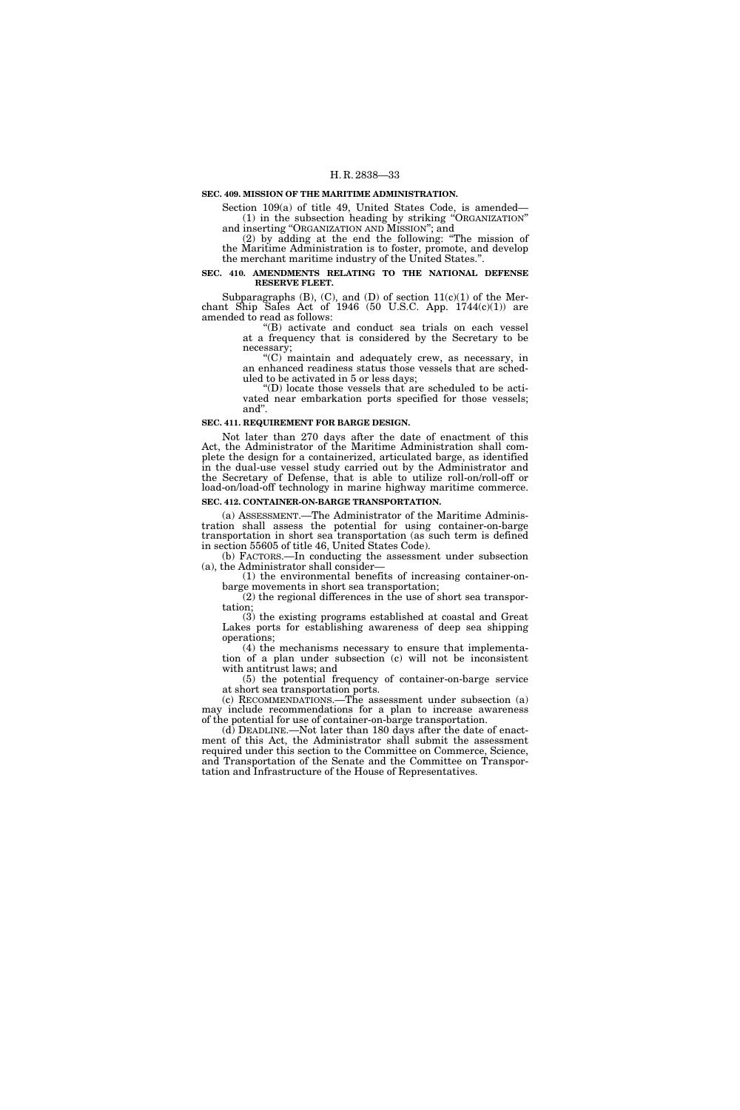#### **SEC. 409. MISSION OF THE MARITIME ADMINISTRATION.**

Section 109(a) of title 49, United States Code, is amended— (1) in the subsection heading by striking ''ORGANIZATION'' and inserting ''ORGANIZATION AND MISSION''; and

(2) by adding at the end the following: ''The mission of the Maritime Administration is to foster, promote, and develop the merchant maritime industry of the United States.''.

#### **SEC. 410. AMENDMENTS RELATING TO THE NATIONAL DEFENSE RESERVE FLEET.**

Subparagraphs  $(B)$ ,  $(C)$ , and  $(D)$  of section  $11(c)(1)$  of the Merchant Ship Sales Act of 1946 (50 U.S.C. App.  $1744(c)(1)$ ) are amended to read as follows:

''(B) activate and conduct sea trials on each vessel at a frequency that is considered by the Secretary to be necessary;

''(C) maintain and adequately crew, as necessary, in an enhanced readiness status those vessels that are scheduled to be activated in 5 or less days;

''(D) locate those vessels that are scheduled to be activated near embarkation ports specified for those vessels; and''.

#### **SEC. 411. REQUIREMENT FOR BARGE DESIGN.**

Not later than 270 days after the date of enactment of this Act, the Administrator of the Maritime Administration shall complete the design for a containerized, articulated barge, as identified in the dual-use vessel study carried out by the Administrator and the Secretary of Defense, that is able to utilize roll-on/roll-off or load-on/load-off technology in marine highway maritime commerce.

### **SEC. 412. CONTAINER-ON-BARGE TRANSPORTATION.**

(a) ASSESSMENT.—The Administrator of the Maritime Administration shall assess the potential for using container-on-barge transportation in short sea transportation (as such term is defined in section 55605 of title 46, United States Code).

(b) FACTORS.—In conducting the assessment under subsection (a), the Administrator shall consider—

(1) the environmental benefits of increasing container-onbarge movements in short sea transportation;

(2) the regional differences in the use of short sea transportation;

(3) the existing programs established at coastal and Great Lakes ports for establishing awareness of deep sea shipping operations;

(4) the mechanisms necessary to ensure that implementation of a plan under subsection (c) will not be inconsistent with antitrust laws; and

(5) the potential frequency of container-on-barge service at short sea transportation ports.

(c) RECOMMENDATIONS.—The assessment under subsection (a) may include recommendations for a plan to increase awareness of the potential for use of container-on-barge transportation.

(d) DEADLINE.—Not later than 180 days after the date of enactment of this Act, the Administrator shall submit the assessment required under this section to the Committee on Commerce, Science, and Transportation of the Senate and the Committee on Transportation and Infrastructure of the House of Representatives.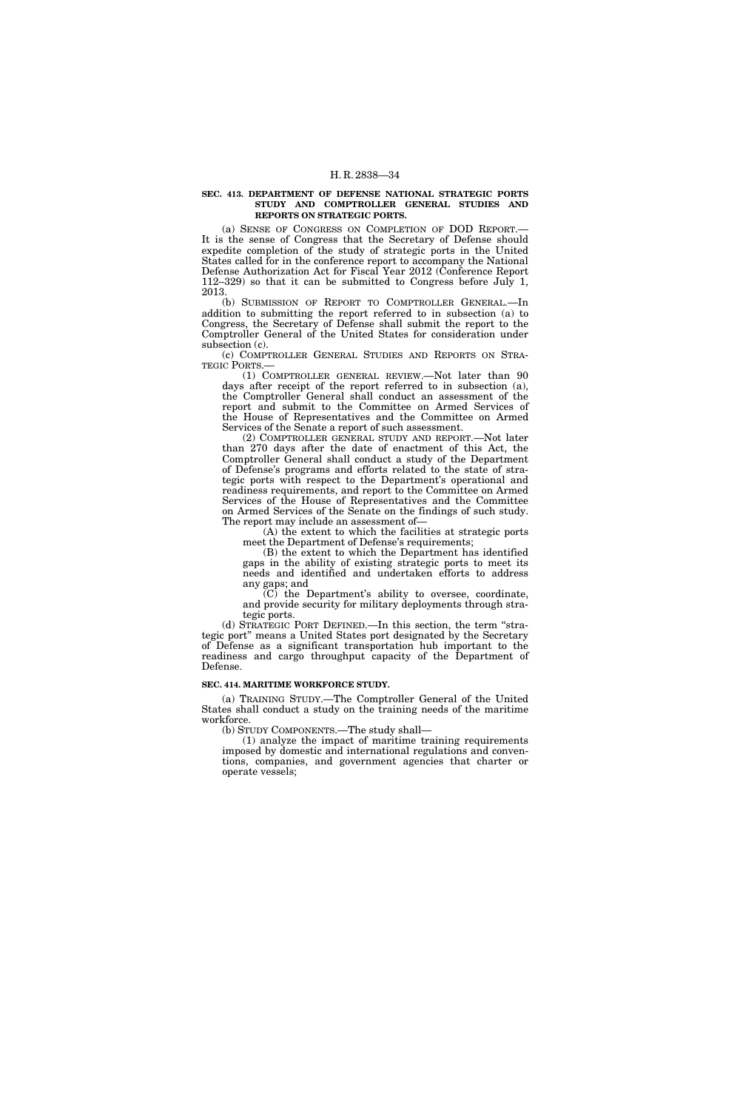#### **SEC. 413. DEPARTMENT OF DEFENSE NATIONAL STRATEGIC PORTS STUDY AND COMPTROLLER GENERAL STUDIES AND REPORTS ON STRATEGIC PORTS.**

(a) SENSE OF CONGRESS ON COMPLETION OF DOD REPORT.— It is the sense of Congress that the Secretary of Defense should expedite completion of the study of strategic ports in the United States called for in the conference report to accompany the National Defense Authorization Act for Fiscal Year 2012 (Conference Report 112–329) so that it can be submitted to Congress before July 1, 2013.

(b) SUBMISSION OF REPORT TO COMPTROLLER GENERAL.—In addition to submitting the report referred to in subsection (a) to Congress, the Secretary of Defense shall submit the report to the Comptroller General of the United States for consideration under subsection (c).

(c) COMPTROLLER GENERAL STUDIES AND REPORTS ON STRA-TEGIC PORTS.—

(1) COMPTROLLER GENERAL REVIEW.—Not later than 90 days after receipt of the report referred to in subsection (a), the Comptroller General shall conduct an assessment of the report and submit to the Committee on Armed Services of the House of Representatives and the Committee on Armed Services of the Senate a report of such assessment.

(2) COMPTROLLER GENERAL STUDY AND REPORT.—Not later than 270 days after the date of enactment of this Act, the Comptroller General shall conduct a study of the Department of Defense's programs and efforts related to the state of strategic ports with respect to the Department's operational and readiness requirements, and report to the Committee on Armed Services of the House of Representatives and the Committee on Armed Services of the Senate on the findings of such study. The report may include an assessment of—

(A) the extent to which the facilities at strategic ports meet the Department of Defense's requirements;

(B) the extent to which the Department has identified gaps in the ability of existing strategic ports to meet its needs and identified and undertaken efforts to address any gaps; and

 $(C)$  the Department's ability to oversee, coordinate, and provide security for military deployments through strategic ports.

(d) STRATEGIC PORT DEFINED.—In this section, the term ''strategic port'' means a United States port designated by the Secretary of Defense as a significant transportation hub important to the readiness and cargo throughput capacity of the Department of Defense.

#### **SEC. 414. MARITIME WORKFORCE STUDY.**

(a) TRAINING STUDY.—The Comptroller General of the United States shall conduct a study on the training needs of the maritime workforce.

(b) STUDY COMPONENTS.—The study shall—

(1) analyze the impact of maritime training requirements imposed by domestic and international regulations and conventions, companies, and government agencies that charter or operate vessels;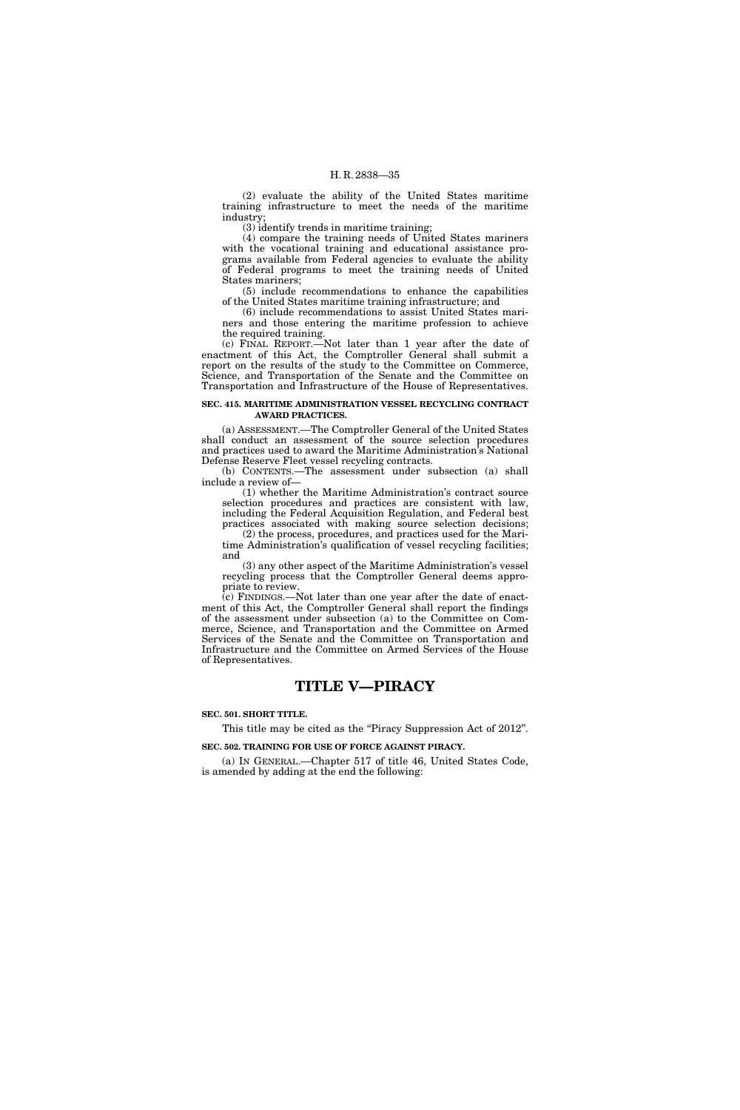(2) evaluate the ability of the United States maritime training infrastructure to meet the needs of the maritime industry;

(3) identify trends in maritime training;

(4) compare the training needs of United States mariners with the vocational training and educational assistance programs available from Federal agencies to evaluate the ability of Federal programs to meet the training needs of United States mariners;

(5) include recommendations to enhance the capabilities of the United States maritime training infrastructure; and

(6) include recommendations to assist United States mariners and those entering the maritime profession to achieve the required training.

(c) FINAL REPORT.—Not later than 1 year after the date of enactment of this Act, the Comptroller General shall submit a report on the results of the study to the Committee on Commerce, Science, and Transportation of the Senate and the Committee on Transportation and Infrastructure of the House of Representatives.

#### **SEC. 415. MARITIME ADMINISTRATION VESSEL RECYCLING CONTRACT AWARD PRACTICES.**

(a) ASSESSMENT.—The Comptroller General of the United States shall conduct an assessment of the source selection procedures and practices used to award the Maritime Administration's National Defense Reserve Fleet vessel recycling contracts.

(b) CONTENTS.—The assessment under subsection (a) shall include a review of—

(1) whether the Maritime Administration's contract source selection procedures and practices are consistent with law, including the Federal Acquisition Regulation, and Federal best practices associated with making source selection decisions; (2) the process, procedures, and practices used for the Mari-

time Administration's qualification of vessel recycling facilities; and

(3) any other aspect of the Maritime Administration's vessel recycling process that the Comptroller General deems appropriate to review.

(c) FINDINGS.—Not later than one year after the date of enactment of this Act, the Comptroller General shall report the findings of the assessment under subsection (a) to the Committee on Commerce, Science, and Transportation and the Committee on Armed Services of the Senate and the Committee on Transportation and Infrastructure and the Committee on Armed Services of the House of Representatives.

# **TITLE V—PIRACY**

#### **SEC. 501. SHORT TITLE.**

This title may be cited as the "Piracy Suppression Act of 2012".

**SEC. 502. TRAINING FOR USE OF FORCE AGAINST PIRACY.** 

(a) IN GENERAL.—Chapter 517 of title 46, United States Code, is amended by adding at the end the following: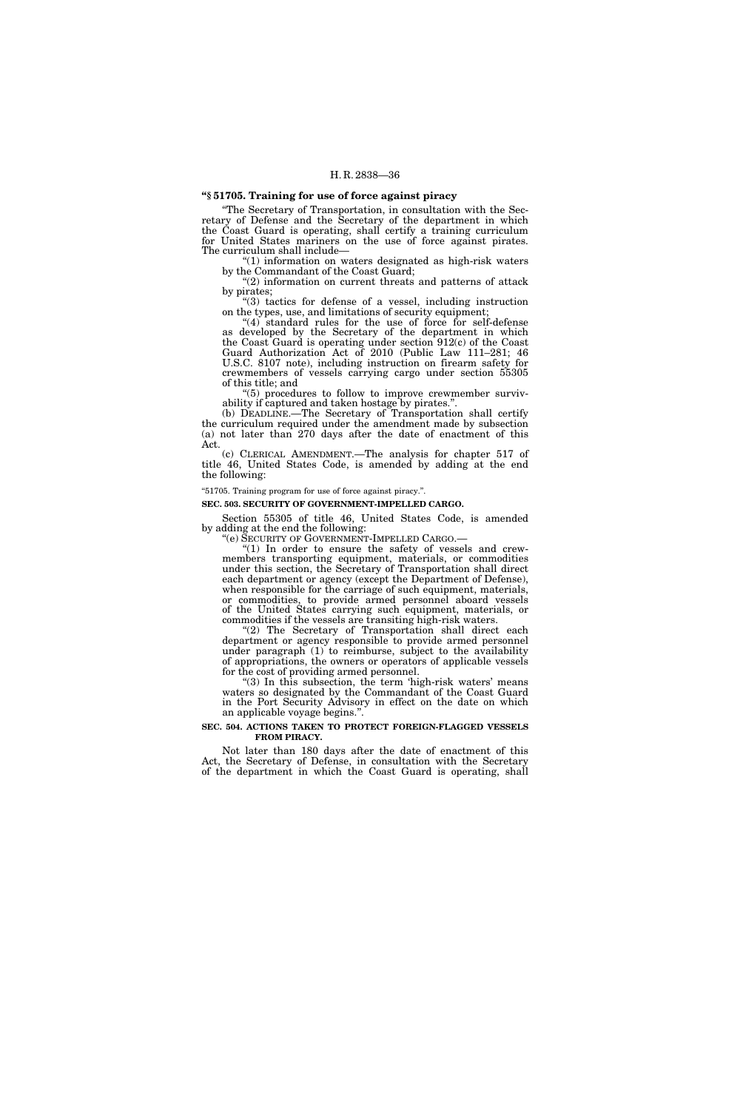# **''§ 51705. Training for use of force against piracy**

''The Secretary of Transportation, in consultation with the Secretary of Defense and the Secretary of the department in which the Coast Guard is operating, shall certify a training curriculum for United States mariners on the use of force against pirates. The curriculum shall include—

''(1) information on waters designated as high-risk waters by the Commandant of the Coast Guard;

"(2) information on current threats and patterns of attack by pirates;

''(3) tactics for defense of a vessel, including instruction on the types, use, and limitations of security equipment;

''(4) standard rules for the use of force for self-defense as developed by the Secretary of the department in which the Coast Guard is operating under section 912(c) of the Coast Guard Authorization Act of 2010 (Public Law 111–281; 46 U.S.C. 8107 note), including instruction on firearm safety for crewmembers of vessels carrying cargo under section 55305 of this title; and

''(5) procedures to follow to improve crewmember survivability if captured and taken hostage by pirates.''.

(b) DEADLINE.—The Secretary of Transportation shall certify the curriculum required under the amendment made by subsection (a) not later than 270 days after the date of enactment of this Act.

(c) CLERICAL AMENDMENT.—The analysis for chapter 517 of title 46, United States Code, is amended by adding at the end the following:

''51705. Training program for use of force against piracy.''.

**SEC. 503. SECURITY OF GOVERNMENT-IMPELLED CARGO.** 

Section 55305 of title 46, United States Code, is amended by adding at the end the following:

''(e) SECURITY OF GOVERNMENT-IMPELLED CARGO.— ''(1) In order to ensure the safety of vessels and crewmembers transporting equipment, materials, or commodities under this section, the Secretary of Transportation shall direct each department or agency (except the Department of Defense), when responsible for the carriage of such equipment, materials, or commodities, to provide armed personnel aboard vessels of the United States carrying such equipment, materials, or commodities if the vessels are transiting high-risk waters.

"(2) The Secretary of Transportation shall direct each department or agency responsible to provide armed personnel under paragraph (1) to reimburse, subject to the availability of appropriations, the owners or operators of applicable vessels for the cost of providing armed personnel.

"(3) In this subsection, the term 'high-risk waters' means waters so designated by the Commandant of the Coast Guard in the Port Security Advisory in effect on the date on which an applicable voyage begins.''.

#### **SEC. 504. ACTIONS TAKEN TO PROTECT FOREIGN-FLAGGED VESSELS FROM PIRACY.**

Not later than 180 days after the date of enactment of this Act, the Secretary of Defense, in consultation with the Secretary of the department in which the Coast Guard is operating, shall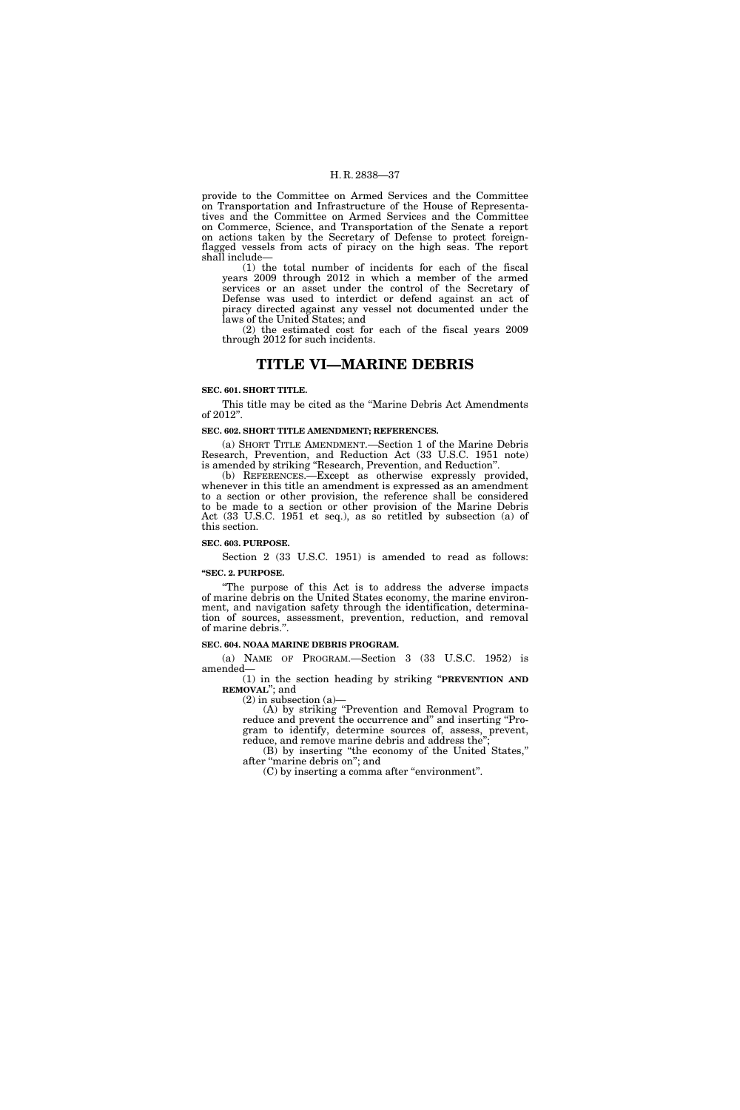provide to the Committee on Armed Services and the Committee on Transportation and Infrastructure of the House of Representatives and the Committee on Armed Services and the Committee on Commerce, Science, and Transportation of the Senate a report on actions taken by the Secretary of Defense to protect foreignflagged vessels from acts of piracy on the high seas. The report shall include—

(1) the total number of incidents for each of the fiscal years 2009 through 2012 in which a member of the armed services or an asset under the control of the Secretary of Defense was used to interdict or defend against an act of piracy directed against any vessel not documented under the laws of the United States; and

(2) the estimated cost for each of the fiscal years 2009 through 2012 for such incidents.

# **TITLE VI—MARINE DEBRIS**

#### **SEC. 601. SHORT TITLE.**

This title may be cited as the ''Marine Debris Act Amendments of 2012''.

#### **SEC. 602. SHORT TITLE AMENDMENT; REFERENCES.**

(a) SHORT TITLE AMENDMENT.—Section 1 of the Marine Debris Research, Prevention, and Reduction Act (33 U.S.C. 1951 note) is amended by striking ''Research, Prevention, and Reduction''.

(b) REFERENCES.—Except as otherwise expressly provided, whenever in this title an amendment is expressed as an amendment to a section or other provision, the reference shall be considered to be made to a section or other provision of the Marine Debris Act (33 U.S.C. 1951 et seq.), as so retitled by subsection (a) of this section.

#### **SEC. 603. PURPOSE.**

Section 2 (33 U.S.C. 1951) is amended to read as follows:

**''SEC. 2. PURPOSE.** 

''The purpose of this Act is to address the adverse impacts of marine debris on the United States economy, the marine environment, and navigation safety through the identification, determination of sources, assessment, prevention, reduction, and removal of marine debris.''.

#### **SEC. 604. NOAA MARINE DEBRIS PROGRAM.**

(a) NAME OF PROGRAM.—Section 3 (33 U.S.C. 1952) is amended—

(1) in the section heading by striking ''**PREVENTION AND REMOVAL**''; and

(2) in subsection (a)—

(A) by striking ''Prevention and Removal Program to reduce and prevent the occurrence and" and inserting "Program to identify, determine sources of, assess, prevent, reduce, and remove marine debris and address the<sup>"</sup>

(B) by inserting ''the economy of the United States,'' after ''marine debris on''; and

(C) by inserting a comma after ''environment''.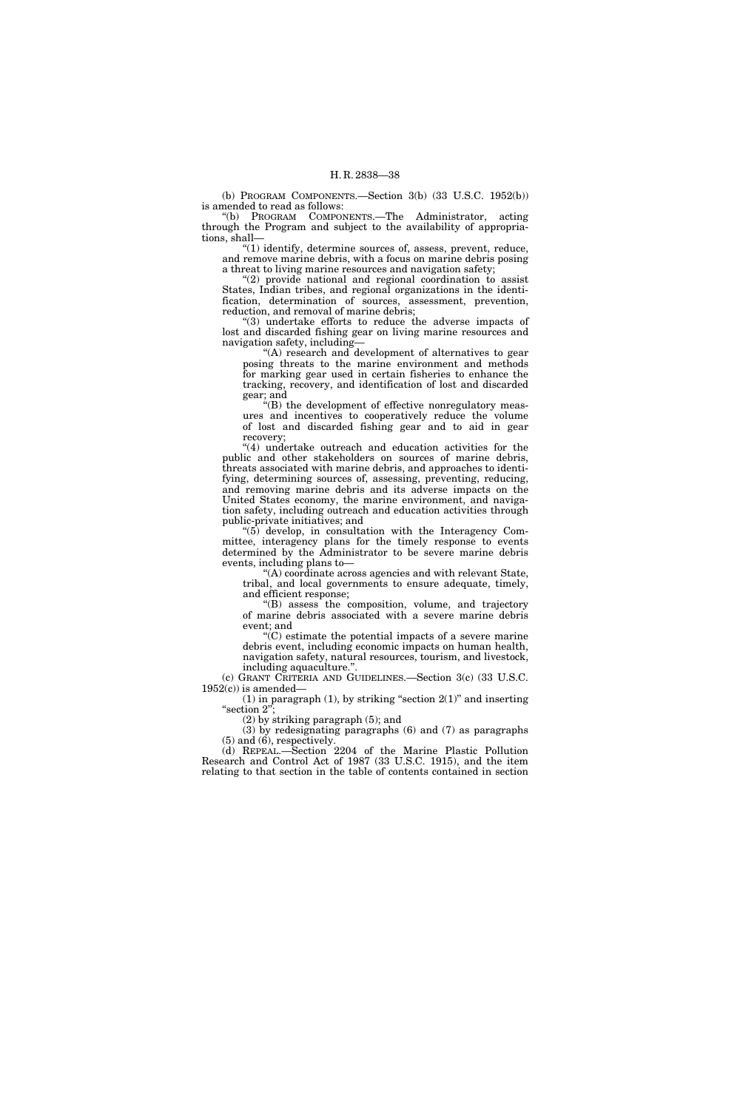(b) PROGRAM COMPONENTS.—Section 3(b) (33 U.S.C. 1952(b)) is amended to read as follows:

''(b) PROGRAM COMPONENTS.—The Administrator, acting through the Program and subject to the availability of appropriations, shall—

''(1) identify, determine sources of, assess, prevent, reduce, and remove marine debris, with a focus on marine debris posing a threat to living marine resources and navigation safety;

"(2) provide national and regional coordination to assist States, Indian tribes, and regional organizations in the identification, determination of sources, assessment, prevention, reduction, and removal of marine debris;

''(3) undertake efforts to reduce the adverse impacts of lost and discarded fishing gear on living marine resources and navigation safety, including—

''(A) research and development of alternatives to gear posing threats to the marine environment and methods for marking gear used in certain fisheries to enhance the tracking, recovery, and identification of lost and discarded gear; and

 $\sqrt[4]{(B)}$  the development of effective nonregulatory measures and incentives to cooperatively reduce the volume of lost and discarded fishing gear and to aid in gear recovery;

"(4) undertake outreach and education activities for the public and other stakeholders on sources of marine debris, threats associated with marine debris, and approaches to identifying, determining sources of, assessing, preventing, reducing, and removing marine debris and its adverse impacts on the United States economy, the marine environment, and navigation safety, including outreach and education activities through public-private initiatives; and

 $(5)$  develop, in consultation with the Interagency Committee, interagency plans for the timely response to events determined by the Administrator to be severe marine debris events, including plans to—

 $(A)$  coordinate across agencies and with relevant State, tribal, and local governments to ensure adequate, timely, and efficient response;

''(B) assess the composition, volume, and trajectory of marine debris associated with a severe marine debris event; and

''(C) estimate the potential impacts of a severe marine debris event, including economic impacts on human health, navigation safety, natural resources, tourism, and livestock, including aquaculture."

(c) GRANT CRITERIA AND GUIDELINES.—Section 3(c) (33 U.S.C.  $1952(c)$ ) is amended-

(1) in paragraph (1), by striking "section  $2(1)$ " and inserting "section 2";

(2) by striking paragraph (5); and

(3) by redesignating paragraphs (6) and (7) as paragraphs (5) and (6), respectively.

(d) REPEAL.—Section 2204 of the Marine Plastic Pollution Research and Control Act of 1987 (33 U.S.C. 1915), and the item relating to that section in the table of contents contained in section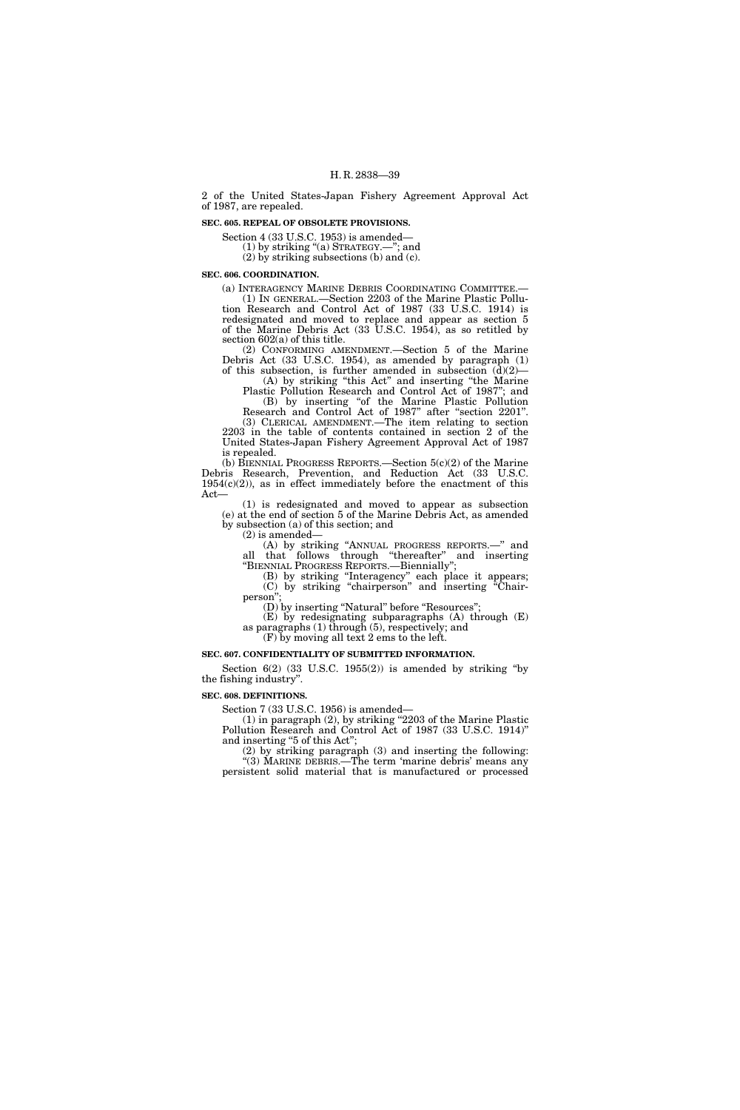2 of the United States-Japan Fishery Agreement Approval Act of 1987, are repealed.

#### **SEC. 605. REPEAL OF OBSOLETE PROVISIONS.**

Section 4 (33 U.S.C. 1953) is amended—

(1) by striking ''(a) STRATEGY.—''; and

(2) by striking subsections (b) and (c).

#### **SEC. 606. COORDINATION.**

(a) INTERAGENCY MARINE DEBRIS COORDINATING COMMITTEE.— (1) IN GENERAL.—Section 2203 of the Marine Plastic Pollution Research and Control Act of 1987 (33 U.S.C. 1914) is redesignated and moved to replace and appear as section 5 of the Marine Debris Act (33 U.S.C. 1954), as so retitled by section 602(a) of this title.

(2) CONFORMING AMENDMENT.—Section 5 of the Marine Debris Act (33 U.S.C. 1954), as amended by paragraph (1) of this subsection, is further amended in subsection  $(d)(2)$ —

(A) by striking ''this Act'' and inserting ''the Marine Plastic Pollution Research and Control Act of 1987''; and (B) by inserting ''of the Marine Plastic Pollution

Research and Control Act of 1987'' after ''section 2201''. (3) CLERICAL AMENDMENT.—The item relating to section 2203 in the table of contents contained in section 2 of the

United States-Japan Fishery Agreement Approval Act of 1987 is repealed.

(b) BIENNIAL PROGRESS REPORTS.—Section 5(c)(2) of the Marine Debris Research, Prevention, and Reduction Act (33 U.S.C.  $1954(c)(2)$ , as in effect immediately before the enactment of this Act—

(1) is redesignated and moved to appear as subsection (e) at the end of section 5 of the Marine Debris Act, as amended by subsection (a) of this section; and

(2) is amended—

(A) by striking ''ANNUAL PROGRESS REPORTS.—'' and all that follows through ''thereafter'' and inserting ''BIENNIAL PROGRESS REPORTS.—Biennially'';

(B) by striking ''Interagency'' each place it appears; (C) by striking ''chairperson'' and inserting ''Chairperson'';

(D) by inserting "Natural" before "Resources";

(E) by redesignating subparagraphs (A) through (E) as paragraphs (1) through (5), respectively; and

(F) by moving all text 2 ems to the left.

# **SEC. 607. CONFIDENTIALITY OF SUBMITTED INFORMATION.**

Section  $6(2)$   $(33 \text{ U.S.C. } 1955(2))$  is amended by striking "by the fishing industry''.

#### **SEC. 608. DEFINITIONS.**

Section 7 (33 U.S.C. 1956) is amended—

(1) in paragraph (2), by striking ''2203 of the Marine Plastic Pollution Research and Control Act of 1987 (33 U.S.C. 1914)'' and inserting ''5 of this Act'';

(2) by striking paragraph (3) and inserting the following: ''(3) MARINE DEBRIS.—The term 'marine debris' means any persistent solid material that is manufactured or processed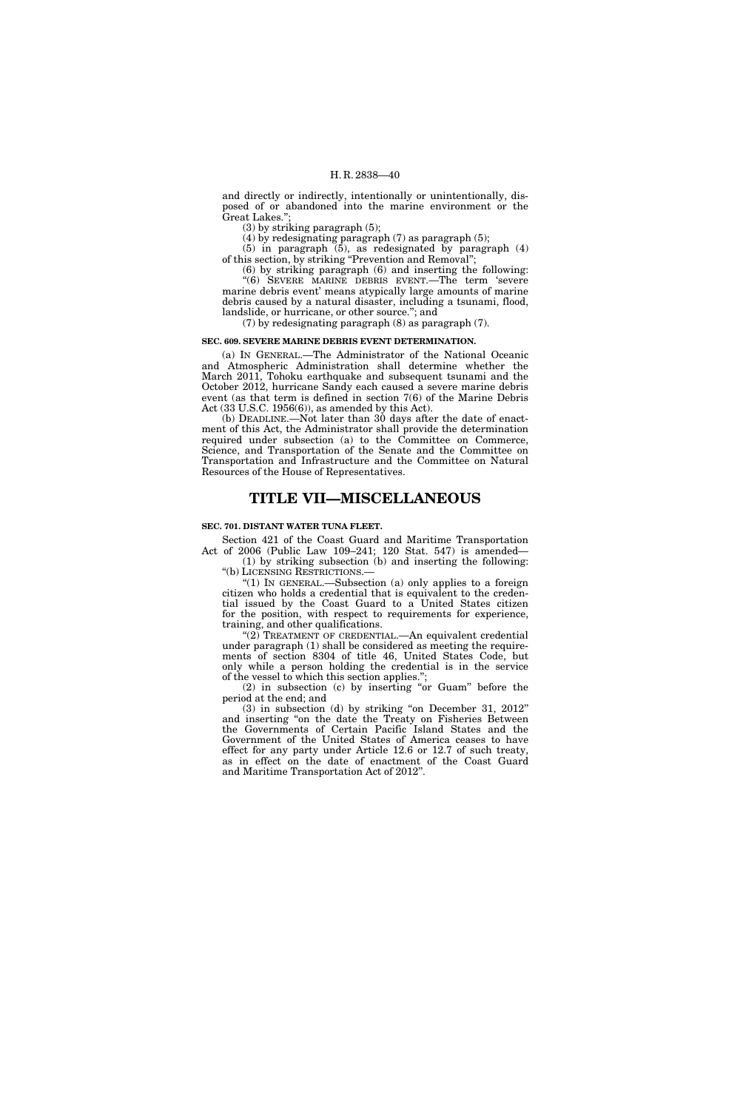and directly or indirectly, intentionally or unintentionally, disposed of or abandoned into the marine environment or the Great Lakes."

(3) by striking paragraph (5);

(4) by redesignating paragraph (7) as paragraph (5); (5) in paragraph (5), as redesignated by paragraph (4)

of this section, by striking ''Prevention and Removal''; (6) by striking paragraph (6) and inserting the following:

''(6) SEVERE MARINE DEBRIS EVENT.—The term 'severe marine debris event' means atypically large amounts of marine debris caused by a natural disaster, including a tsunami, flood, landslide, or hurricane, or other source."; and

(7) by redesignating paragraph (8) as paragraph (7).

# **SEC. 609. SEVERE MARINE DEBRIS EVENT DETERMINATION.**

(a) IN GENERAL.—The Administrator of the National Oceanic and Atmospheric Administration shall determine whether the March 2011, Tohoku earthquake and subsequent tsunami and the October 2012, hurricane Sandy each caused a severe marine debris event (as that term is defined in section 7(6) of the Marine Debris Act (33 U.S.C. 1956(6)), as amended by this Act).

(b) DEADLINE.—Not later than 30 days after the date of enactment of this Act, the Administrator shall provide the determination required under subsection (a) to the Committee on Commerce, Science, and Transportation of the Senate and the Committee on Transportation and Infrastructure and the Committee on Natural Resources of the House of Representatives.

# **TITLE VII—MISCELLANEOUS**

#### **SEC. 701. DISTANT WATER TUNA FLEET.**

Section 421 of the Coast Guard and Maritime Transportation Act of 2006 (Public Law 109–241; 120 Stat. 547) is amended— (1) by striking subsection (b) and inserting the following:

''(b) LICENSING RESTRICTIONS.— " $(1)$  In GENERAL.—Subsection  $(a)$  only applies to a foreign citizen who holds a credential that is equivalent to the creden-

tial issued by the Coast Guard to a United States citizen for the position, with respect to requirements for experience, training, and other qualifications.

''(2) TREATMENT OF CREDENTIAL.—An equivalent credential under paragraph (1) shall be considered as meeting the requirements of section 8304 of title 46, United States Code, but only while a person holding the credential is in the service of the vessel to which this section applies.'';

(2) in subsection (c) by inserting ''or Guam'' before the period at the end; and

(3) in subsection (d) by striking ''on December 31, 2012'' and inserting ''on the date the Treaty on Fisheries Between the Governments of Certain Pacific Island States and the Government of the United States of America ceases to have effect for any party under Article 12.6 or 12.7 of such treaty, as in effect on the date of enactment of the Coast Guard and Maritime Transportation Act of 2012''.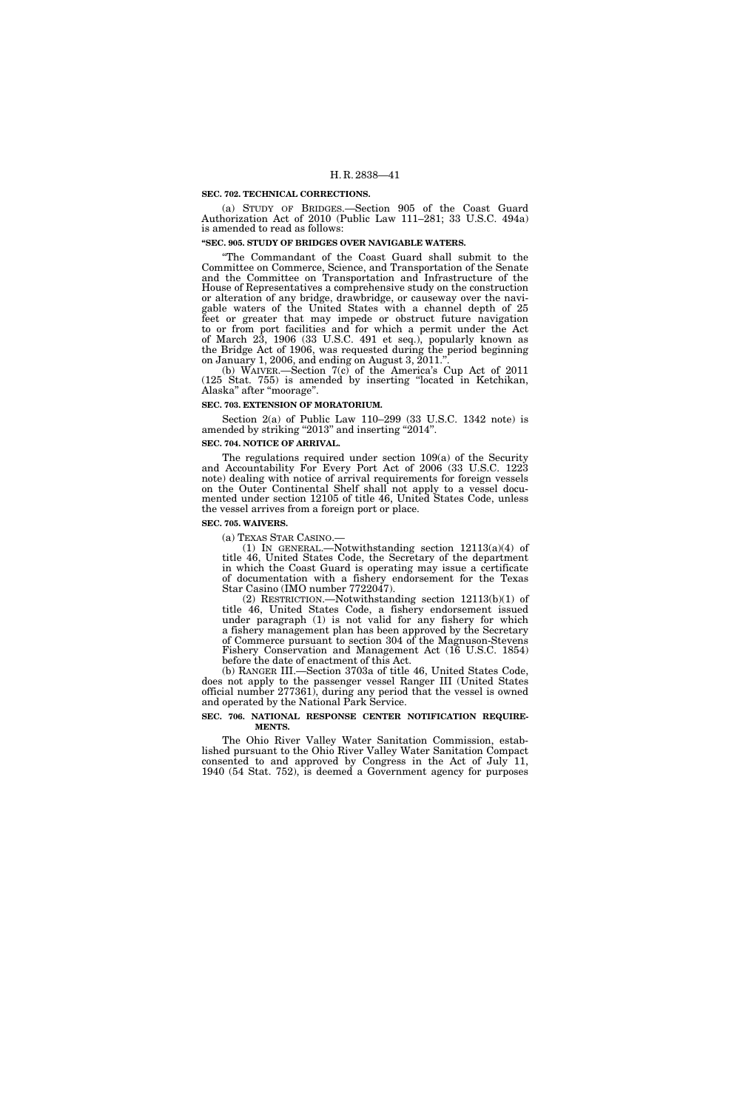#### **SEC. 702. TECHNICAL CORRECTIONS.**

(a) STUDY OF BRIDGES.—Section 905 of the Coast Guard Authorization Act of 2010 (Public Law 111–281; 33 U.S.C. 494a) is amended to read as follows:

#### **''SEC. 905. STUDY OF BRIDGES OVER NAVIGABLE WATERS.**

''The Commandant of the Coast Guard shall submit to the Committee on Commerce, Science, and Transportation of the Senate and the Committee on Transportation and Infrastructure of the House of Representatives a comprehensive study on the construction or alteration of any bridge, drawbridge, or causeway over the navigable waters of the United States with a channel depth of 25 feet or greater that may impede or obstruct future navigation to or from port facilities and for which a permit under the Act of March 23, 1906 (33 U.S.C. 491 et seq.), popularly known as the Bridge Act of 1906, was requested during the period beginning on January 1, 2006, and ending on August 3, 2011.'

(b) WAIVER.—Section 7(c) of the America's Cup Act of 2011 (125 Stat. 755) is amended by inserting ''located in Ketchikan, Alaska" after "moorage".

#### **SEC. 703. EXTENSION OF MORATORIUM.**

Section 2(a) of Public Law 110–299 (33 U.S.C. 1342 note) is amended by striking "2013" and inserting "2014".

#### **SEC. 704. NOTICE OF ARRIVAL.**

The regulations required under section 109(a) of the Security and Accountability For Every Port Act of 2006 (33 U.S.C. 1223 note) dealing with notice of arrival requirements for foreign vessels on the Outer Continental Shelf shall not apply to a vessel documented under section 12105 of title 46, United States Code, unless the vessel arrives from a foreign port or place.

#### **SEC. 705. WAIVERS.**

(a) TEXAS STAR CASINO.— (1) IN GENERAL.—Notwithstanding section  $12113(a)(4)$  of title 46, United States Code, the Secretary of the department in which the Coast Guard is operating may issue a certificate of documentation with a fishery endorsement for the Texas Star Casino (IMO number 7722047).

(2) RESTRICTION.—Notwithstanding section 12113(b)(1) of title 46, United States Code, a fishery endorsement issued under paragraph (1) is not valid for any fishery for which a fishery management plan has been approved by the Secretary of Commerce pursuant to section 304 of the Magnuson-Stevens Fishery Conservation and Management Act (16 U.S.C. 1854) before the date of enactment of this Act.

(b) RANGER III.—Section 3703a of title 46, United States Code, does not apply to the passenger vessel Ranger III (United States official number 277361), during any period that the vessel is owned and operated by the National Park Service.

#### **SEC. 706. NATIONAL RESPONSE CENTER NOTIFICATION REQUIRE-MENTS.**

The Ohio River Valley Water Sanitation Commission, established pursuant to the Ohio River Valley Water Sanitation Compact consented to and approved by Congress in the Act of July 11, 1940 (54 Stat. 752), is deemed a Government agency for purposes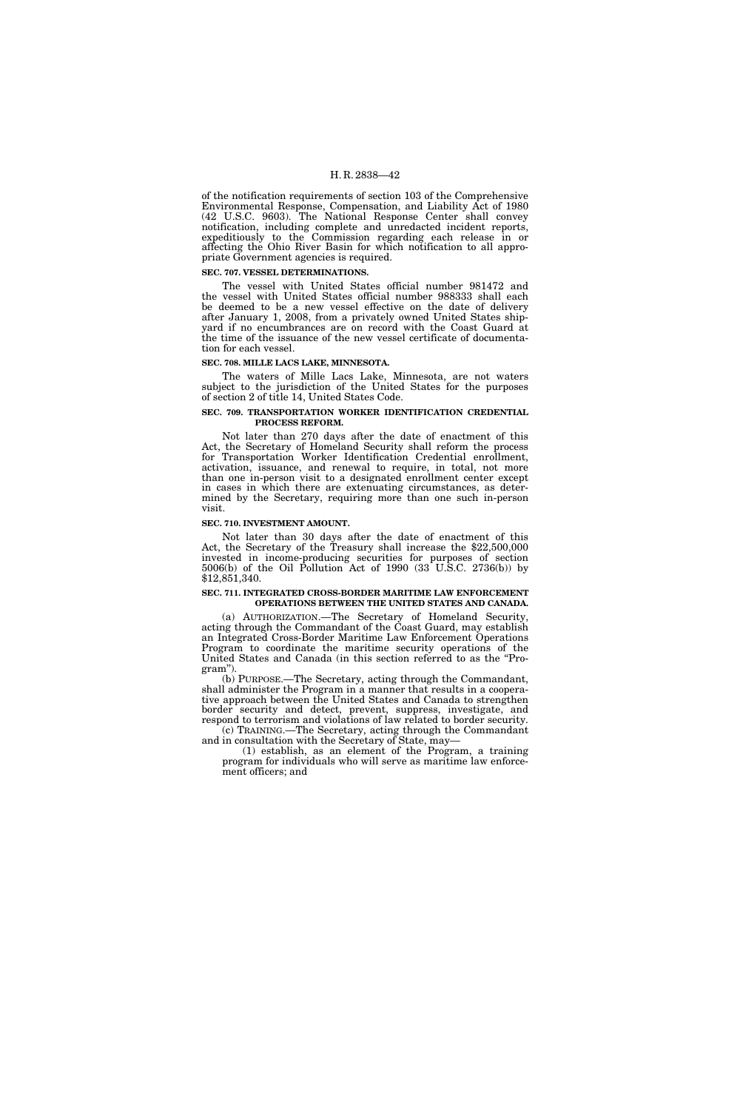of the notification requirements of section 103 of the Comprehensive Environmental Response, Compensation, and Liability Act of 1980 (42 U.S.C. 9603). The National Response Center shall convey notification, including complete and unredacted incident reports, expeditiously to the Commission regarding each release in or affecting the Ohio River Basin for which notification to all appropriate Government agencies is required.

#### **SEC. 707. VESSEL DETERMINATIONS.**

The vessel with United States official number 981472 and the vessel with United States official number 988333 shall each be deemed to be a new vessel effective on the date of delivery after January 1, 2008, from a privately owned United States shipyard if no encumbrances are on record with the Coast Guard at the time of the issuance of the new vessel certificate of documentation for each vessel.

#### **SEC. 708. MILLE LACS LAKE, MINNESOTA.**

The waters of Mille Lacs Lake, Minnesota, are not waters subject to the jurisdiction of the United States for the purposes of section 2 of title 14, United States Code.

#### **SEC. 709. TRANSPORTATION WORKER IDENTIFICATION CREDENTIAL PROCESS REFORM.**

Not later than 270 days after the date of enactment of this Act, the Secretary of Homeland Security shall reform the process for Transportation Worker Identification Credential enrollment, activation, issuance, and renewal to require, in total, not more than one in-person visit to a designated enrollment center except in cases in which there are extenuating circumstances, as determined by the Secretary, requiring more than one such in-person visit.

#### **SEC. 710. INVESTMENT AMOUNT.**

Not later than 30 days after the date of enactment of this Act, the Secretary of the Treasury shall increase the \$22,500,000 invested in income-producing securities for purposes of section 5006(b) of the Oil Pollution Act of 1990 (33 U.S.C. 2736(b)) by \$12,851,340.

#### **SEC. 711. INTEGRATED CROSS-BORDER MARITIME LAW ENFORCEMENT OPERATIONS BETWEEN THE UNITED STATES AND CANADA.**

(a) AUTHORIZATION.—The Secretary of Homeland Security, acting through the Commandant of the Coast Guard, may establish an Integrated Cross-Border Maritime Law Enforcement Operations Program to coordinate the maritime security operations of the United States and Canada (in this section referred to as the ''Program'').

(b) PURPOSE.—The Secretary, acting through the Commandant, shall administer the Program in a manner that results in a cooperative approach between the United States and Canada to strengthen border security and detect, prevent, suppress, investigate, and respond to terrorism and violations of law related to border security.

(c) TRAINING.—The Secretary, acting through the Commandant and in consultation with the Secretary of State, may—

(1) establish, as an element of the Program, a training program for individuals who will serve as maritime law enforcement officers; and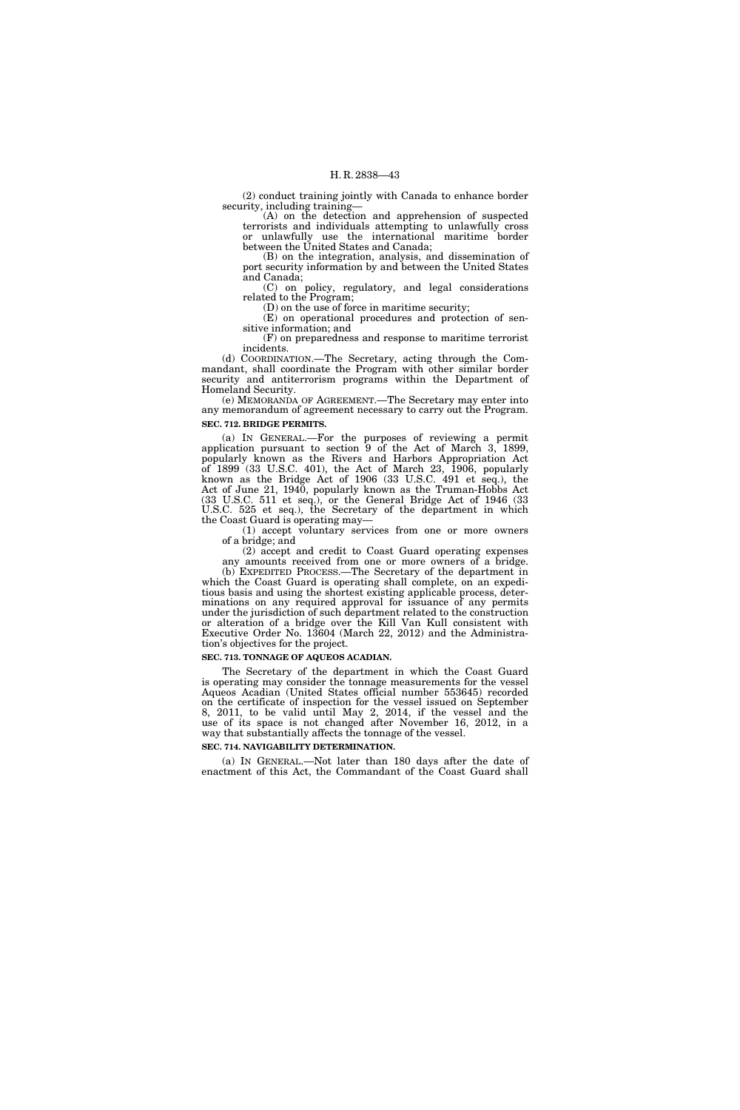(2) conduct training jointly with Canada to enhance border security, including training—

(A) on the detection and apprehension of suspected terrorists and individuals attempting to unlawfully cross or unlawfully use the international maritime border between the United States and Canada;

(B) on the integration, analysis, and dissemination of port security information by and between the United States and Canada;

(C) on policy, regulatory, and legal considerations related to the Program;

(D) on the use of force in maritime security;

(E) on operational procedures and protection of sensitive information; and

(F) on preparedness and response to maritime terrorist incidents.

(d) COORDINATION.—The Secretary, acting through the Commandant, shall coordinate the Program with other similar border security and antiterrorism programs within the Department of Homeland Security.

(e) MEMORANDA OF AGREEMENT.—The Secretary may enter into any memorandum of agreement necessary to carry out the Program. **SEC. 712. BRIDGE PERMITS.** 

(a) IN GENERAL.—For the purposes of reviewing a permit application pursuant to section 9 of the Act of March 3, 1899, popularly known as the Rivers and Harbors Appropriation Act of 1899 (33 U.S.C. 401), the Act of March 23, 1906, popularly known as the Bridge Act of 1906 (33 U.S.C. 491 et seq.), the Act of June 21, 1940, popularly known as the Truman-Hobbs Act (33 U.S.C. 511 et seq.), or the General Bridge Act of 1946 (33 U.S.C. 525 et seq.), the Secretary of the department in which the Coast Guard is operating may—

(1) accept voluntary services from one or more owners of a bridge; and

(2) accept and credit to Coast Guard operating expenses any amounts received from one or more owners of a bridge.

(b) EXPEDITED PROCESS.—The Secretary of the department in which the Coast Guard is operating shall complete, on an expeditious basis and using the shortest existing applicable process, determinations on any required approval for issuance of any permits under the jurisdiction of such department related to the construction or alteration of a bridge over the Kill Van Kull consistent with Executive Order No. 13604 (March 22, 2012) and the Administration's objectives for the project.

### **SEC. 713. TONNAGE OF AQUEOS ACADIAN.**

The Secretary of the department in which the Coast Guard is operating may consider the tonnage measurements for the vessel Aqueos Acadian (United States official number 553645) recorded on the certificate of inspection for the vessel issued on September 8, 2011, to be valid until May 2, 2014, if the vessel and the use of its space is not changed after November 16, 2012, in a way that substantially affects the tonnage of the vessel.

#### **SEC. 714. NAVIGABILITY DETERMINATION.**

(a) IN GENERAL.—Not later than 180 days after the date of enactment of this Act, the Commandant of the Coast Guard shall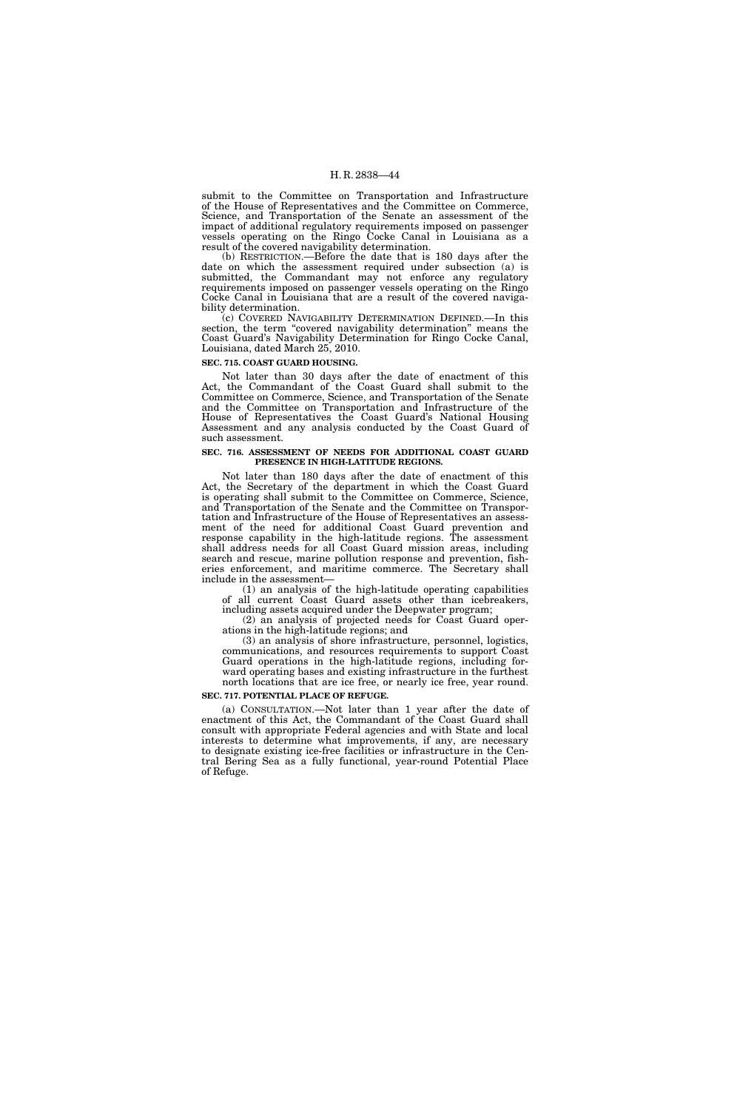submit to the Committee on Transportation and Infrastructure of the House of Representatives and the Committee on Commerce, Science, and Transportation of the Senate an assessment of the impact of additional regulatory requirements imposed on passenger vessels operating on the Ringo Cocke Canal in Louisiana as a result of the covered navigability determination.

(b) RESTRICTION.—Before the date that is 180 days after the date on which the assessment required under subsection (a) is submitted, the Commandant may not enforce any regulatory requirements imposed on passenger vessels operating on the Ringo Cocke Canal in Louisiana that are a result of the covered navigability determination.

(c) COVERED NAVIGABILITY DETERMINATION DEFINED.—In this section, the term "covered navigability determination" means the Coast Guard's Navigability Determination for Ringo Cocke Canal, Louisiana, dated March 25, 2010.

#### **SEC. 715. COAST GUARD HOUSING.**

Not later than 30 days after the date of enactment of this Act, the Commandant of the Coast Guard shall submit to the Committee on Commerce, Science, and Transportation of the Senate and the Committee on Transportation and Infrastructure of the House of Representatives the Coast Guard's National Housing Assessment and any analysis conducted by the Coast Guard of such assessment.

#### **SEC. 716. ASSESSMENT OF NEEDS FOR ADDITIONAL COAST GUARD PRESENCE IN HIGH-LATITUDE REGIONS.**

Not later than 180 days after the date of enactment of this Act, the Secretary of the department in which the Coast Guard is operating shall submit to the Committee on Commerce, Science, and Transportation of the Senate and the Committee on Transportation and Infrastructure of the House of Representatives an assessment of the need for additional Coast Guard prevention and response capability in the high-latitude regions. The assessment shall address needs for all Coast Guard mission areas, including search and rescue, marine pollution response and prevention, fisheries enforcement, and maritime commerce. The Secretary shall include in the assessment—

(1) an analysis of the high-latitude operating capabilities of all current Coast Guard assets other than icebreakers, including assets acquired under the Deepwater program;

(2) an analysis of projected needs for Coast Guard operations in the high-latitude regions; and

(3) an analysis of shore infrastructure, personnel, logistics, communications, and resources requirements to support Coast Guard operations in the high-latitude regions, including forward operating bases and existing infrastructure in the furthest north locations that are ice free, or nearly ice free, year round.

#### **SEC. 717. POTENTIAL PLACE OF REFUGE.**

(a) CONSULTATION.—Not later than 1 year after the date of enactment of this Act, the Commandant of the Coast Guard shall consult with appropriate Federal agencies and with State and local interests to determine what improvements, if any, are necessary to designate existing ice-free facilities or infrastructure in the Central Bering Sea as a fully functional, year-round Potential Place of Refuge.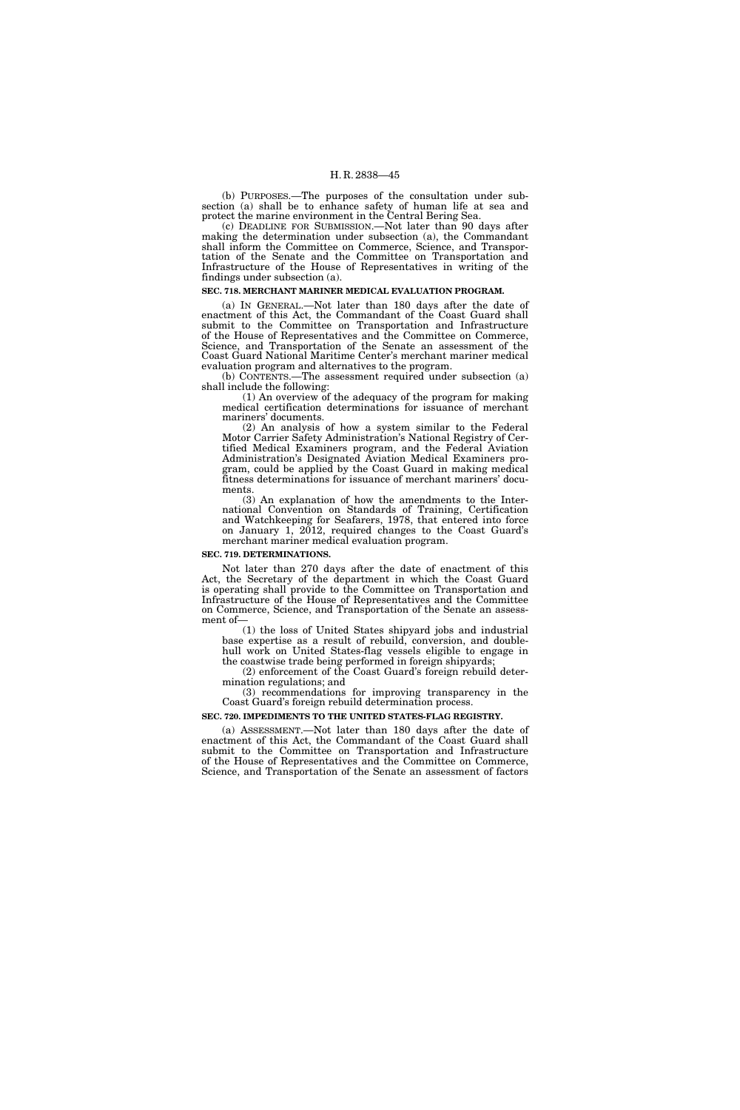(b) PURPOSES.—The purposes of the consultation under subsection (a) shall be to enhance safety of human life at sea and protect the marine environment in the Central Bering Sea.

(c) DEADLINE FOR SUBMISSION.—Not later than 90 days after making the determination under subsection (a), the Commandant shall inform the Committee on Commerce, Science, and Transportation of the Senate and the Committee on Transportation and Infrastructure of the House of Representatives in writing of the findings under subsection (a).

#### **SEC. 718. MERCHANT MARINER MEDICAL EVALUATION PROGRAM.**

(a) IN GENERAL.—Not later than 180 days after the date of enactment of this Act, the Commandant of the Coast Guard shall submit to the Committee on Transportation and Infrastructure of the House of Representatives and the Committee on Commerce, Science, and Transportation of the Senate an assessment of the Coast Guard National Maritime Center's merchant mariner medical evaluation program and alternatives to the program.

(b) CONTENTS.—The assessment required under subsection (a) shall include the following:

(1) An overview of the adequacy of the program for making medical certification determinations for issuance of merchant mariners' documents.

(2) An analysis of how a system similar to the Federal Motor Carrier Safety Administration's National Registry of Certified Medical Examiners program, and the Federal Aviation Administration's Designated Aviation Medical Examiners program, could be applied by the Coast Guard in making medical fitness determinations for issuance of merchant mariners' documents.

(3) An explanation of how the amendments to the International Convention on Standards of Training, Certification and Watchkeeping for Seafarers, 1978, that entered into force on January 1, 2012, required changes to the Coast Guard's merchant mariner medical evaluation program.

#### **SEC. 719. DETERMINATIONS.**

Not later than 270 days after the date of enactment of this Act, the Secretary of the department in which the Coast Guard is operating shall provide to the Committee on Transportation and Infrastructure of the House of Representatives and the Committee on Commerce, Science, and Transportation of the Senate an assessment of—

(1) the loss of United States shipyard jobs and industrial base expertise as a result of rebuild, conversion, and doublehull work on United States-flag vessels eligible to engage in the coastwise trade being performed in foreign shipyards;

(2) enforcement of the Coast Guard's foreign rebuild determination regulations; and

(3) recommendations for improving transparency in the Coast Guard's foreign rebuild determination process.

### **SEC. 720. IMPEDIMENTS TO THE UNITED STATES-FLAG REGISTRY.**

(a) ASSESSMENT.—Not later than 180 days after the date of enactment of this Act, the Commandant of the Coast Guard shall submit to the Committee on Transportation and Infrastructure of the House of Representatives and the Committee on Commerce, Science, and Transportation of the Senate an assessment of factors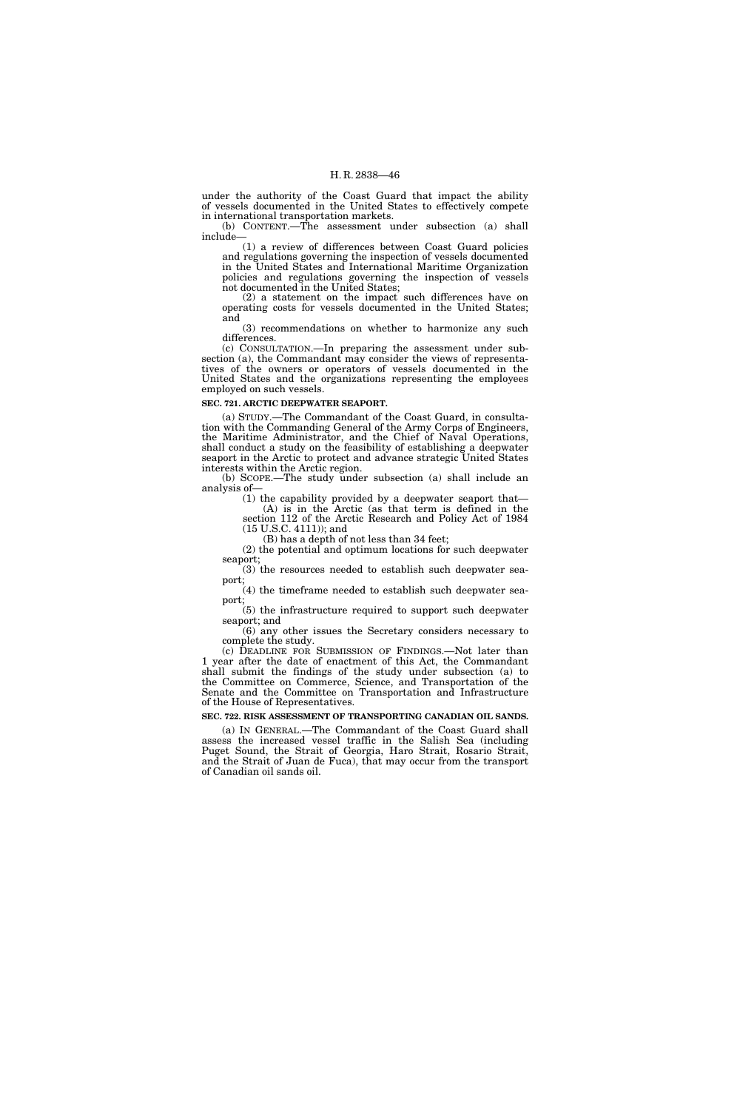under the authority of the Coast Guard that impact the ability of vessels documented in the United States to effectively compete in international transportation markets.

(b) CONTENT.—The assessment under subsection (a) shall include—

(1) a review of differences between Coast Guard policies and regulations governing the inspection of vessels documented in the United States and International Maritime Organization policies and regulations governing the inspection of vessels not documented in the United States;

(2) a statement on the impact such differences have on operating costs for vessels documented in the United States; and

(3) recommendations on whether to harmonize any such differences.

(c) CONSULTATION.—In preparing the assessment under subsection (a), the Commandant may consider the views of representatives of the owners or operators of vessels documented in the United States and the organizations representing the employees employed on such vessels.

#### **SEC. 721. ARCTIC DEEPWATER SEAPORT.**

(a) STUDY.—The Commandant of the Coast Guard, in consultation with the Commanding General of the Army Corps of Engineers, the Maritime Administrator, and the Chief of Naval Operations, shall conduct a study on the feasibility of establishing a deepwater seaport in the Arctic to protect and advance strategic United States interests within the Arctic region.

(b) SCOPE.—The study under subsection (a) shall include an analysis of—

(1) the capability provided by a deepwater seaport that— (A) is in the Arctic (as that term is defined in the

section 112 of the Arctic Research and Policy Act of 1984 (15 U.S.C. 4111)); and (B) has a depth of not less than 34 feet;

(2) the potential and optimum locations for such deepwater seaport;

(3) the resources needed to establish such deepwater seaport;

(4) the timeframe needed to establish such deepwater seaport;

(5) the infrastructure required to support such deepwater seaport; and

(6) any other issues the Secretary considers necessary to complete the study.

(c) DEADLINE FOR SUBMISSION OF FINDINGS.—Not later than 1 year after the date of enactment of this Act, the Commandant shall submit the findings of the study under subsection (a) to the Committee on Commerce, Science, and Transportation of the Senate and the Committee on Transportation and Infrastructure of the House of Representatives.

**SEC. 722. RISK ASSESSMENT OF TRANSPORTING CANADIAN OIL SANDS.** 

(a) IN GENERAL.—The Commandant of the Coast Guard shall assess the increased vessel traffic in the Salish Sea (including Puget Sound, the Strait of Georgia, Haro Strait, Rosario Strait, and the Strait of Juan de Fuca), that may occur from the transport of Canadian oil sands oil.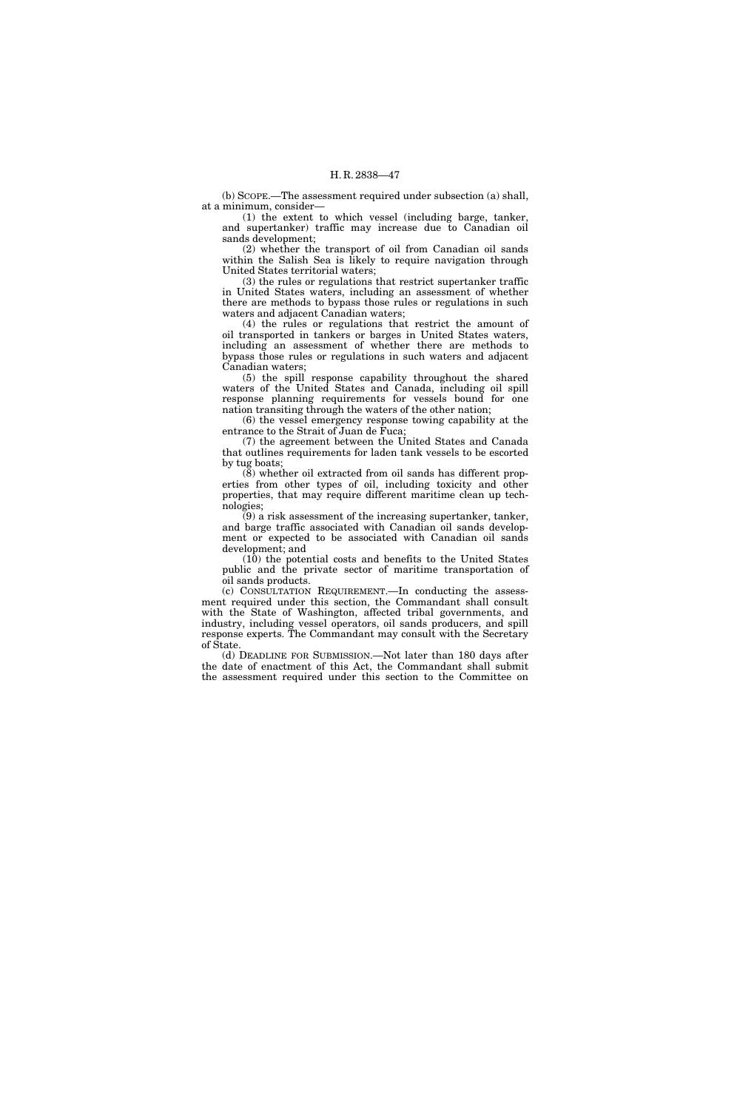(b) SCOPE.—The assessment required under subsection (a) shall, at a minimum, consider—

(1) the extent to which vessel (including barge, tanker, and supertanker) traffic may increase due to Canadian oil sands development;

(2) whether the transport of oil from Canadian oil sands within the Salish Sea is likely to require navigation through United States territorial waters;

(3) the rules or regulations that restrict supertanker traffic in United States waters, including an assessment of whether there are methods to bypass those rules or regulations in such waters and adjacent Canadian waters;

(4) the rules or regulations that restrict the amount of oil transported in tankers or barges in United States waters, including an assessment of whether there are methods to bypass those rules or regulations in such waters and adjacent Canadian waters;

(5) the spill response capability throughout the shared waters of the United States and Canada, including oil spill response planning requirements for vessels bound for one nation transiting through the waters of the other nation;

(6) the vessel emergency response towing capability at the entrance to the Strait of Juan de Fuca;

(7) the agreement between the United States and Canada that outlines requirements for laden tank vessels to be escorted by tug boats;

(8) whether oil extracted from oil sands has different properties from other types of oil, including toxicity and other properties, that may require different maritime clean up technologies;

 $(9)$  a risk assessment of the increasing supertanker, tanker, and barge traffic associated with Canadian oil sands development or expected to be associated with Canadian oil sands development; and

(10) the potential costs and benefits to the United States public and the private sector of maritime transportation of oil sands products.

(c) CONSULTATION REQUIREMENT.—In conducting the assessment required under this section, the Commandant shall consult with the State of Washington, affected tribal governments, and industry, including vessel operators, oil sands producers, and spill response experts. The Commandant may consult with the Secretary of State.

(d) DEADLINE FOR SUBMISSION.—Not later than 180 days after the date of enactment of this Act, the Commandant shall submit the assessment required under this section to the Committee on